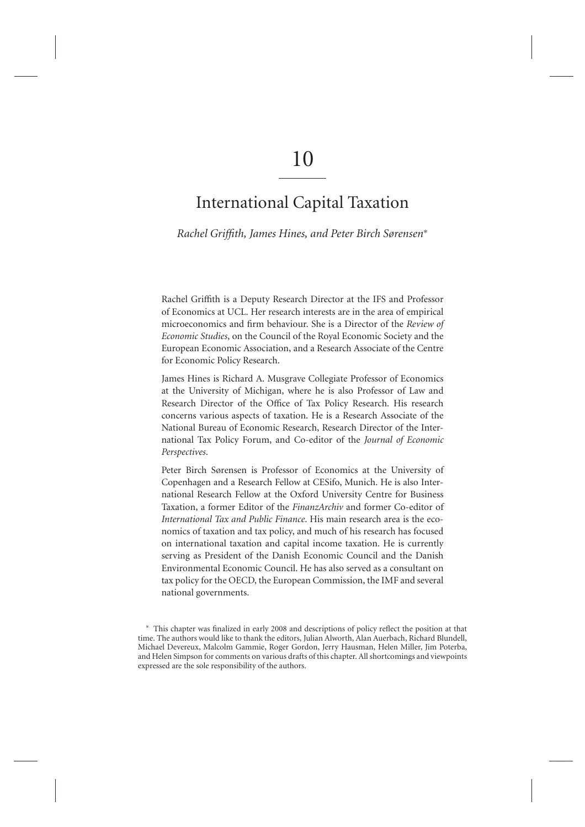# 10

# International Capital Taxation

*Rachel Griffith, James Hines, and Peter Birch Sørensen*<sup>∗</sup>

Rachel Griffith is a Deputy Research Director at the IFS and Professor of Economics at UCL. Her research interests are in the area of empirical microeconomics and firm behaviour. She is a Director of the *Review of Economic Studies*, on the Council of the Royal Economic Society and the European Economic Association, and a Research Associate of the Centre for Economic Policy Research.

James Hines is Richard A. Musgrave Collegiate Professor of Economics at the University of Michigan, where he is also Professor of Law and Research Director of the Office of Tax Policy Research. His research concerns various aspects of taxation. He is a Research Associate of the National Bureau of Economic Research, Research Director of the International Tax Policy Forum, and Co-editor of the *Journal of Economic Perspectives*.

Peter Birch Sørensen is Professor of Economics at the University of Copenhagen and a Research Fellow at CESifo, Munich. He is also International Research Fellow at the Oxford University Centre for Business Taxation, a former Editor of the *FinanzArchiv* and former Co-editor of *International Tax and Public Finance*. His main research area is the economics of taxation and tax policy, and much of his research has focused on international taxation and capital income taxation. He is currently serving as President of the Danish Economic Council and the Danish Environmental Economic Council. He has also served as a consultant on tax policy for the OECD, the European Commission, the IMF and several national governments.

<sup>∗</sup> This chapter was finalized in early 2008 and descriptions of policy reflect the position at that time. The authors would like to thank the editors, Julian Alworth, Alan Auerbach, Richard Blundell, Michael Devereux, Malcolm Gammie, Roger Gordon, Jerry Hausman, Helen Miller, Jim Poterba, and Helen Simpson for comments on various drafts of this chapter. All shortcomings and viewpoints expressed are the sole responsibility of the authors.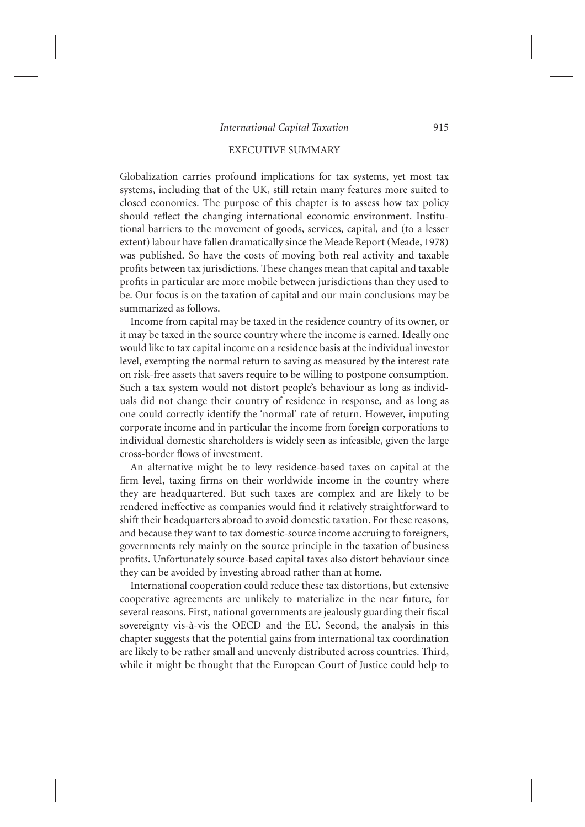### EXECUTIVE SUMMARY

Globalization carries profound implications for tax systems, yet most tax systems, including that of the UK, still retain many features more suited to closed economies. The purpose of this chapter is to assess how tax policy should reflect the changing international economic environment. Institutional barriers to the movement of goods, services, capital, and (to a lesser extent) labour have fallen dramatically since the Meade Report (Meade, 1978) was published. So have the costs of moving both real activity and taxable profits between tax jurisdictions. These changes mean that capital and taxable profits in particular are more mobile between jurisdictions than they used to be. Our focus is on the taxation of capital and our main conclusions may be summarized as follows.

Income from capital may be taxed in the residence country of its owner, or it may be taxed in the source country where the income is earned. Ideally one would like to tax capital income on a residence basis at the individual investor level, exempting the normal return to saving as measured by the interest rate on risk-free assets that savers require to be willing to postpone consumption. Such a tax system would not distort people's behaviour as long as individuals did not change their country of residence in response, and as long as one could correctly identify the 'normal' rate of return. However, imputing corporate income and in particular the income from foreign corporations to individual domestic shareholders is widely seen as infeasible, given the large cross-border flows of investment.

An alternative might be to levy residence-based taxes on capital at the firm level, taxing firms on their worldwide income in the country where they are headquartered. But such taxes are complex and are likely to be rendered ineffective as companies would find it relatively straightforward to shift their headquarters abroad to avoid domestic taxation. For these reasons, and because they want to tax domestic-source income accruing to foreigners, governments rely mainly on the source principle in the taxation of business profits. Unfortunately source-based capital taxes also distort behaviour since they can be avoided by investing abroad rather than at home.

International cooperation could reduce these tax distortions, but extensive cooperative agreements are unlikely to materialize in the near future, for several reasons. First, national governments are jealously guarding their fiscal sovereignty vis-à-vis the OECD and the EU. Second, the analysis in this chapter suggests that the potential gains from international tax coordination are likely to be rather small and unevenly distributed across countries. Third, while it might be thought that the European Court of Justice could help to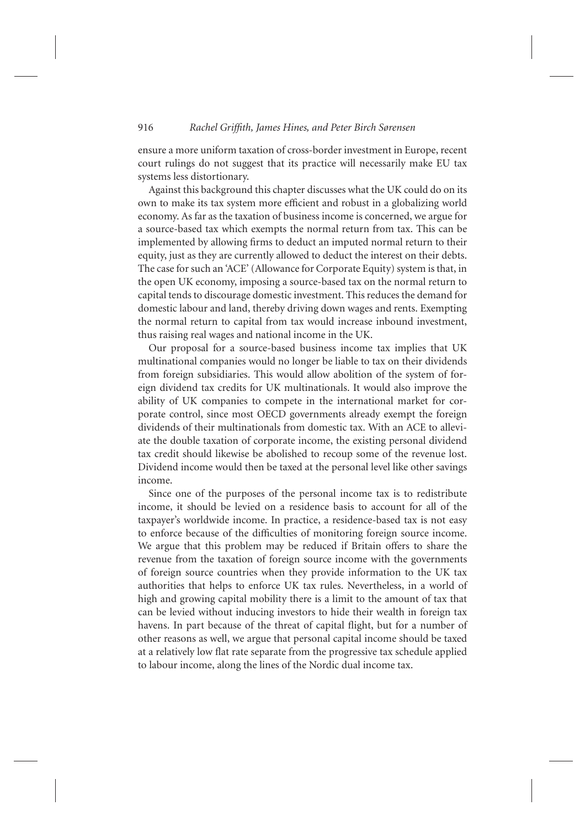ensure a more uniform taxation of cross-border investment in Europe, recent court rulings do not suggest that its practice will necessarily make EU tax systems less distortionary.

Against this background this chapter discusses what the UK could do on its own to make its tax system more efficient and robust in a globalizing world economy. As far as the taxation of business income is concerned, we argue for a source-based tax which exempts the normal return from tax. This can be implemented by allowing firms to deduct an imputed normal return to their equity, just as they are currently allowed to deduct the interest on their debts. The case for such an 'ACE' (Allowance for Corporate Equity) system is that, in the open UK economy, imposing a source-based tax on the normal return to capital tends to discourage domestic investment. This reduces the demand for domestic labour and land, thereby driving down wages and rents. Exempting the normal return to capital from tax would increase inbound investment, thus raising real wages and national income in the UK.

Our proposal for a source-based business income tax implies that UK multinational companies would no longer be liable to tax on their dividends from foreign subsidiaries. This would allow abolition of the system of foreign dividend tax credits for UK multinationals. It would also improve the ability of UK companies to compete in the international market for corporate control, since most OECD governments already exempt the foreign dividends of their multinationals from domestic tax. With an ACE to alleviate the double taxation of corporate income, the existing personal dividend tax credit should likewise be abolished to recoup some of the revenue lost. Dividend income would then be taxed at the personal level like other savings income.

Since one of the purposes of the personal income tax is to redistribute income, it should be levied on a residence basis to account for all of the taxpayer's worldwide income. In practice, a residence-based tax is not easy to enforce because of the difficulties of monitoring foreign source income. We argue that this problem may be reduced if Britain offers to share the revenue from the taxation of foreign source income with the governments of foreign source countries when they provide information to the UK tax authorities that helps to enforce UK tax rules. Nevertheless, in a world of high and growing capital mobility there is a limit to the amount of tax that can be levied without inducing investors to hide their wealth in foreign tax havens. In part because of the threat of capital flight, but for a number of other reasons as well, we argue that personal capital income should be taxed at a relatively low flat rate separate from the progressive tax schedule applied to labour income, along the lines of the Nordic dual income tax.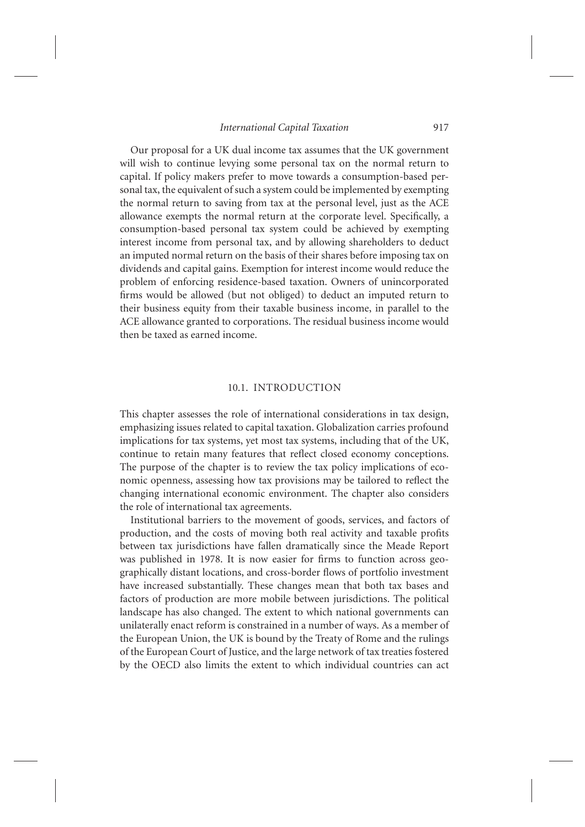## *International Capital Taxation* 917

Our proposal for a UK dual income tax assumes that the UK government will wish to continue levying some personal tax on the normal return to capital. If policy makers prefer to move towards a consumption-based personal tax, the equivalent of such a system could be implemented by exempting the normal return to saving from tax at the personal level, just as the ACE allowance exempts the normal return at the corporate level. Specifically, a consumption-based personal tax system could be achieved by exempting interest income from personal tax, and by allowing shareholders to deduct an imputed normal return on the basis of their shares before imposing tax on dividends and capital gains. Exemption for interest income would reduce the problem of enforcing residence-based taxation. Owners of unincorporated firms would be allowed (but not obliged) to deduct an imputed return to their business equity from their taxable business income, in parallel to the ACE allowance granted to corporations. The residual business income would then be taxed as earned income.

#### 10.1. INTRODUCTION

This chapter assesses the role of international considerations in tax design, emphasizing issues related to capital taxation. Globalization carries profound implications for tax systems, yet most tax systems, including that of the UK, continue to retain many features that reflect closed economy conceptions. The purpose of the chapter is to review the tax policy implications of economic openness, assessing how tax provisions may be tailored to reflect the changing international economic environment. The chapter also considers the role of international tax agreements.

Institutional barriers to the movement of goods, services, and factors of production, and the costs of moving both real activity and taxable profits between tax jurisdictions have fallen dramatically since the Meade Report was published in 1978. It is now easier for firms to function across geographically distant locations, and cross-border flows of portfolio investment have increased substantially. These changes mean that both tax bases and factors of production are more mobile between jurisdictions. The political landscape has also changed. The extent to which national governments can unilaterally enact reform is constrained in a number of ways. As a member of the European Union, the UK is bound by the Treaty of Rome and the rulings of the European Court of Justice, and the large network of tax treaties fostered by the OECD also limits the extent to which individual countries can act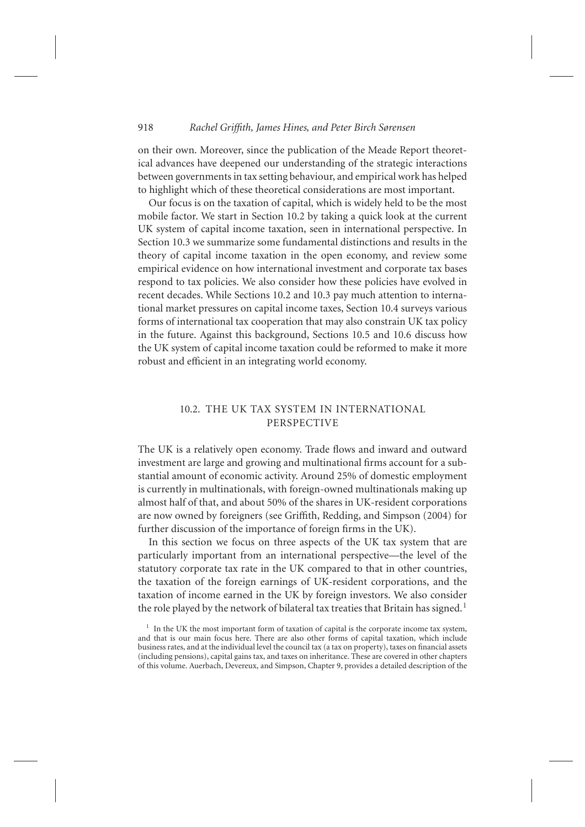on their own. Moreover, since the publication of the Meade Report theoretical advances have deepened our understanding of the strategic interactions between governments in tax setting behaviour, and empirical work has helped to highlight which of these theoretical considerations are most important.

Our focus is on the taxation of capital, which is widely held to be the most mobile factor. We start in Section 10.2 by taking a quick look at the current UK system of capital income taxation, seen in international perspective. In Section 10.3 we summarize some fundamental distinctions and results in the theory of capital income taxation in the open economy, and review some empirical evidence on how international investment and corporate tax bases respond to tax policies. We also consider how these policies have evolved in recent decades. While Sections 10.2 and 10.3 pay much attention to international market pressures on capital income taxes, Section 10.4 surveys various forms of international tax cooperation that may also constrain UK tax policy in the future. Against this background, Sections 10.5 and 10.6 discuss how the UK system of capital income taxation could be reformed to make it more robust and efficient in an integrating world economy.

## 10.2. THE UK TAX SYSTEM IN INTERNATIONAL PERSPECTIVE

The UK is a relatively open economy. Trade flows and inward and outward investment are large and growing and multinational firms account for a substantial amount of economic activity. Around 25% of domestic employment is currently in multinationals, with foreign-owned multinationals making up almost half of that, and about 50% of the shares in UK-resident corporations are now owned by foreigners (see Griffith, Redding, and Simpson (2004) for further discussion of the importance of foreign firms in the UK).

In this section we focus on three aspects of the UK tax system that are particularly important from an international perspective—the level of the statutory corporate tax rate in the UK compared to that in other countries, the taxation of the foreign earnings of UK-resident corporations, and the taxation of income earned in the UK by foreign investors. We also consider the role played by the network of bilateral tax treaties that Britain has signed.<sup>1</sup>

<sup>&</sup>lt;sup>1</sup> In the UK the most important form of taxation of capital is the corporate income tax system, and that is our main focus here. There are also other forms of capital taxation, which include business rates, and at the individual level the council tax (a tax on property), taxes on financial assets (including pensions), capital gains tax, and taxes on inheritance. These are covered in other chapters of this volume. Auerbach, Devereux, and Simpson, Chapter 9, provides a detailed description of the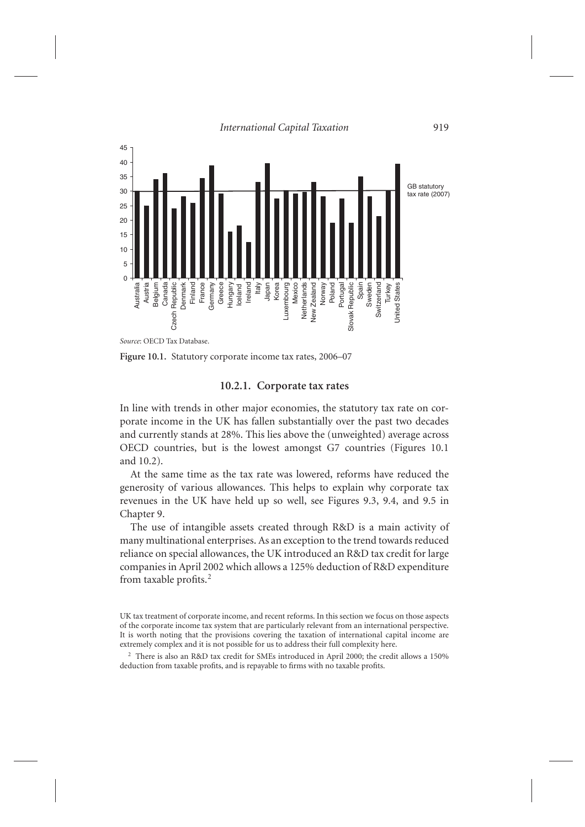*International Capital Taxation* 919



**Figure 10.1.** Statutory corporate income tax rates, 2006–07

#### **10.2.1. Corporate tax rates**

In line with trends in other major economies, the statutory tax rate on corporate income in the UK has fallen substantially over the past two decades and currently stands at 28%. This lies above the (unweighted) average across OECD countries, but is the lowest amongst G7 countries (Figures 10.1 and 10.2).

At the same time as the tax rate was lowered, reforms have reduced the generosity of various allowances. This helps to explain why corporate tax revenues in the UK have held up so well, see Figures 9.3, 9.4, and 9.5 in Chapter 9.

The use of intangible assets created through R&D is a main activity of many multinational enterprises. As an exception to the trend towards reduced reliance on special allowances, the UK introduced an R&D tax credit for large companies in April 2002 which allows a 125% deduction of R&D expenditure from taxable profits.<sup>2</sup>

UK tax treatment of corporate income, and recent reforms. In this section we focus on those aspects of the corporate income tax system that are particularly relevant from an international perspective. It is worth noting that the provisions covering the taxation of international capital income are extremely complex and it is not possible for us to address their full complexity here.

<sup>&</sup>lt;sup>2</sup> There is also an R&D tax credit for SMEs introduced in April 2000; the credit allows a 150% deduction from taxable profits, and is repayable to firms with no taxable profits.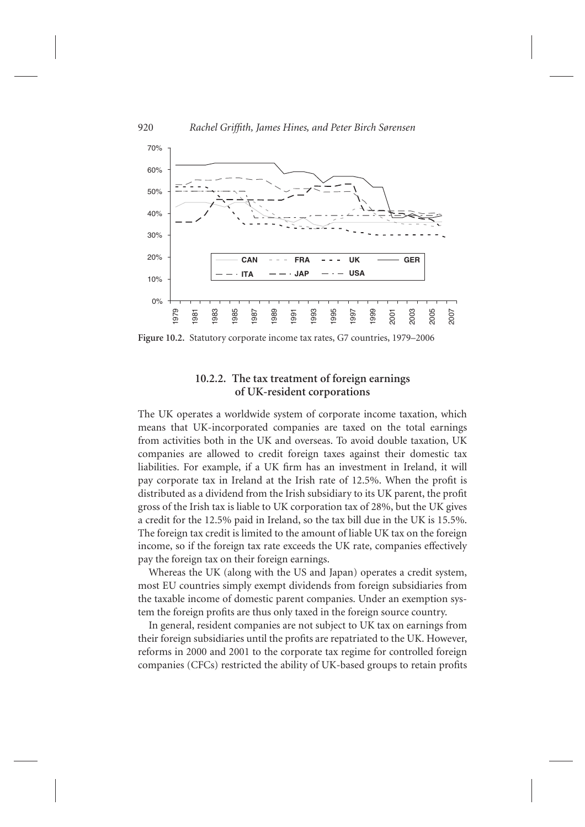

**Figure 10.2.** Statutory corporate income tax rates, G7 countries, 1979–2006

# **10.2.2. The tax treatment of foreign earnings of UK-resident corporations**

The UK operates a worldwide system of corporate income taxation, which means that UK-incorporated companies are taxed on the total earnings from activities both in the UK and overseas. To avoid double taxation, UK companies are allowed to credit foreign taxes against their domestic tax liabilities. For example, if a UK firm has an investment in Ireland, it will pay corporate tax in Ireland at the Irish rate of 12.5%. When the profit is distributed as a dividend from the Irish subsidiary to its UK parent, the profit gross of the Irish tax is liable to UK corporation tax of 28%, but the UK gives a credit for the 12.5% paid in Ireland, so the tax bill due in the UK is 15.5%. The foreign tax credit is limited to the amount of liable UK tax on the foreign income, so if the foreign tax rate exceeds the UK rate, companies effectively pay the foreign tax on their foreign earnings.

Whereas the UK (along with the US and Japan) operates a credit system, most EU countries simply exempt dividends from foreign subsidiaries from the taxable income of domestic parent companies. Under an exemption system the foreign profits are thus only taxed in the foreign source country.

In general, resident companies are not subject to UK tax on earnings from their foreign subsidiaries until the profits are repatriated to the UK. However, reforms in 2000 and 2001 to the corporate tax regime for controlled foreign companies (CFCs) restricted the ability of UK-based groups to retain profits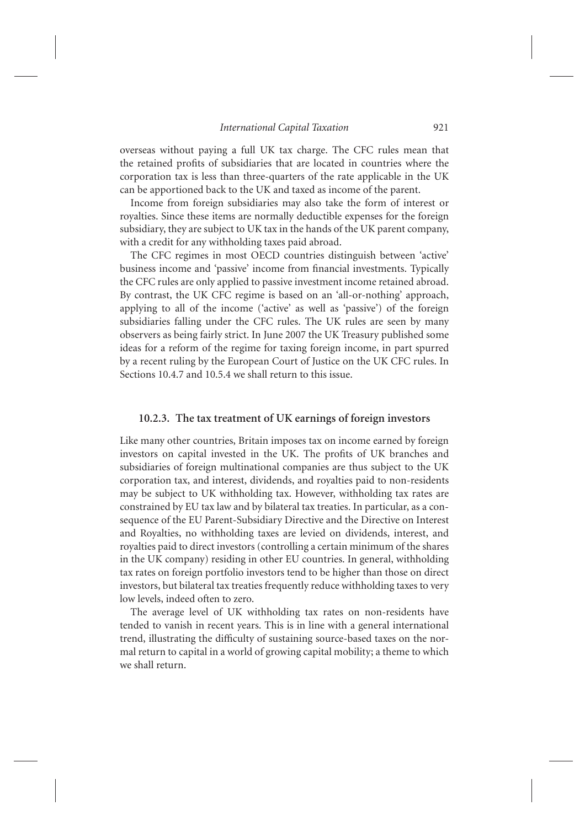## *International Capital Taxation* 921

overseas without paying a full UK tax charge. The CFC rules mean that the retained profits of subsidiaries that are located in countries where the corporation tax is less than three-quarters of the rate applicable in the UK can be apportioned back to the UK and taxed as income of the parent.

Income from foreign subsidiaries may also take the form of interest or royalties. Since these items are normally deductible expenses for the foreign subsidiary, they are subject to UK tax in the hands of the UK parent company, with a credit for any withholding taxes paid abroad.

The CFC regimes in most OECD countries distinguish between 'active' business income and 'passive' income from financial investments. Typically the CFC rules are only applied to passive investment income retained abroad. By contrast, the UK CFC regime is based on an 'all-or-nothing' approach, applying to all of the income ('active' as well as 'passive') of the foreign subsidiaries falling under the CFC rules. The UK rules are seen by many observers as being fairly strict. In June 2007 the UK Treasury published some ideas for a reform of the regime for taxing foreign income, in part spurred by a recent ruling by the European Court of Justice on the UK CFC rules. In Sections 10.4.7 and 10.5.4 we shall return to this issue.

#### **10.2.3. The tax treatment of UK earnings of foreign investors**

Like many other countries, Britain imposes tax on income earned by foreign investors on capital invested in the UK. The profits of UK branches and subsidiaries of foreign multinational companies are thus subject to the UK corporation tax, and interest, dividends, and royalties paid to non-residents may be subject to UK withholding tax. However, withholding tax rates are constrained by EU tax law and by bilateral tax treaties. In particular, as a consequence of the EU Parent-Subsidiary Directive and the Directive on Interest and Royalties, no withholding taxes are levied on dividends, interest, and royalties paid to direct investors (controlling a certain minimum of the shares in the UK company) residing in other EU countries. In general, withholding tax rates on foreign portfolio investors tend to be higher than those on direct investors, but bilateral tax treaties frequently reduce withholding taxes to very low levels, indeed often to zero.

The average level of UK withholding tax rates on non-residents have tended to vanish in recent years. This is in line with a general international trend, illustrating the difficulty of sustaining source-based taxes on the normal return to capital in a world of growing capital mobility; a theme to which we shall return.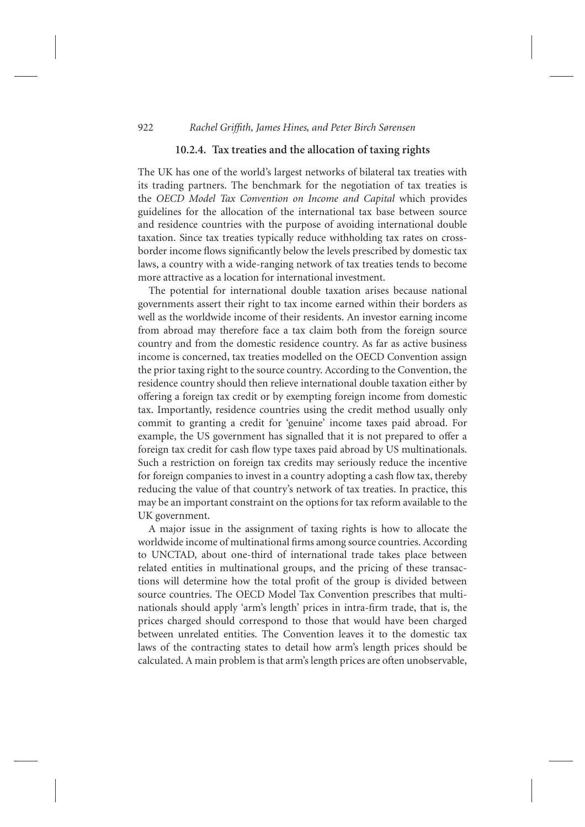## **10.2.4. Tax treaties and the allocation of taxing rights**

The UK has one of the world's largest networks of bilateral tax treaties with its trading partners. The benchmark for the negotiation of tax treaties is the *OECD Model Tax Convention on Income and Capital* which provides guidelines for the allocation of the international tax base between source and residence countries with the purpose of avoiding international double taxation. Since tax treaties typically reduce withholding tax rates on crossborder income flows significantly below the levels prescribed by domestic tax laws, a country with a wide-ranging network of tax treaties tends to become more attractive as a location for international investment.

The potential for international double taxation arises because national governments assert their right to tax income earned within their borders as well as the worldwide income of their residents. An investor earning income from abroad may therefore face a tax claim both from the foreign source country and from the domestic residence country. As far as active business income is concerned, tax treaties modelled on the OECD Convention assign the prior taxing right to the source country. According to the Convention, the residence country should then relieve international double taxation either by offering a foreign tax credit or by exempting foreign income from domestic tax. Importantly, residence countries using the credit method usually only commit to granting a credit for 'genuine' income taxes paid abroad. For example, the US government has signalled that it is not prepared to offer a foreign tax credit for cash flow type taxes paid abroad by US multinationals. Such a restriction on foreign tax credits may seriously reduce the incentive for foreign companies to invest in a country adopting a cash flow tax, thereby reducing the value of that country's network of tax treaties. In practice, this may be an important constraint on the options for tax reform available to the UK government.

A major issue in the assignment of taxing rights is how to allocate the worldwide income of multinational firms among source countries. According to UNCTAD, about one-third of international trade takes place between related entities in multinational groups, and the pricing of these transactions will determine how the total profit of the group is divided between source countries. The OECD Model Tax Convention prescribes that multinationals should apply 'arm's length' prices in intra-firm trade, that is, the prices charged should correspond to those that would have been charged between unrelated entities. The Convention leaves it to the domestic tax laws of the contracting states to detail how arm's length prices should be calculated. A main problem is that arm's length prices are often unobservable,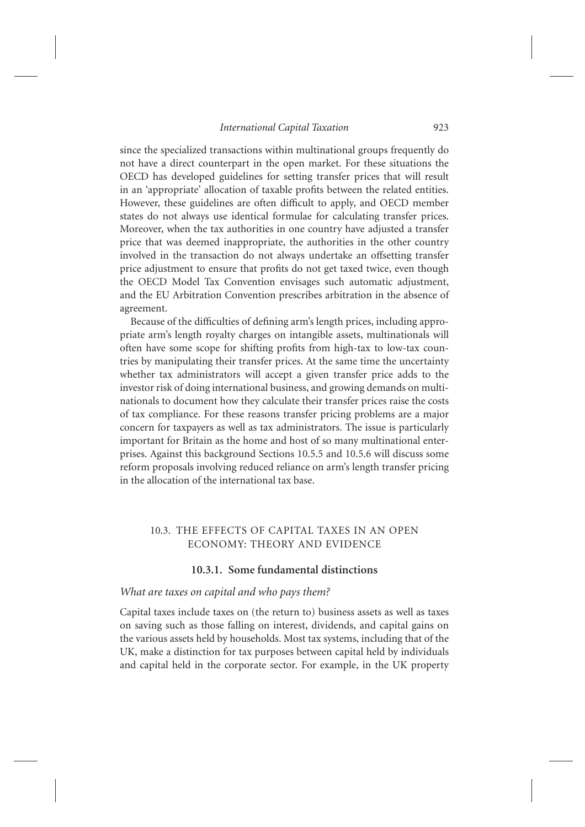## *International Capital Taxation* 923

since the specialized transactions within multinational groups frequently do not have a direct counterpart in the open market. For these situations the OECD has developed guidelines for setting transfer prices that will result in an 'appropriate' allocation of taxable profits between the related entities. However, these guidelines are often difficult to apply, and OECD member states do not always use identical formulae for calculating transfer prices. Moreover, when the tax authorities in one country have adjusted a transfer price that was deemed inappropriate, the authorities in the other country involved in the transaction do not always undertake an offsetting transfer price adjustment to ensure that profits do not get taxed twice, even though the OECD Model Tax Convention envisages such automatic adjustment, and the EU Arbitration Convention prescribes arbitration in the absence of agreement.

Because of the difficulties of defining arm's length prices, including appropriate arm's length royalty charges on intangible assets, multinationals will often have some scope for shifting profits from high-tax to low-tax countries by manipulating their transfer prices. At the same time the uncertainty whether tax administrators will accept a given transfer price adds to the investor risk of doing international business, and growing demands on multinationals to document how they calculate their transfer prices raise the costs of tax compliance. For these reasons transfer pricing problems are a major concern for taxpayers as well as tax administrators. The issue is particularly important for Britain as the home and host of so many multinational enterprises. Against this background Sections 10.5.5 and 10.5.6 will discuss some reform proposals involving reduced reliance on arm's length transfer pricing in the allocation of the international tax base.

# 10.3. THE EFFECTS OF CAPITAL TAXES IN AN OPEN ECONOMY: THEORY AND EVIDENCE

## **10.3.1. Some fundamental distinctions**

#### *What are taxes on capital and who pays them?*

Capital taxes include taxes on (the return to) business assets as well as taxes on saving such as those falling on interest, dividends, and capital gains on the various assets held by households. Most tax systems, including that of the UK, make a distinction for tax purposes between capital held by individuals and capital held in the corporate sector. For example, in the UK property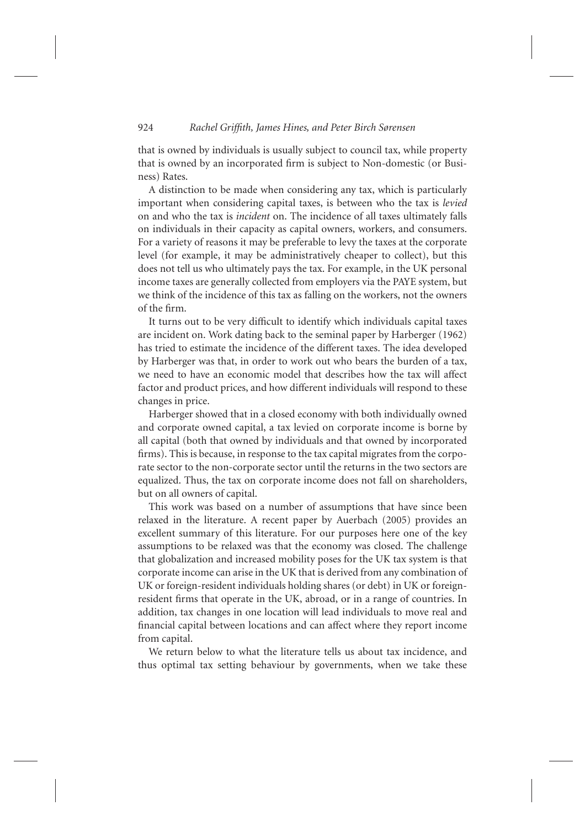that is owned by individuals is usually subject to council tax, while property that is owned by an incorporated firm is subject to Non-domestic (or Business) Rates.

A distinction to be made when considering any tax, which is particularly important when considering capital taxes, is between who the tax is *levied* on and who the tax is *incident* on. The incidence of all taxes ultimately falls on individuals in their capacity as capital owners, workers, and consumers. For a variety of reasons it may be preferable to levy the taxes at the corporate level (for example, it may be administratively cheaper to collect), but this does not tell us who ultimately pays the tax. For example, in the UK personal income taxes are generally collected from employers via the PAYE system, but we think of the incidence of this tax as falling on the workers, not the owners of the firm.

It turns out to be very difficult to identify which individuals capital taxes are incident on. Work dating back to the seminal paper by Harberger (1962) has tried to estimate the incidence of the different taxes. The idea developed by Harberger was that, in order to work out who bears the burden of a tax, we need to have an economic model that describes how the tax will affect factor and product prices, and how different individuals will respond to these changes in price.

Harberger showed that in a closed economy with both individually owned and corporate owned capital, a tax levied on corporate income is borne by all capital (both that owned by individuals and that owned by incorporated firms). This is because, in response to the tax capital migrates from the corporate sector to the non-corporate sector until the returns in the two sectors are equalized. Thus, the tax on corporate income does not fall on shareholders, but on all owners of capital.

This work was based on a number of assumptions that have since been relaxed in the literature. A recent paper by Auerbach (2005) provides an excellent summary of this literature. For our purposes here one of the key assumptions to be relaxed was that the economy was closed. The challenge that globalization and increased mobility poses for the UK tax system is that corporate income can arise in the UK that is derived from any combination of UK or foreign-resident individuals holding shares (or debt) in UK or foreignresident firms that operate in the UK, abroad, or in a range of countries. In addition, tax changes in one location will lead individuals to move real and financial capital between locations and can affect where they report income from capital.

We return below to what the literature tells us about tax incidence, and thus optimal tax setting behaviour by governments, when we take these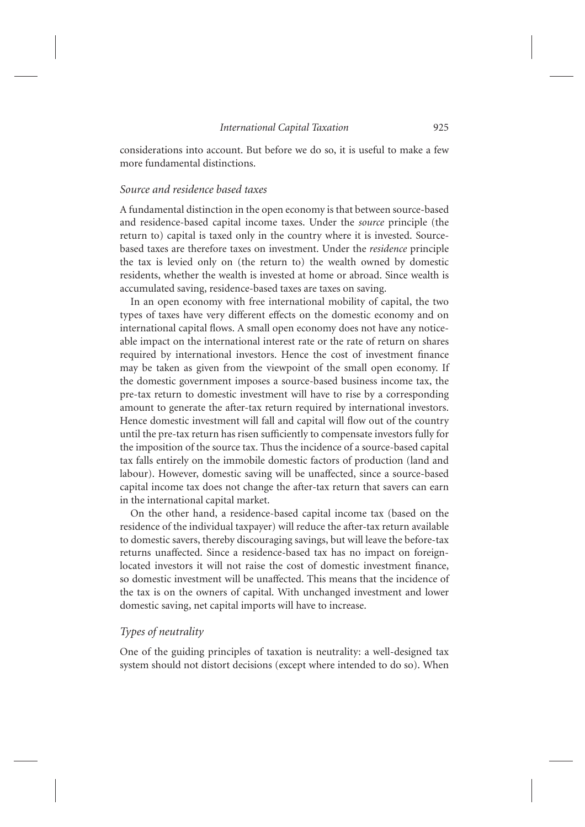considerations into account. But before we do so, it is useful to make a few more fundamental distinctions.

## *Source and residence based taxes*

A fundamental distinction in the open economy is that between source-based and residence-based capital income taxes. Under the *source* principle (the return to) capital is taxed only in the country where it is invested. Sourcebased taxes are therefore taxes on investment. Under the *residence* principle the tax is levied only on (the return to) the wealth owned by domestic residents, whether the wealth is invested at home or abroad. Since wealth is accumulated saving, residence-based taxes are taxes on saving.

In an open economy with free international mobility of capital, the two types of taxes have very different effects on the domestic economy and on international capital flows. A small open economy does not have any noticeable impact on the international interest rate or the rate of return on shares required by international investors. Hence the cost of investment finance may be taken as given from the viewpoint of the small open economy. If the domestic government imposes a source-based business income tax, the pre-tax return to domestic investment will have to rise by a corresponding amount to generate the after-tax return required by international investors. Hence domestic investment will fall and capital will flow out of the country until the pre-tax return has risen sufficiently to compensate investors fully for the imposition of the source tax. Thus the incidence of a source-based capital tax falls entirely on the immobile domestic factors of production (land and labour). However, domestic saving will be unaffected, since a source-based capital income tax does not change the after-tax return that savers can earn in the international capital market.

On the other hand, a residence-based capital income tax (based on the residence of the individual taxpayer) will reduce the after-tax return available to domestic savers, thereby discouraging savings, but will leave the before-tax returns unaffected. Since a residence-based tax has no impact on foreignlocated investors it will not raise the cost of domestic investment finance, so domestic investment will be unaffected. This means that the incidence of the tax is on the owners of capital. With unchanged investment and lower domestic saving, net capital imports will have to increase.

## *Types of neutrality*

One of the guiding principles of taxation is neutrality: a well-designed tax system should not distort decisions (except where intended to do so). When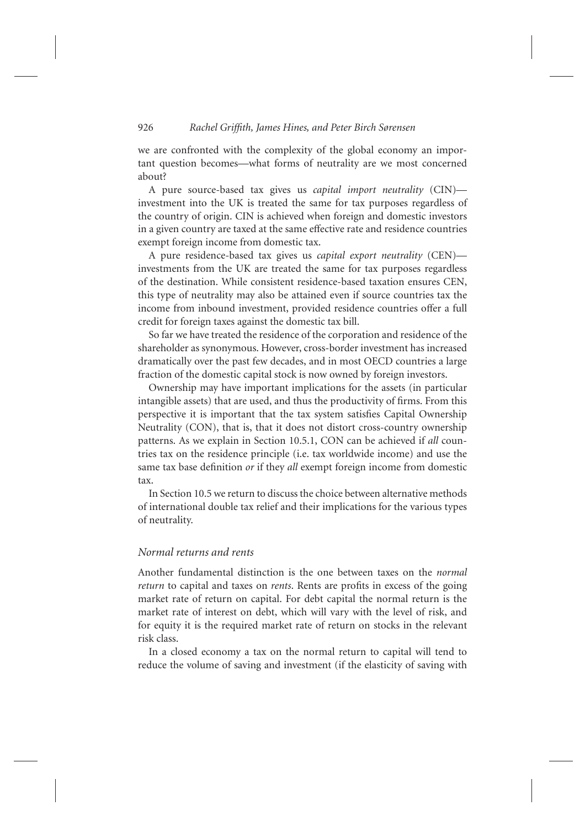we are confronted with the complexity of the global economy an important question becomes—what forms of neutrality are we most concerned about?

A pure source-based tax gives us *capital import neutrality* (CIN) investment into the UK is treated the same for tax purposes regardless of the country of origin. CIN is achieved when foreign and domestic investors in a given country are taxed at the same effective rate and residence countries exempt foreign income from domestic tax.

A pure residence-based tax gives us *capital export neutrality* (CEN) investments from the UK are treated the same for tax purposes regardless of the destination. While consistent residence-based taxation ensures CEN, this type of neutrality may also be attained even if source countries tax the income from inbound investment, provided residence countries offer a full credit for foreign taxes against the domestic tax bill.

So far we have treated the residence of the corporation and residence of the shareholder as synonymous. However, cross-border investment has increased dramatically over the past few decades, and in most OECD countries a large fraction of the domestic capital stock is now owned by foreign investors.

Ownership may have important implications for the assets (in particular intangible assets) that are used, and thus the productivity of firms. From this perspective it is important that the tax system satisfies Capital Ownership Neutrality (CON), that is, that it does not distort cross-country ownership patterns. As we explain in Section 10.5.1, CON can be achieved if *all* countries tax on the residence principle (i.e. tax worldwide income) and use the same tax base definition *or* if they *all* exempt foreign income from domestic tax.

In Section 10.5 we return to discuss the choice between alternative methods of international double tax relief and their implications for the various types of neutrality.

# *Normal returns and rents*

Another fundamental distinction is the one between taxes on the *normal return* to capital and taxes on *rents*. Rents are profits in excess of the going market rate of return on capital. For debt capital the normal return is the market rate of interest on debt, which will vary with the level of risk, and for equity it is the required market rate of return on stocks in the relevant risk class.

In a closed economy a tax on the normal return to capital will tend to reduce the volume of saving and investment (if the elasticity of saving with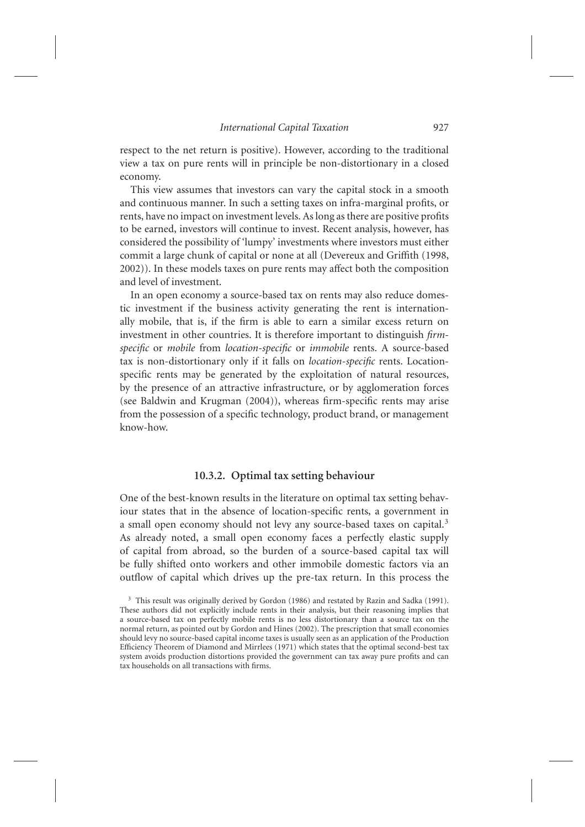respect to the net return is positive). However, according to the traditional view a tax on pure rents will in principle be non-distortionary in a closed economy.

This view assumes that investors can vary the capital stock in a smooth and continuous manner. In such a setting taxes on infra-marginal profits, or rents, have no impact on investment levels. As long as there are positive profits to be earned, investors will continue to invest. Recent analysis, however, has considered the possibility of 'lumpy' investments where investors must either commit a large chunk of capital or none at all (Devereux and Griffith (1998, 2002)). In these models taxes on pure rents may affect both the composition and level of investment.

In an open economy a source-based tax on rents may also reduce domestic investment if the business activity generating the rent is internationally mobile, that is, if the firm is able to earn a similar excess return on investment in other countries. It is therefore important to distinguish *firmspecific* or *mobile* from *location-specific* or *immobile* rents. A source-based tax is non-distortionary only if it falls on *location-specific* rents. Locationspecific rents may be generated by the exploitation of natural resources, by the presence of an attractive infrastructure, or by agglomeration forces (see Baldwin and Krugman (2004)), whereas firm-specific rents may arise from the possession of a specific technology, product brand, or management know-how.

#### **10.3.2. Optimal tax setting behaviour**

One of the best-known results in the literature on optimal tax setting behaviour states that in the absence of location-specific rents, a government in a small open economy should not levy any source-based taxes on capital.<sup>3</sup> As already noted, a small open economy faces a perfectly elastic supply of capital from abroad, so the burden of a source-based capital tax will be fully shifted onto workers and other immobile domestic factors via an outflow of capital which drives up the pre-tax return. In this process the

<sup>&</sup>lt;sup>3</sup> This result was originally derived by Gordon (1986) and restated by Razin and Sadka (1991). These authors did not explicitly include rents in their analysis, but their reasoning implies that a source-based tax on perfectly mobile rents is no less distortionary than a source tax on the normal return, as pointed out by Gordon and Hines (2002). The prescription that small economies should levy no source-based capital income taxes is usually seen as an application of the Production Efficiency Theorem of Diamond and Mirrlees (1971) which states that the optimal second-best tax system avoids production distortions provided the government can tax away pure profits and can tax households on all transactions with firms.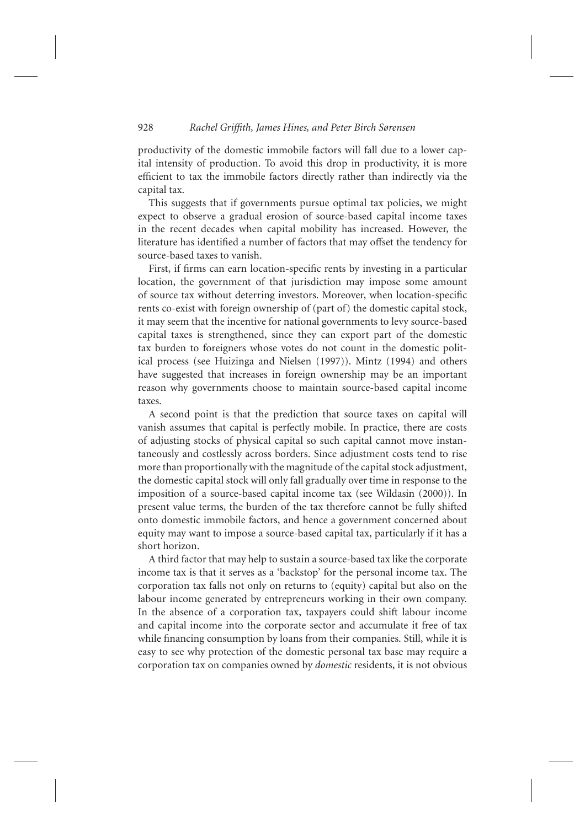productivity of the domestic immobile factors will fall due to a lower capital intensity of production. To avoid this drop in productivity, it is more efficient to tax the immobile factors directly rather than indirectly via the capital tax.

This suggests that if governments pursue optimal tax policies, we might expect to observe a gradual erosion of source-based capital income taxes in the recent decades when capital mobility has increased. However, the literature has identified a number of factors that may offset the tendency for source-based taxes to vanish.

First, if firms can earn location-specific rents by investing in a particular location, the government of that jurisdiction may impose some amount of source tax without deterring investors. Moreover, when location-specific rents co-exist with foreign ownership of (part of) the domestic capital stock, it may seem that the incentive for national governments to levy source-based capital taxes is strengthened, since they can export part of the domestic tax burden to foreigners whose votes do not count in the domestic political process (see Huizinga and Nielsen (1997)). Mintz (1994) and others have suggested that increases in foreign ownership may be an important reason why governments choose to maintain source-based capital income taxes.

A second point is that the prediction that source taxes on capital will vanish assumes that capital is perfectly mobile. In practice, there are costs of adjusting stocks of physical capital so such capital cannot move instantaneously and costlessly across borders. Since adjustment costs tend to rise more than proportionally with the magnitude of the capital stock adjustment, the domestic capital stock will only fall gradually over time in response to the imposition of a source-based capital income tax (see Wildasin (2000)). In present value terms, the burden of the tax therefore cannot be fully shifted onto domestic immobile factors, and hence a government concerned about equity may want to impose a source-based capital tax, particularly if it has a short horizon.

A third factor that may help to sustain a source-based tax like the corporate income tax is that it serves as a 'backstop' for the personal income tax. The corporation tax falls not only on returns to (equity) capital but also on the labour income generated by entrepreneurs working in their own company. In the absence of a corporation tax, taxpayers could shift labour income and capital income into the corporate sector and accumulate it free of tax while financing consumption by loans from their companies. Still, while it is easy to see why protection of the domestic personal tax base may require a corporation tax on companies owned by *domestic* residents, it is not obvious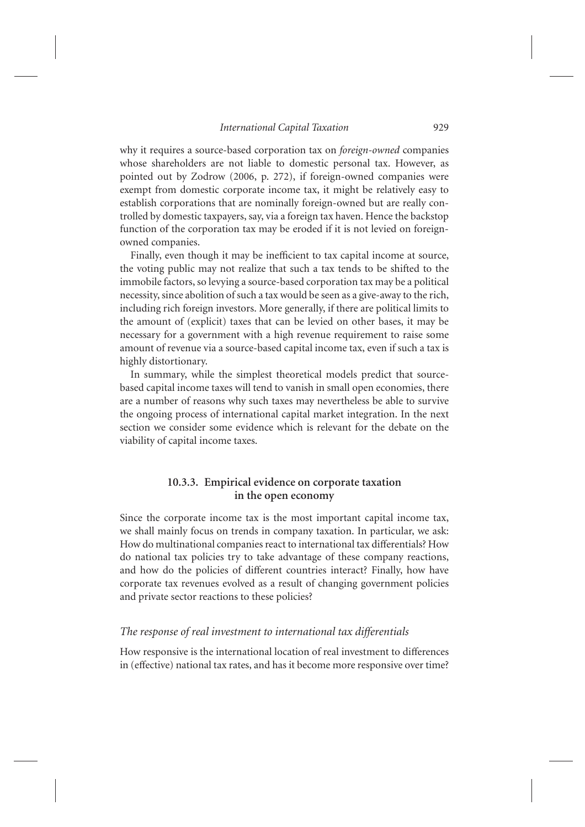why it requires a source-based corporation tax on *foreign-owned* companies whose shareholders are not liable to domestic personal tax. However, as pointed out by Zodrow (2006, p. 272), if foreign-owned companies were exempt from domestic corporate income tax, it might be relatively easy to establish corporations that are nominally foreign-owned but are really controlled by domestic taxpayers, say, via a foreign tax haven. Hence the backstop function of the corporation tax may be eroded if it is not levied on foreignowned companies.

Finally, even though it may be inefficient to tax capital income at source, the voting public may not realize that such a tax tends to be shifted to the immobile factors, so levying a source-based corporation tax may be a political necessity, since abolition of such a tax would be seen as a give-away to the rich, including rich foreign investors. More generally, if there are political limits to the amount of (explicit) taxes that can be levied on other bases, it may be necessary for a government with a high revenue requirement to raise some amount of revenue via a source-based capital income tax, even if such a tax is highly distortionary.

In summary, while the simplest theoretical models predict that sourcebased capital income taxes will tend to vanish in small open economies, there are a number of reasons why such taxes may nevertheless be able to survive the ongoing process of international capital market integration. In the next section we consider some evidence which is relevant for the debate on the viability of capital income taxes.

# **10.3.3. Empirical evidence on corporate taxation in the open economy**

Since the corporate income tax is the most important capital income tax, we shall mainly focus on trends in company taxation. In particular, we ask: How do multinational companies react to international tax differentials? How do national tax policies try to take advantage of these company reactions, and how do the policies of different countries interact? Finally, how have corporate tax revenues evolved as a result of changing government policies and private sector reactions to these policies?

#### *The response of real investment to international tax differentials*

How responsive is the international location of real investment to differences in (effective) national tax rates, and has it become more responsive over time?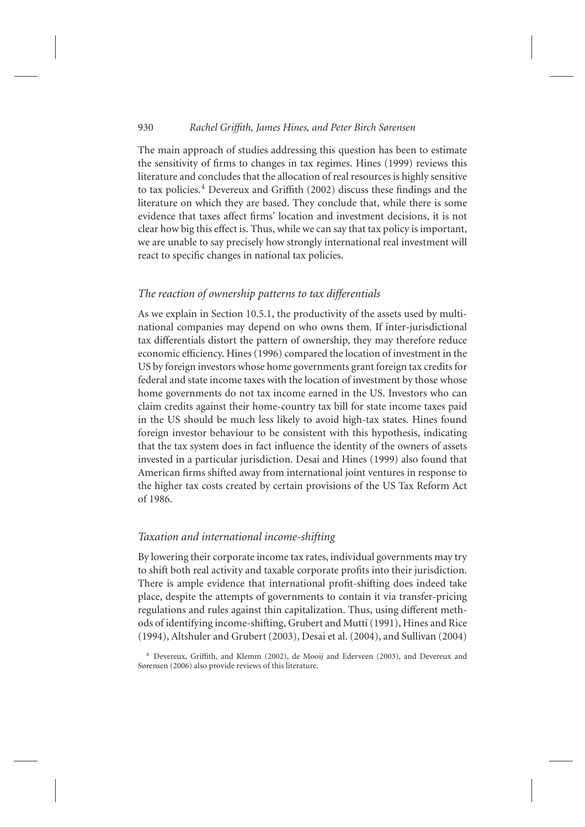The main approach of studies addressing this question has been to estimate the sensitivity of firms to changes in tax regimes. Hines (1999) reviews this literature and concludes that the allocation of real resources is highly sensitive to tax policies.<sup>4</sup> Devereux and Griffith (2002) discuss these findings and the literature on which they are based. They conclude that, while there is some evidence that taxes affect firms' location and investment decisions, it is not clear how big this effect is. Thus, while we can say that tax policy is important, we are unable to say precisely how strongly international real investment will react to specific changes in national tax policies.

## *The reaction of ownership patterns to tax differentials*

As we explain in Section 10.5.1, the productivity of the assets used by multinational companies may depend on who owns them. If inter-jurisdictional tax differentials distort the pattern of ownership, they may therefore reduce economic efficiency. Hines (1996) compared the location of investment in the US by foreign investors whose home governments grant foreign tax credits for federal and state income taxes with the location of investment by those whose home governments do not tax income earned in the US. Investors who can claim credits against their home-country tax bill for state income taxes paid in the US should be much less likely to avoid high-tax states. Hines found foreign investor behaviour to be consistent with this hypothesis, indicating that the tax system does in fact influence the identity of the owners of assets invested in a particular jurisdiction. Desai and Hines (1999) also found that American firms shifted away from international joint ventures in response to the higher tax costs created by certain provisions of the US Tax Reform Act of 1986.

## *Taxation and international income-shifting*

By lowering their corporate income tax rates, individual governments may try to shift both real activity and taxable corporate profits into their jurisdiction. There is ample evidence that international profit-shifting does indeed take place, despite the attempts of governments to contain it via transfer-pricing regulations and rules against thin capitalization. Thus, using different methods of identifying income-shifting, Grubert and Mutti (1991), Hines and Rice (1994), Altshuler and Grubert (2003), Desai et al. (2004), and Sullivan (2004)

<sup>4</sup> Devereux, Griffith, and Klemm (2002), de Mooij and Ederveen (2003), and Devereux and Sørensen (2006) also provide reviews of this literature.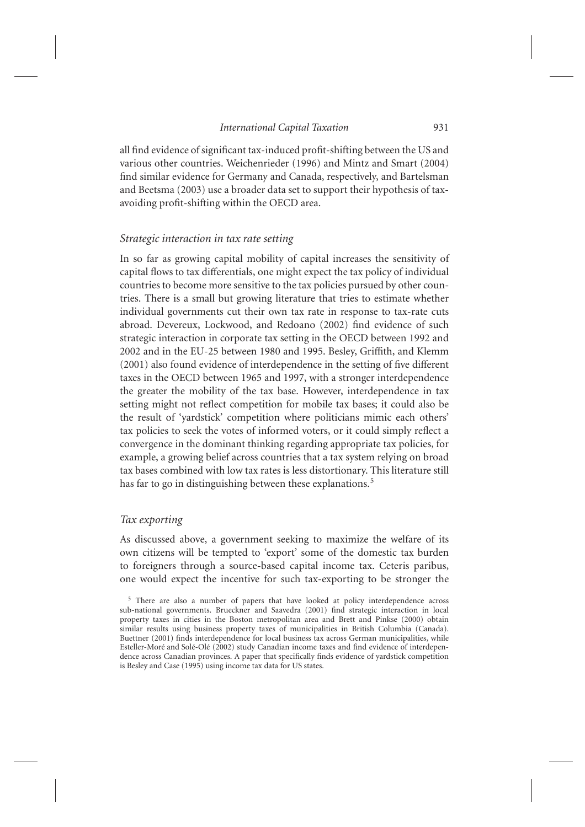all find evidence of significant tax-induced profit-shifting between the US and various other countries. Weichenrieder (1996) and Mintz and Smart (2004) find similar evidence for Germany and Canada, respectively, and Bartelsman and Beetsma (2003) use a broader data set to support their hypothesis of taxavoiding profit-shifting within the OECD area.

#### *Strategic interaction in tax rate setting*

In so far as growing capital mobility of capital increases the sensitivity of capital flows to tax differentials, one might expect the tax policy of individual countries to become more sensitive to the tax policies pursued by other countries. There is a small but growing literature that tries to estimate whether individual governments cut their own tax rate in response to tax-rate cuts abroad. Devereux, Lockwood, and Redoano (2002) find evidence of such strategic interaction in corporate tax setting in the OECD between 1992 and 2002 and in the EU-25 between 1980 and 1995. Besley, Griffith, and Klemm (2001) also found evidence of interdependence in the setting of five different taxes in the OECD between 1965 and 1997, with a stronger interdependence the greater the mobility of the tax base. However, interdependence in tax setting might not reflect competition for mobile tax bases; it could also be the result of 'yardstick' competition where politicians mimic each others' tax policies to seek the votes of informed voters, or it could simply reflect a convergence in the dominant thinking regarding appropriate tax policies, for example, a growing belief across countries that a tax system relying on broad tax bases combined with low tax rates is less distortionary. This literature still has far to go in distinguishing between these explanations.<sup>5</sup>

#### *Tax exporting*

As discussed above, a government seeking to maximize the welfare of its own citizens will be tempted to 'export' some of the domestic tax burden to foreigners through a source-based capital income tax. Ceteris paribus, one would expect the incentive for such tax-exporting to be stronger the

<sup>&</sup>lt;sup>5</sup> There are also a number of papers that have looked at policy interdependence across sub-national governments. Brueckner and Saavedra (2001) find strategic interaction in local property taxes in cities in the Boston metropolitan area and Brett and Pinkse (2000) obtain similar results using business property taxes of municipalities in British Columbia (Canada). Buettner (2001) finds interdependence for local business tax across German municipalities, while Esteller-Moré and Solé-Olé (2002) study Canadian income taxes and find evidence of interdependence across Canadian provinces. A paper that specifically finds evidence of yardstick competition is Besley and Case (1995) using income tax data for US states.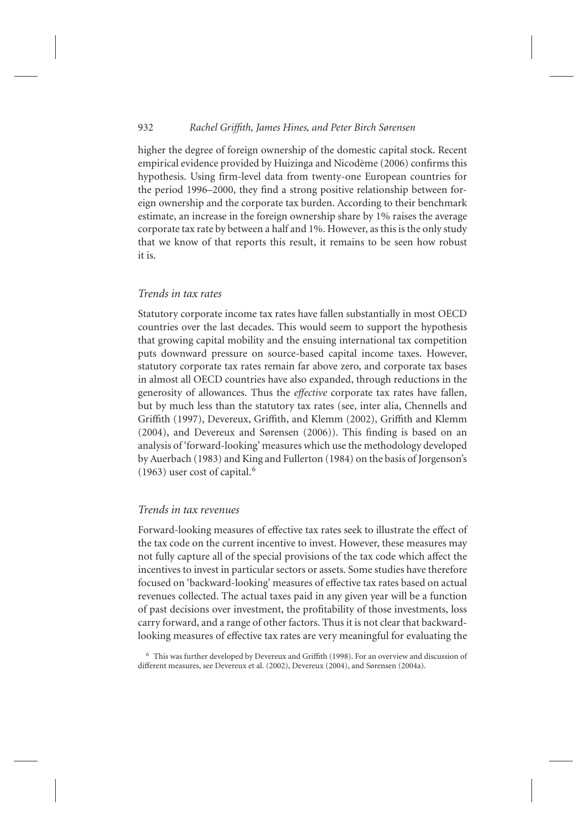higher the degree of foreign ownership of the domestic capital stock. Recent empirical evidence provided by Huizinga and Nicodème (2006) confirms this hypothesis. Using firm-level data from twenty-one European countries for the period 1996–2000, they find a strong positive relationship between foreign ownership and the corporate tax burden. According to their benchmark estimate, an increase in the foreign ownership share by 1% raises the average corporate tax rate by between a half and 1%. However, as this is the only study that we know of that reports this result, it remains to be seen how robust it is.

# *Trends in tax rates*

Statutory corporate income tax rates have fallen substantially in most OECD countries over the last decades. This would seem to support the hypothesis that growing capital mobility and the ensuing international tax competition puts downward pressure on source-based capital income taxes. However, statutory corporate tax rates remain far above zero, and corporate tax bases in almost all OECD countries have also expanded, through reductions in the generosity of allowances. Thus the *effective* corporate tax rates have fallen, but by much less than the statutory tax rates (see, inter alia, Chennells and Griffith (1997), Devereux, Griffith, and Klemm (2002), Griffith and Klemm (2004), and Devereux and Sørensen (2006)). This finding is based on an analysis of 'forward-looking' measures which use the methodology developed by Auerbach (1983) and King and Fullerton (1984) on the basis of Jorgenson's  $(1963)$  user cost of capital.<sup>6</sup>

# *Trends in tax revenues*

Forward-looking measures of effective tax rates seek to illustrate the effect of the tax code on the current incentive to invest. However, these measures may not fully capture all of the special provisions of the tax code which affect the incentives to invest in particular sectors or assets. Some studies have therefore focused on 'backward-looking' measures of effective tax rates based on actual revenues collected. The actual taxes paid in any given year will be a function of past decisions over investment, the profitability of those investments, loss carry forward, and a range of other factors. Thus it is not clear that backwardlooking measures of effective tax rates are very meaningful for evaluating the

<sup>6</sup> This was further developed by Devereux and Griffith (1998). For an overview and discussion of different measures, see Devereux et al. (2002), Devereux (2004), and Sørensen (2004a).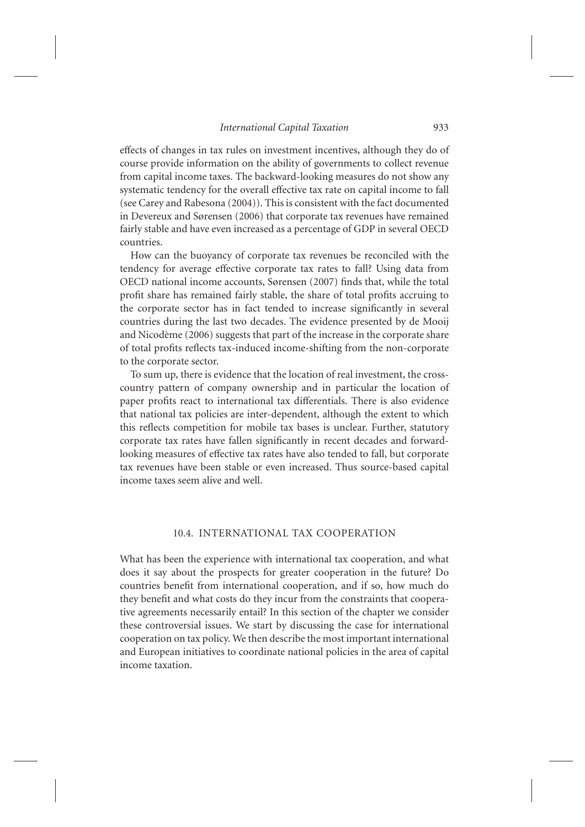effects of changes in tax rules on investment incentives, although they do of course provide information on the ability of governments to collect revenue from capital income taxes. The backward-looking measures do not show any systematic tendency for the overall effective tax rate on capital income to fall (see Carey and Rabesona (2004)). This is consistent with the fact documented in Devereux and Sørensen (2006) that corporate tax revenues have remained fairly stable and have even increased as a percentage of GDP in several OECD countries.

How can the buoyancy of corporate tax revenues be reconciled with the tendency for average effective corporate tax rates to fall? Using data from OECD national income accounts, Sørensen (2007) finds that, while the total profit share has remained fairly stable, the share of total profits accruing to the corporate sector has in fact tended to increase significantly in several countries during the last two decades. The evidence presented by de Mooij and Nicodème (2006) suggests that part of the increase in the corporate share of total profits reflects tax-induced income-shifting from the non-corporate to the corporate sector.

To sum up, there is evidence that the location of real investment, the crosscountry pattern of company ownership and in particular the location of paper profits react to international tax differentials. There is also evidence that national tax policies are inter-dependent, although the extent to which this reflects competition for mobile tax bases is unclear. Further, statutory corporate tax rates have fallen significantly in recent decades and forwardlooking measures of effective tax rates have also tended to fall, but corporate tax revenues have been stable or even increased. Thus source-based capital income taxes seem alive and well.

# 10.4. INTERNATIONAL TAX COOPERATION

What has been the experience with international tax cooperation, and what does it say about the prospects for greater cooperation in the future? Do countries benefit from international cooperation, and if so, how much do they benefit and what costs do they incur from the constraints that cooperative agreements necessarily entail? In this section of the chapter we consider these controversial issues. We start by discussing the case for international cooperation on tax policy. We then describe the most important international and European initiatives to coordinate national policies in the area of capital income taxation.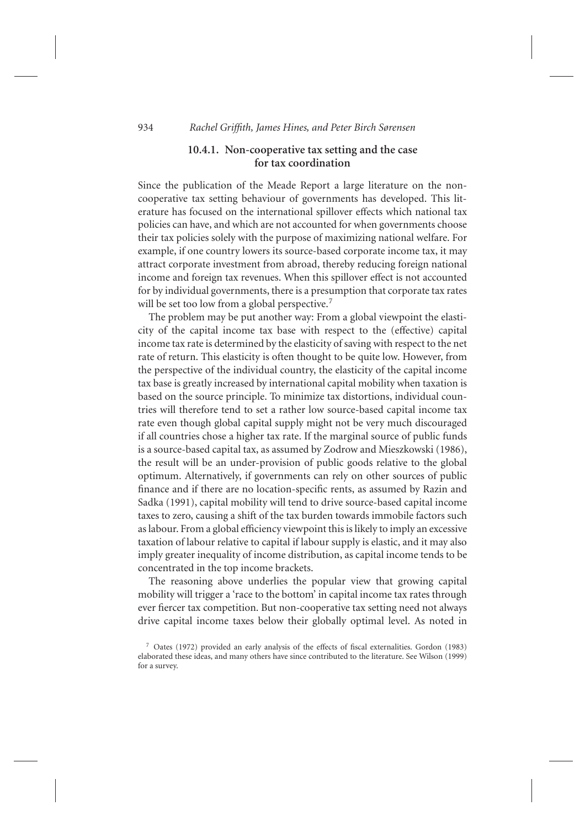# **10.4.1. Non-cooperative tax setting and the case for tax coordination**

Since the publication of the Meade Report a large literature on the noncooperative tax setting behaviour of governments has developed. This literature has focused on the international spillover effects which national tax policies can have, and which are not accounted for when governments choose their tax policies solely with the purpose of maximizing national welfare. For example, if one country lowers its source-based corporate income tax, it may attract corporate investment from abroad, thereby reducing foreign national income and foreign tax revenues. When this spillover effect is not accounted for by individual governments, there is a presumption that corporate tax rates will be set too low from a global perspective.<sup>7</sup>

The problem may be put another way: From a global viewpoint the elasticity of the capital income tax base with respect to the (effective) capital income tax rate is determined by the elasticity of saving with respect to the net rate of return. This elasticity is often thought to be quite low. However, from the perspective of the individual country, the elasticity of the capital income tax base is greatly increased by international capital mobility when taxation is based on the source principle. To minimize tax distortions, individual countries will therefore tend to set a rather low source-based capital income tax rate even though global capital supply might not be very much discouraged if all countries chose a higher tax rate. If the marginal source of public funds is a source-based capital tax, as assumed by Zodrow and Mieszkowski (1986), the result will be an under-provision of public goods relative to the global optimum. Alternatively, if governments can rely on other sources of public finance and if there are no location-specific rents, as assumed by Razin and Sadka (1991), capital mobility will tend to drive source-based capital income taxes to zero, causing a shift of the tax burden towards immobile factors such as labour. From a global efficiency viewpoint this is likely to imply an excessive taxation of labour relative to capital if labour supply is elastic, and it may also imply greater inequality of income distribution, as capital income tends to be concentrated in the top income brackets.

The reasoning above underlies the popular view that growing capital mobility will trigger a 'race to the bottom' in capital income tax rates through ever fiercer tax competition. But non-cooperative tax setting need not always drive capital income taxes below their globally optimal level. As noted in

<sup>7</sup> Oates (1972) provided an early analysis of the effects of fiscal externalities. Gordon (1983) elaborated these ideas, and many others have since contributed to the literature. See Wilson (1999) for a survey.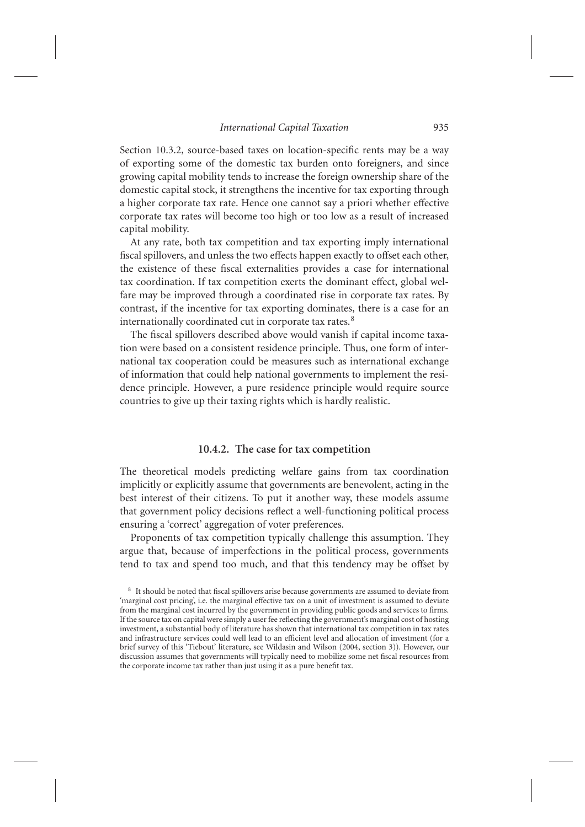Section 10.3.2, source-based taxes on location-specific rents may be a way of exporting some of the domestic tax burden onto foreigners, and since growing capital mobility tends to increase the foreign ownership share of the domestic capital stock, it strengthens the incentive for tax exporting through a higher corporate tax rate. Hence one cannot say a priori whether effective corporate tax rates will become too high or too low as a result of increased capital mobility.

At any rate, both tax competition and tax exporting imply international fiscal spillovers, and unless the two effects happen exactly to offset each other, the existence of these fiscal externalities provides a case for international tax coordination. If tax competition exerts the dominant effect, global welfare may be improved through a coordinated rise in corporate tax rates. By contrast, if the incentive for tax exporting dominates, there is a case for an internationally coordinated cut in corporate tax rates.<sup>8</sup>

The fiscal spillovers described above would vanish if capital income taxation were based on a consistent residence principle. Thus, one form of international tax cooperation could be measures such as international exchange of information that could help national governments to implement the residence principle. However, a pure residence principle would require source countries to give up their taxing rights which is hardly realistic.

## **10.4.2. The case for tax competition**

The theoretical models predicting welfare gains from tax coordination implicitly or explicitly assume that governments are benevolent, acting in the best interest of their citizens. To put it another way, these models assume that government policy decisions reflect a well-functioning political process ensuring a 'correct' aggregation of voter preferences.

Proponents of tax competition typically challenge this assumption. They argue that, because of imperfections in the political process, governments tend to tax and spend too much, and that this tendency may be offset by

<sup>8</sup> It should be noted that fiscal spillovers arise because governments are assumed to deviate from 'marginal cost pricing', i.e. the marginal effective tax on a unit of investment is assumed to deviate from the marginal cost incurred by the government in providing public goods and services to firms. If the source tax on capital were simply a user fee reflecting the government's marginal cost of hosting investment, a substantial body of literature has shown that international tax competition in tax rates and infrastructure services could well lead to an efficient level and allocation of investment (for a brief survey of this 'Tiebout' literature, see Wildasin and Wilson (2004, section 3)). However, our discussion assumes that governments will typically need to mobilize some net fiscal resources from the corporate income tax rather than just using it as a pure benefit tax.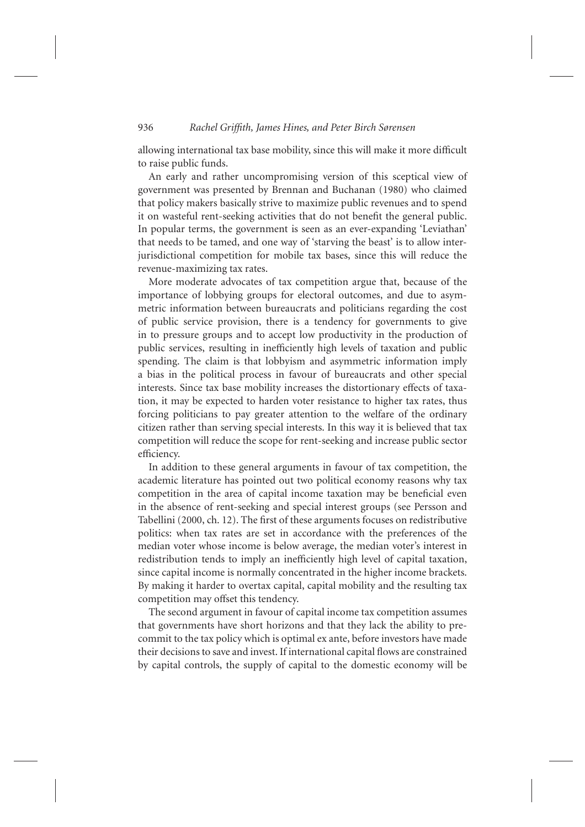allowing international tax base mobility, since this will make it more difficult to raise public funds.

An early and rather uncompromising version of this sceptical view of government was presented by Brennan and Buchanan (1980) who claimed that policy makers basically strive to maximize public revenues and to spend it on wasteful rent-seeking activities that do not benefit the general public. In popular terms, the government is seen as an ever-expanding 'Leviathan' that needs to be tamed, and one way of 'starving the beast' is to allow interjurisdictional competition for mobile tax bases, since this will reduce the revenue-maximizing tax rates.

More moderate advocates of tax competition argue that, because of the importance of lobbying groups for electoral outcomes, and due to asymmetric information between bureaucrats and politicians regarding the cost of public service provision, there is a tendency for governments to give in to pressure groups and to accept low productivity in the production of public services, resulting in inefficiently high levels of taxation and public spending. The claim is that lobbyism and asymmetric information imply a bias in the political process in favour of bureaucrats and other special interests. Since tax base mobility increases the distortionary effects of taxation, it may be expected to harden voter resistance to higher tax rates, thus forcing politicians to pay greater attention to the welfare of the ordinary citizen rather than serving special interests. In this way it is believed that tax competition will reduce the scope for rent-seeking and increase public sector efficiency.

In addition to these general arguments in favour of tax competition, the academic literature has pointed out two political economy reasons why tax competition in the area of capital income taxation may be beneficial even in the absence of rent-seeking and special interest groups (see Persson and Tabellini (2000, ch. 12). The first of these arguments focuses on redistributive politics: when tax rates are set in accordance with the preferences of the median voter whose income is below average, the median voter's interest in redistribution tends to imply an inefficiently high level of capital taxation, since capital income is normally concentrated in the higher income brackets. By making it harder to overtax capital, capital mobility and the resulting tax competition may offset this tendency.

The second argument in favour of capital income tax competition assumes that governments have short horizons and that they lack the ability to precommit to the tax policy which is optimal ex ante, before investors have made their decisions to save and invest. If international capital flows are constrained by capital controls, the supply of capital to the domestic economy will be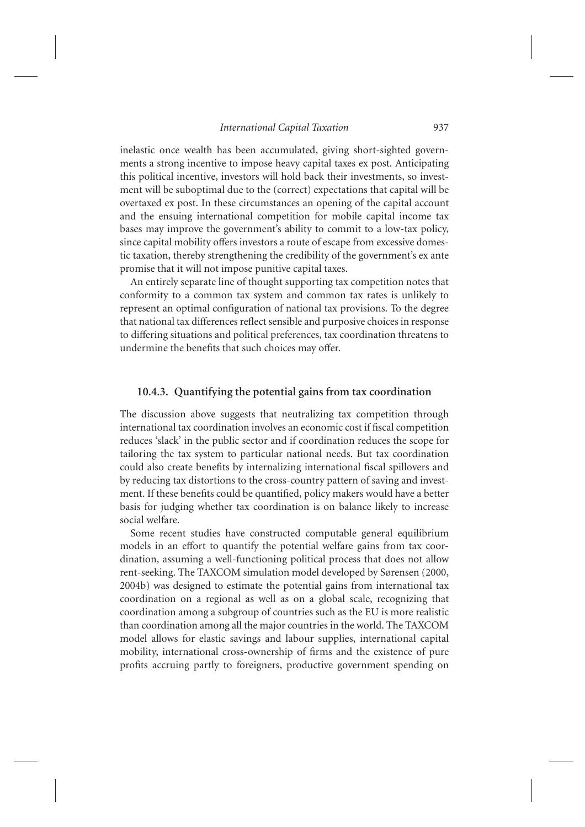## *International Capital Taxation* 937

inelastic once wealth has been accumulated, giving short-sighted governments a strong incentive to impose heavy capital taxes ex post. Anticipating this political incentive, investors will hold back their investments, so investment will be suboptimal due to the (correct) expectations that capital will be overtaxed ex post. In these circumstances an opening of the capital account and the ensuing international competition for mobile capital income tax bases may improve the government's ability to commit to a low-tax policy, since capital mobility offers investors a route of escape from excessive domestic taxation, thereby strengthening the credibility of the government's ex ante promise that it will not impose punitive capital taxes.

An entirely separate line of thought supporting tax competition notes that conformity to a common tax system and common tax rates is unlikely to represent an optimal configuration of national tax provisions. To the degree that national tax differences reflect sensible and purposive choices in response to differing situations and political preferences, tax coordination threatens to undermine the benefits that such choices may offer.

## **10.4.3. Quantifying the potential gains from tax coordination**

The discussion above suggests that neutralizing tax competition through international tax coordination involves an economic cost if fiscal competition reduces 'slack' in the public sector and if coordination reduces the scope for tailoring the tax system to particular national needs. But tax coordination could also create benefits by internalizing international fiscal spillovers and by reducing tax distortions to the cross-country pattern of saving and investment. If these benefits could be quantified, policy makers would have a better basis for judging whether tax coordination is on balance likely to increase social welfare.

Some recent studies have constructed computable general equilibrium models in an effort to quantify the potential welfare gains from tax coordination, assuming a well-functioning political process that does not allow rent-seeking. The TAXCOM simulation model developed by Sørensen (2000, 2004b) was designed to estimate the potential gains from international tax coordination on a regional as well as on a global scale, recognizing that coordination among a subgroup of countries such as the EU is more realistic than coordination among all the major countries in the world. The TAXCOM model allows for elastic savings and labour supplies, international capital mobility, international cross-ownership of firms and the existence of pure profits accruing partly to foreigners, productive government spending on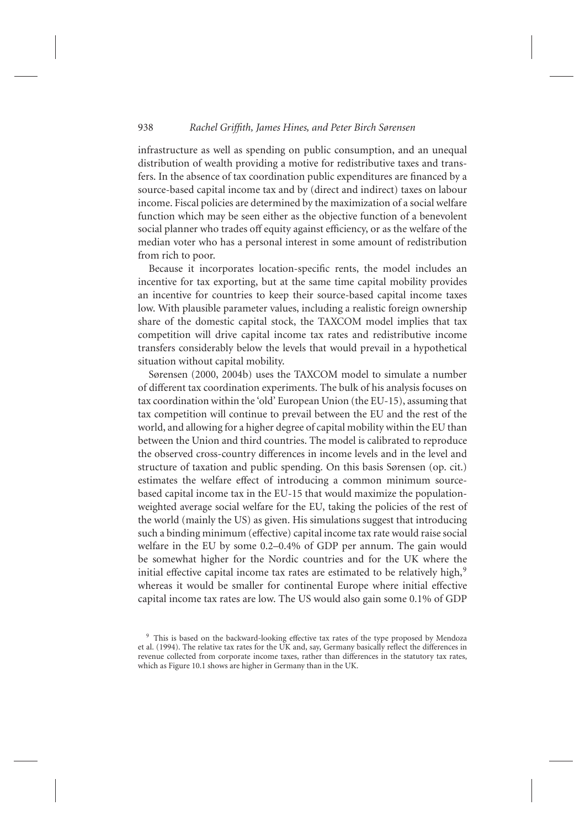infrastructure as well as spending on public consumption, and an unequal distribution of wealth providing a motive for redistributive taxes and transfers. In the absence of tax coordination public expenditures are financed by a source-based capital income tax and by (direct and indirect) taxes on labour income. Fiscal policies are determined by the maximization of a social welfare function which may be seen either as the objective function of a benevolent social planner who trades off equity against efficiency, or as the welfare of the median voter who has a personal interest in some amount of redistribution from rich to poor.

Because it incorporates location-specific rents, the model includes an incentive for tax exporting, but at the same time capital mobility provides an incentive for countries to keep their source-based capital income taxes low. With plausible parameter values, including a realistic foreign ownership share of the domestic capital stock, the TAXCOM model implies that tax competition will drive capital income tax rates and redistributive income transfers considerably below the levels that would prevail in a hypothetical situation without capital mobility.

Sørensen (2000, 2004b) uses the TAXCOM model to simulate a number of different tax coordination experiments. The bulk of his analysis focuses on tax coordination within the 'old' European Union (the EU-15), assuming that tax competition will continue to prevail between the EU and the rest of the world, and allowing for a higher degree of capital mobility within the EU than between the Union and third countries. The model is calibrated to reproduce the observed cross-country differences in income levels and in the level and structure of taxation and public spending. On this basis Sørensen (op. cit.) estimates the welfare effect of introducing a common minimum sourcebased capital income tax in the EU-15 that would maximize the populationweighted average social welfare for the EU, taking the policies of the rest of the world (mainly the US) as given. His simulations suggest that introducing such a binding minimum (effective) capital income tax rate would raise social welfare in the EU by some 0.2–0.4% of GDP per annum. The gain would be somewhat higher for the Nordic countries and for the UK where the initial effective capital income tax rates are estimated to be relatively high, $9$ whereas it would be smaller for continental Europe where initial effective capital income tax rates are low. The US would also gain some 0.1% of GDP

<sup>&</sup>lt;sup>9</sup> This is based on the backward-looking effective tax rates of the type proposed by Mendoza et al. (1994). The relative tax rates for the UK and, say, Germany basically reflect the differences in revenue collected from corporate income taxes, rather than differences in the statutory tax rates, which as Figure 10.1 shows are higher in Germany than in the UK.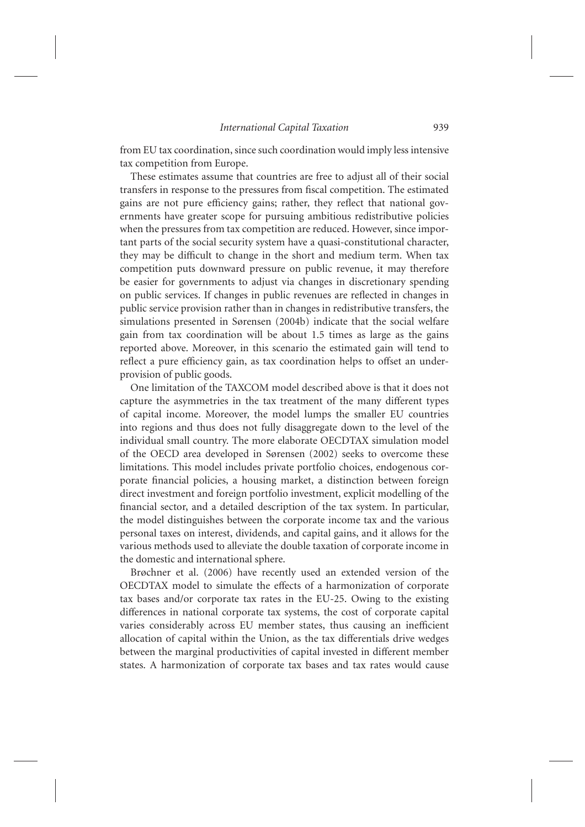from EU tax coordination, since such coordination would imply less intensive tax competition from Europe.

These estimates assume that countries are free to adjust all of their social transfers in response to the pressures from fiscal competition. The estimated gains are not pure efficiency gains; rather, they reflect that national governments have greater scope for pursuing ambitious redistributive policies when the pressures from tax competition are reduced. However, since important parts of the social security system have a quasi-constitutional character, they may be difficult to change in the short and medium term. When tax competition puts downward pressure on public revenue, it may therefore be easier for governments to adjust via changes in discretionary spending on public services. If changes in public revenues are reflected in changes in public service provision rather than in changes in redistributive transfers, the simulations presented in Sørensen (2004b) indicate that the social welfare gain from tax coordination will be about 1.5 times as large as the gains reported above. Moreover, in this scenario the estimated gain will tend to reflect a pure efficiency gain, as tax coordination helps to offset an underprovision of public goods.

One limitation of the TAXCOM model described above is that it does not capture the asymmetries in the tax treatment of the many different types of capital income. Moreover, the model lumps the smaller EU countries into regions and thus does not fully disaggregate down to the level of the individual small country. The more elaborate OECDTAX simulation model of the OECD area developed in Sørensen (2002) seeks to overcome these limitations. This model includes private portfolio choices, endogenous corporate financial policies, a housing market, a distinction between foreign direct investment and foreign portfolio investment, explicit modelling of the financial sector, and a detailed description of the tax system. In particular, the model distinguishes between the corporate income tax and the various personal taxes on interest, dividends, and capital gains, and it allows for the various methods used to alleviate the double taxation of corporate income in the domestic and international sphere.

Brøchner et al. (2006) have recently used an extended version of the OECDTAX model to simulate the effects of a harmonization of corporate tax bases and/or corporate tax rates in the EU-25. Owing to the existing differences in national corporate tax systems, the cost of corporate capital varies considerably across EU member states, thus causing an inefficient allocation of capital within the Union, as the tax differentials drive wedges between the marginal productivities of capital invested in different member states. A harmonization of corporate tax bases and tax rates would cause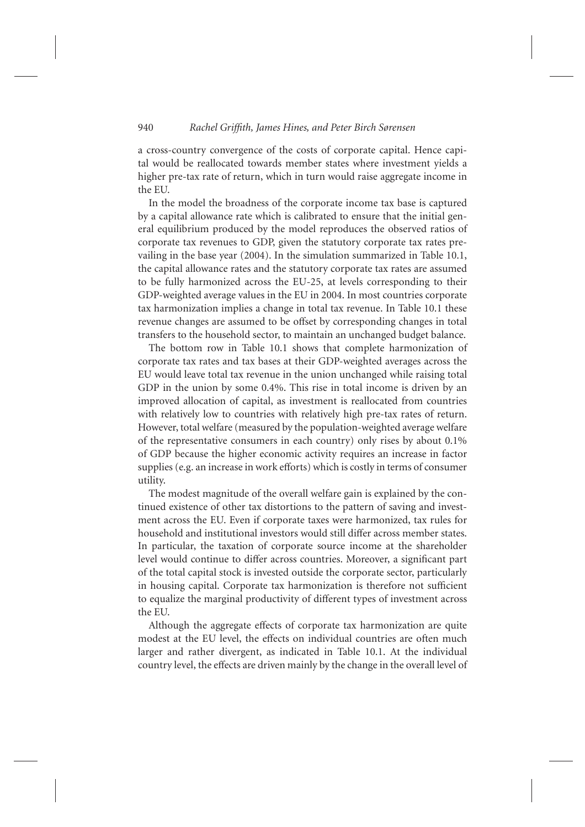a cross-country convergence of the costs of corporate capital. Hence capital would be reallocated towards member states where investment yields a higher pre-tax rate of return, which in turn would raise aggregate income in the EU.

In the model the broadness of the corporate income tax base is captured by a capital allowance rate which is calibrated to ensure that the initial general equilibrium produced by the model reproduces the observed ratios of corporate tax revenues to GDP, given the statutory corporate tax rates prevailing in the base year (2004). In the simulation summarized in Table 10.1, the capital allowance rates and the statutory corporate tax rates are assumed to be fully harmonized across the EU-25, at levels corresponding to their GDP-weighted average values in the EU in 2004. In most countries corporate tax harmonization implies a change in total tax revenue. In Table 10.1 these revenue changes are assumed to be offset by corresponding changes in total transfers to the household sector, to maintain an unchanged budget balance.

The bottom row in Table 10.1 shows that complete harmonization of corporate tax rates and tax bases at their GDP-weighted averages across the EU would leave total tax revenue in the union unchanged while raising total GDP in the union by some 0.4%. This rise in total income is driven by an improved allocation of capital, as investment is reallocated from countries with relatively low to countries with relatively high pre-tax rates of return. However, total welfare (measured by the population-weighted average welfare of the representative consumers in each country) only rises by about 0.1% of GDP because the higher economic activity requires an increase in factor supplies (e.g. an increase in work efforts) which is costly in terms of consumer utility.

The modest magnitude of the overall welfare gain is explained by the continued existence of other tax distortions to the pattern of saving and investment across the EU. Even if corporate taxes were harmonized, tax rules for household and institutional investors would still differ across member states. In particular, the taxation of corporate source income at the shareholder level would continue to differ across countries. Moreover, a significant part of the total capital stock is invested outside the corporate sector, particularly in housing capital. Corporate tax harmonization is therefore not sufficient to equalize the marginal productivity of different types of investment across the EU.

Although the aggregate effects of corporate tax harmonization are quite modest at the EU level, the effects on individual countries are often much larger and rather divergent, as indicated in Table 10.1. At the individual country level, the effects are driven mainly by the change in the overall level of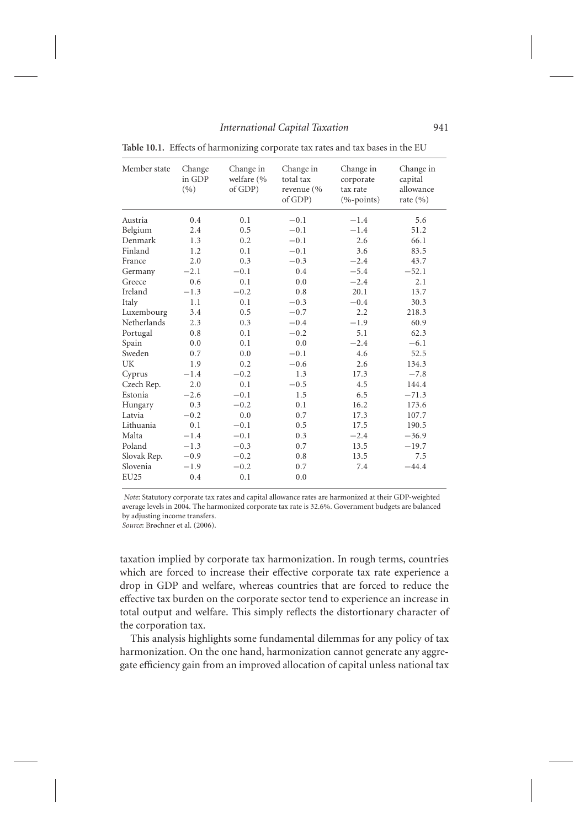| Member state | Change<br>in GDP<br>(9/0) | Change in<br>welfare (%<br>of GDP) | Change in<br>total tax<br>revenue (%<br>of GDP) | Change in<br>corporate<br>tax rate<br>$(\%$ -points) | Change in<br>capital<br>allowance<br>rate $(\% )$ |
|--------------|---------------------------|------------------------------------|-------------------------------------------------|------------------------------------------------------|---------------------------------------------------|
| Austria      | 0.4                       | 0.1                                | $-0.1$                                          | $-1.4$                                               | 5.6                                               |
| Belgium      | 2.4                       | 0.5                                | $-0.1$                                          | $-1.4$                                               | 51.2                                              |
| Denmark      | 1.3                       | 0.2                                | $-0.1$                                          | 2.6                                                  | 66.1                                              |
| Finland      | 1.2                       | 0.1                                | $-0.1$                                          | 3.6                                                  | 83.5                                              |
| France       | 2.0                       | 0.3                                | $-0.3$                                          | $-2.4$                                               | 43.7                                              |
| Germany      | $-2.1$                    | $-0.1$                             | 0.4                                             | $-5.4$                                               | $-52.1$                                           |
| Greece       | 0.6                       | 0.1                                | 0.0                                             | $-2.4$                                               | 2.1                                               |
| Ireland      | $-1.3$                    | $-0.2$                             | 0.8                                             | 20.1                                                 | 13.7                                              |
| Italy        | 1.1                       | 0.1                                | $-0.3$                                          | $-0.4$                                               | 30.3                                              |
| Luxembourg   | 3.4                       | 0.5                                | $-0.7$                                          | 2.2                                                  | 218.3                                             |
| Netherlands  | 2.3                       | 0.3                                | $-0.4$                                          | $-1.9$                                               | 60.9                                              |
| Portugal     | 0.8                       | 0.1                                | $-0.2$                                          | 5.1                                                  | 62.3                                              |
| Spain        | 0.0                       | 0.1                                | 0.0                                             | $-2.4$                                               | $-6.1$                                            |
| Sweden       | 0.7                       | 0.0                                | $-0.1$                                          | 4.6                                                  | 52.5                                              |
| UK           | 1.9                       | 0.2                                | $-0.6$                                          | 2.6                                                  | 134.3                                             |
| Cyprus       | $-1.4$                    | $-0.2$                             | 1.3                                             | 17.3                                                 | $-7.8$                                            |
| Czech Rep.   | 2.0                       | 0.1                                | $-0.5$                                          | 4.5                                                  | 144.4                                             |
| Estonia      | $-2.6$                    | $-0.1$                             | 1.5                                             | 6.5                                                  | $-71.3$                                           |
| Hungary      | 0.3                       | $-0.2$                             | 0.1                                             | 16.2                                                 | 173.6                                             |
| Latvia       | $-0.2$                    | 0.0                                | 0.7                                             | 17.3                                                 | 107.7                                             |
| Lithuania    | 0.1                       | $-0.1$                             | 0.5                                             | 17.5                                                 | 190.5                                             |
| Malta        | $-1.4$                    | $-0.1$                             | 0.3                                             | $-2.4$                                               | $-36.9$                                           |
| Poland       | $-1.3$                    | $-0.3$                             | 0.7                                             | 13.5                                                 | $-19.7$                                           |
| Slovak Rep.  | $-0.9$                    | $-0.2$                             | 0.8                                             | 13.5                                                 | 7.5                                               |
| Slovenia     | $-1.9$                    | $-0.2$                             | 0.7                                             | 7.4                                                  | $-44.4$                                           |
| EU25         | 0.4                       | 0.1                                | 0.0                                             |                                                      |                                                   |

**Table 10.1.** Effects of harmonizing corporate tax rates and tax bases in the EU

*Note*: Statutory corporate tax rates and capital allowance rates are harmonized at their GDP-weighted average levels in 2004. The harmonized corporate tax rate is 32.6%. Government budgets are balanced by adjusting income transfers. *Source*: Brøchner et al. (2006).

taxation implied by corporate tax harmonization. In rough terms, countries which are forced to increase their effective corporate tax rate experience a drop in GDP and welfare, whereas countries that are forced to reduce the effective tax burden on the corporate sector tend to experience an increase in total output and welfare. This simply reflects the distortionary character of the corporation tax.

This analysis highlights some fundamental dilemmas for any policy of tax harmonization. On the one hand, harmonization cannot generate any aggregate efficiency gain from an improved allocation of capital unless national tax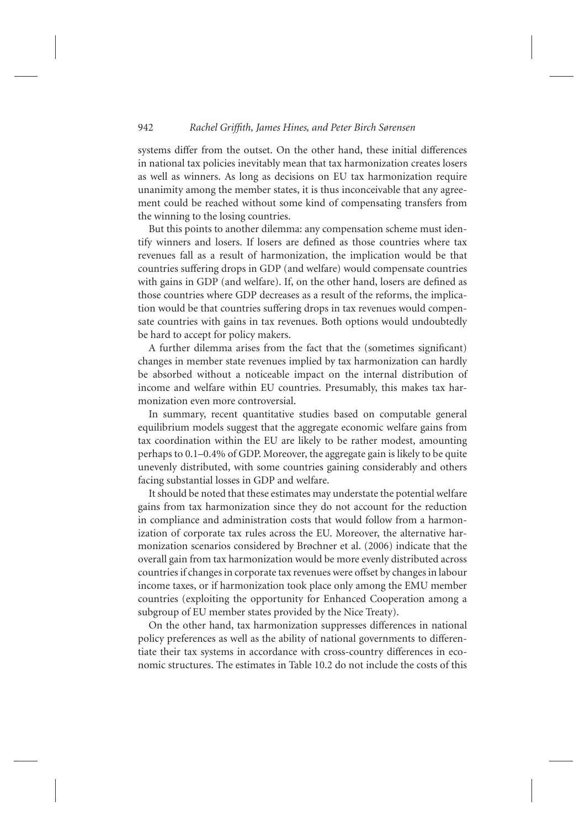systems differ from the outset. On the other hand, these initial differences in national tax policies inevitably mean that tax harmonization creates losers as well as winners. As long as decisions on EU tax harmonization require unanimity among the member states, it is thus inconceivable that any agreement could be reached without some kind of compensating transfers from the winning to the losing countries.

But this points to another dilemma: any compensation scheme must identify winners and losers. If losers are defined as those countries where tax revenues fall as a result of harmonization, the implication would be that countries suffering drops in GDP (and welfare) would compensate countries with gains in GDP (and welfare). If, on the other hand, losers are defined as those countries where GDP decreases as a result of the reforms, the implication would be that countries suffering drops in tax revenues would compensate countries with gains in tax revenues. Both options would undoubtedly be hard to accept for policy makers.

A further dilemma arises from the fact that the (sometimes significant) changes in member state revenues implied by tax harmonization can hardly be absorbed without a noticeable impact on the internal distribution of income and welfare within EU countries. Presumably, this makes tax harmonization even more controversial.

In summary, recent quantitative studies based on computable general equilibrium models suggest that the aggregate economic welfare gains from tax coordination within the EU are likely to be rather modest, amounting perhaps to 0.1–0.4% of GDP. Moreover, the aggregate gain is likely to be quite unevenly distributed, with some countries gaining considerably and others facing substantial losses in GDP and welfare.

It should be noted that these estimates may understate the potential welfare gains from tax harmonization since they do not account for the reduction in compliance and administration costs that would follow from a harmonization of corporate tax rules across the EU. Moreover, the alternative harmonization scenarios considered by Brøchner et al. (2006) indicate that the overall gain from tax harmonization would be more evenly distributed across countries if changes in corporate tax revenues were offset by changes in labour income taxes, or if harmonization took place only among the EMU member countries (exploiting the opportunity for Enhanced Cooperation among a subgroup of EU member states provided by the Nice Treaty).

On the other hand, tax harmonization suppresses differences in national policy preferences as well as the ability of national governments to differentiate their tax systems in accordance with cross-country differences in economic structures. The estimates in Table 10.2 do not include the costs of this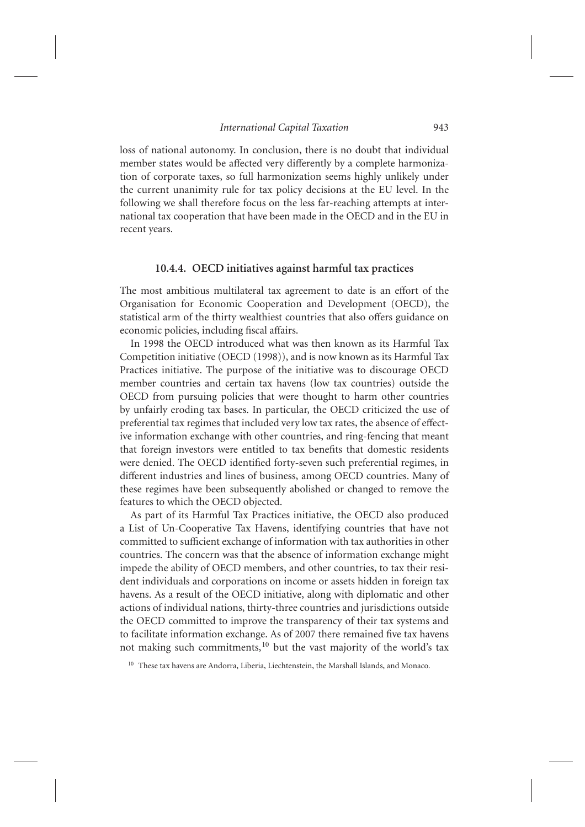loss of national autonomy. In conclusion, there is no doubt that individual member states would be affected very differently by a complete harmonization of corporate taxes, so full harmonization seems highly unlikely under the current unanimity rule for tax policy decisions at the EU level. In the following we shall therefore focus on the less far-reaching attempts at international tax cooperation that have been made in the OECD and in the EU in recent years.

#### **10.4.4. OECD initiatives against harmful tax practices**

The most ambitious multilateral tax agreement to date is an effort of the Organisation for Economic Cooperation and Development (OECD), the statistical arm of the thirty wealthiest countries that also offers guidance on economic policies, including fiscal affairs.

In 1998 the OECD introduced what was then known as its Harmful Tax Competition initiative (OECD (1998)), and is now known as its Harmful Tax Practices initiative. The purpose of the initiative was to discourage OECD member countries and certain tax havens (low tax countries) outside the OECD from pursuing policies that were thought to harm other countries by unfairly eroding tax bases. In particular, the OECD criticized the use of preferential tax regimes that included very low tax rates, the absence of effective information exchange with other countries, and ring-fencing that meant that foreign investors were entitled to tax benefits that domestic residents were denied. The OECD identified forty-seven such preferential regimes, in different industries and lines of business, among OECD countries. Many of these regimes have been subsequently abolished or changed to remove the features to which the OECD objected.

As part of its Harmful Tax Practices initiative, the OECD also produced a List of Un-Cooperative Tax Havens, identifying countries that have not committed to sufficient exchange of information with tax authorities in other countries. The concern was that the absence of information exchange might impede the ability of OECD members, and other countries, to tax their resident individuals and corporations on income or assets hidden in foreign tax havens. As a result of the OECD initiative, along with diplomatic and other actions of individual nations, thirty-three countries and jurisdictions outside the OECD committed to improve the transparency of their tax systems and to facilitate information exchange. As of 2007 there remained five tax havens not making such commitments,<sup>10</sup> but the vast majority of the world's tax

<sup>10</sup> These tax havens are Andorra, Liberia, Liechtenstein, the Marshall Islands, and Monaco.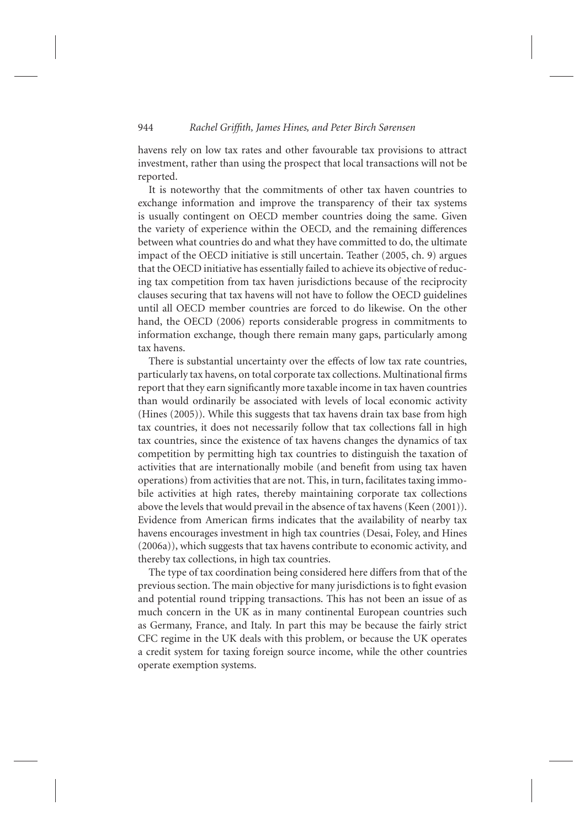havens rely on low tax rates and other favourable tax provisions to attract investment, rather than using the prospect that local transactions will not be reported.

It is noteworthy that the commitments of other tax haven countries to exchange information and improve the transparency of their tax systems is usually contingent on OECD member countries doing the same. Given the variety of experience within the OECD, and the remaining differences between what countries do and what they have committed to do, the ultimate impact of the OECD initiative is still uncertain. Teather (2005, ch. 9) argues that the OECD initiative has essentially failed to achieve its objective of reducing tax competition from tax haven jurisdictions because of the reciprocity clauses securing that tax havens will not have to follow the OECD guidelines until all OECD member countries are forced to do likewise. On the other hand, the OECD (2006) reports considerable progress in commitments to information exchange, though there remain many gaps, particularly among tax havens.

There is substantial uncertainty over the effects of low tax rate countries, particularly tax havens, on total corporate tax collections. Multinational firms report that they earn significantly more taxable income in tax haven countries than would ordinarily be associated with levels of local economic activity (Hines (2005)). While this suggests that tax havens drain tax base from high tax countries, it does not necessarily follow that tax collections fall in high tax countries, since the existence of tax havens changes the dynamics of tax competition by permitting high tax countries to distinguish the taxation of activities that are internationally mobile (and benefit from using tax haven operations) from activities that are not. This, in turn, facilitates taxing immobile activities at high rates, thereby maintaining corporate tax collections above the levels that would prevail in the absence of tax havens (Keen (2001)). Evidence from American firms indicates that the availability of nearby tax havens encourages investment in high tax countries (Desai, Foley, and Hines (2006a)), which suggests that tax havens contribute to economic activity, and thereby tax collections, in high tax countries.

The type of tax coordination being considered here differs from that of the previous section. The main objective for many jurisdictions is to fight evasion and potential round tripping transactions. This has not been an issue of as much concern in the UK as in many continental European countries such as Germany, France, and Italy. In part this may be because the fairly strict CFC regime in the UK deals with this problem, or because the UK operates a credit system for taxing foreign source income, while the other countries operate exemption systems.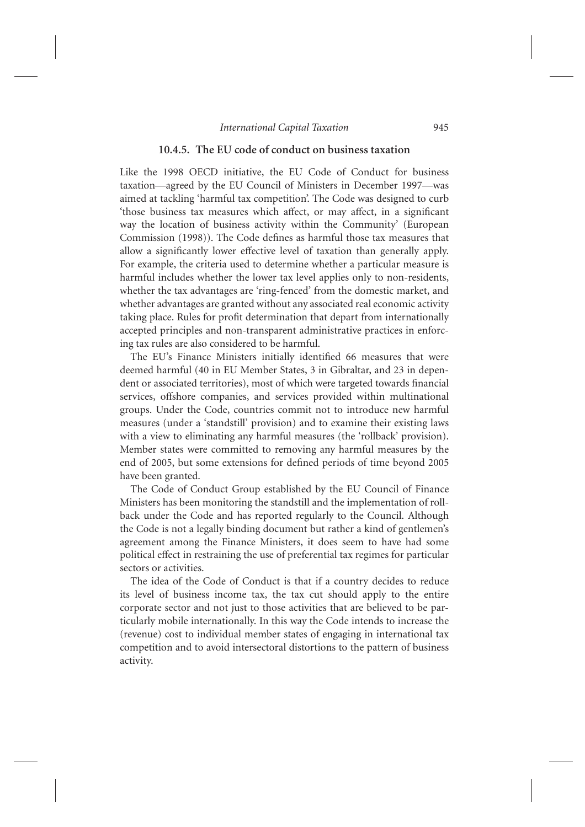#### *International Capital Taxation* 945

#### **10.4.5. The EU code of conduct on business taxation**

Like the 1998 OECD initiative, the EU Code of Conduct for business taxation—agreed by the EU Council of Ministers in December 1997—was aimed at tackling 'harmful tax competition'. The Code was designed to curb 'those business tax measures which affect, or may affect, in a significant way the location of business activity within the Community' (European Commission (1998)). The Code defines as harmful those tax measures that allow a significantly lower effective level of taxation than generally apply. For example, the criteria used to determine whether a particular measure is harmful includes whether the lower tax level applies only to non-residents, whether the tax advantages are 'ring-fenced' from the domestic market, and whether advantages are granted without any associated real economic activity taking place. Rules for profit determination that depart from internationally accepted principles and non-transparent administrative practices in enforcing tax rules are also considered to be harmful.

The EU's Finance Ministers initially identified 66 measures that were deemed harmful (40 in EU Member States, 3 in Gibraltar, and 23 in dependent or associated territories), most of which were targeted towards financial services, offshore companies, and services provided within multinational groups. Under the Code, countries commit not to introduce new harmful measures (under a 'standstill' provision) and to examine their existing laws with a view to eliminating any harmful measures (the 'rollback' provision). Member states were committed to removing any harmful measures by the end of 2005, but some extensions for defined periods of time beyond 2005 have been granted.

The Code of Conduct Group established by the EU Council of Finance Ministers has been monitoring the standstill and the implementation of rollback under the Code and has reported regularly to the Council. Although the Code is not a legally binding document but rather a kind of gentlemen's agreement among the Finance Ministers, it does seem to have had some political effect in restraining the use of preferential tax regimes for particular sectors or activities.

The idea of the Code of Conduct is that if a country decides to reduce its level of business income tax, the tax cut should apply to the entire corporate sector and not just to those activities that are believed to be particularly mobile internationally. In this way the Code intends to increase the (revenue) cost to individual member states of engaging in international tax competition and to avoid intersectoral distortions to the pattern of business activity.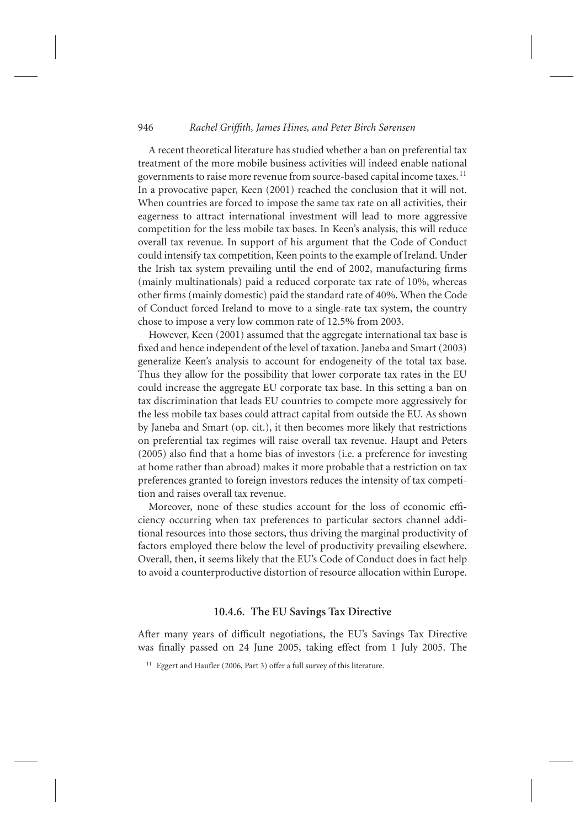A recent theoretical literature has studied whether a ban on preferential tax treatment of the more mobile business activities will indeed enable national governments to raise more revenue from source-based capital income taxes.<sup>11</sup> In a provocative paper, Keen (2001) reached the conclusion that it will not. When countries are forced to impose the same tax rate on all activities, their eagerness to attract international investment will lead to more aggressive competition for the less mobile tax bases. In Keen's analysis, this will reduce overall tax revenue. In support of his argument that the Code of Conduct could intensify tax competition, Keen points to the example of Ireland. Under the Irish tax system prevailing until the end of 2002, manufacturing firms (mainly multinationals) paid a reduced corporate tax rate of 10%, whereas other firms (mainly domestic) paid the standard rate of 40%. When the Code of Conduct forced Ireland to move to a single-rate tax system, the country chose to impose a very low common rate of 12.5% from 2003.

However, Keen (2001) assumed that the aggregate international tax base is fixed and hence independent of the level of taxation. Janeba and Smart (2003) generalize Keen's analysis to account for endogeneity of the total tax base. Thus they allow for the possibility that lower corporate tax rates in the EU could increase the aggregate EU corporate tax base. In this setting a ban on tax discrimination that leads EU countries to compete more aggressively for the less mobile tax bases could attract capital from outside the EU. As shown by Janeba and Smart (op. cit.), it then becomes more likely that restrictions on preferential tax regimes will raise overall tax revenue. Haupt and Peters (2005) also find that a home bias of investors (i.e. a preference for investing at home rather than abroad) makes it more probable that a restriction on tax preferences granted to foreign investors reduces the intensity of tax competition and raises overall tax revenue.

Moreover, none of these studies account for the loss of economic efficiency occurring when tax preferences to particular sectors channel additional resources into those sectors, thus driving the marginal productivity of factors employed there below the level of productivity prevailing elsewhere. Overall, then, it seems likely that the EU's Code of Conduct does in fact help to avoid a counterproductive distortion of resource allocation within Europe.

## **10.4.6. The EU Savings Tax Directive**

After many years of difficult negotiations, the EU's Savings Tax Directive was finally passed on 24 June 2005, taking effect from 1 July 2005. The

<sup>&</sup>lt;sup>11</sup> Eggert and Haufler (2006, Part 3) offer a full survey of this literature.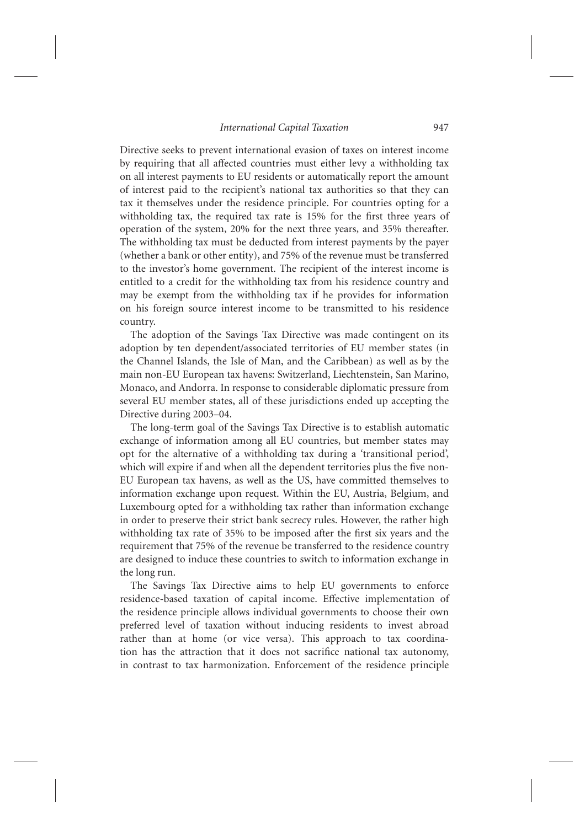## *International Capital Taxation* 947

Directive seeks to prevent international evasion of taxes on interest income by requiring that all affected countries must either levy a withholding tax on all interest payments to EU residents or automatically report the amount of interest paid to the recipient's national tax authorities so that they can tax it themselves under the residence principle. For countries opting for a withholding tax, the required tax rate is 15% for the first three years of operation of the system, 20% for the next three years, and 35% thereafter. The withholding tax must be deducted from interest payments by the payer (whether a bank or other entity), and 75% of the revenue must be transferred to the investor's home government. The recipient of the interest income is entitled to a credit for the withholding tax from his residence country and may be exempt from the withholding tax if he provides for information on his foreign source interest income to be transmitted to his residence country.

The adoption of the Savings Tax Directive was made contingent on its adoption by ten dependent/associated territories of EU member states (in the Channel Islands, the Isle of Man, and the Caribbean) as well as by the main non-EU European tax havens: Switzerland, Liechtenstein, San Marino, Monaco, and Andorra. In response to considerable diplomatic pressure from several EU member states, all of these jurisdictions ended up accepting the Directive during 2003–04.

The long-term goal of the Savings Tax Directive is to establish automatic exchange of information among all EU countries, but member states may opt for the alternative of a withholding tax during a 'transitional period', which will expire if and when all the dependent territories plus the five non-EU European tax havens, as well as the US, have committed themselves to information exchange upon request. Within the EU, Austria, Belgium, and Luxembourg opted for a withholding tax rather than information exchange in order to preserve their strict bank secrecy rules. However, the rather high withholding tax rate of 35% to be imposed after the first six years and the requirement that 75% of the revenue be transferred to the residence country are designed to induce these countries to switch to information exchange in the long run.

The Savings Tax Directive aims to help EU governments to enforce residence-based taxation of capital income. Effective implementation of the residence principle allows individual governments to choose their own preferred level of taxation without inducing residents to invest abroad rather than at home (or vice versa). This approach to tax coordination has the attraction that it does not sacrifice national tax autonomy, in contrast to tax harmonization. Enforcement of the residence principle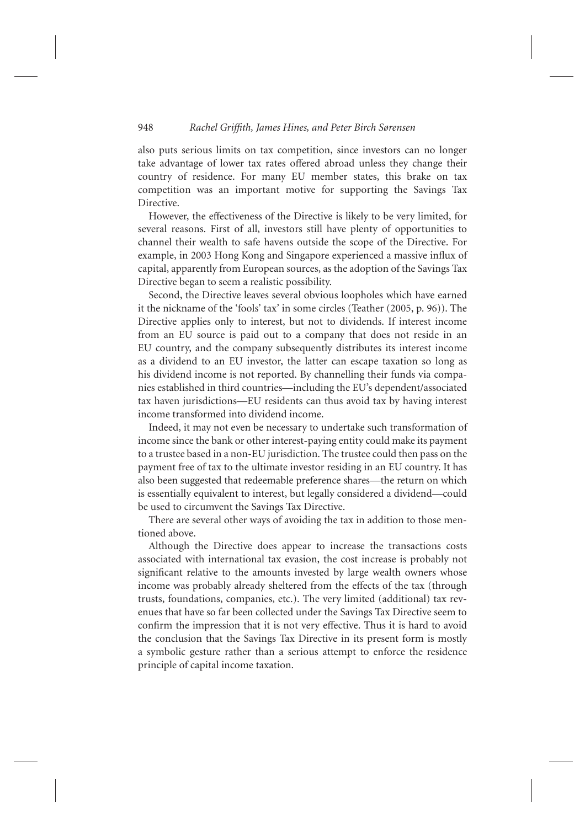also puts serious limits on tax competition, since investors can no longer take advantage of lower tax rates offered abroad unless they change their country of residence. For many EU member states, this brake on tax competition was an important motive for supporting the Savings Tax Directive.

However, the effectiveness of the Directive is likely to be very limited, for several reasons. First of all, investors still have plenty of opportunities to channel their wealth to safe havens outside the scope of the Directive. For example, in 2003 Hong Kong and Singapore experienced a massive influx of capital, apparently from European sources, as the adoption of the Savings Tax Directive began to seem a realistic possibility.

Second, the Directive leaves several obvious loopholes which have earned it the nickname of the 'fools' tax' in some circles (Teather (2005, p. 96)). The Directive applies only to interest, but not to dividends. If interest income from an EU source is paid out to a company that does not reside in an EU country, and the company subsequently distributes its interest income as a dividend to an EU investor, the latter can escape taxation so long as his dividend income is not reported. By channelling their funds via companies established in third countries—including the EU's dependent/associated tax haven jurisdictions—EU residents can thus avoid tax by having interest income transformed into dividend income.

Indeed, it may not even be necessary to undertake such transformation of income since the bank or other interest-paying entity could make its payment to a trustee based in a non-EU jurisdiction. The trustee could then pass on the payment free of tax to the ultimate investor residing in an EU country. It has also been suggested that redeemable preference shares—the return on which is essentially equivalent to interest, but legally considered a dividend—could be used to circumvent the Savings Tax Directive.

There are several other ways of avoiding the tax in addition to those mentioned above.

Although the Directive does appear to increase the transactions costs associated with international tax evasion, the cost increase is probably not significant relative to the amounts invested by large wealth owners whose income was probably already sheltered from the effects of the tax (through trusts, foundations, companies, etc.). The very limited (additional) tax revenues that have so far been collected under the Savings Tax Directive seem to confirm the impression that it is not very effective. Thus it is hard to avoid the conclusion that the Savings Tax Directive in its present form is mostly a symbolic gesture rather than a serious attempt to enforce the residence principle of capital income taxation.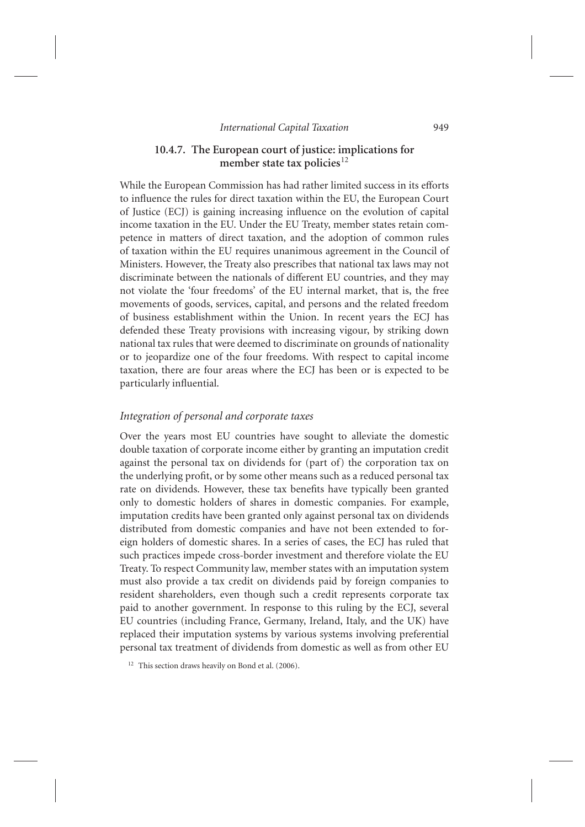# **10.4.7. The European court of justice: implications for member state tax policies**<sup>12</sup>

While the European Commission has had rather limited success in its efforts to influence the rules for direct taxation within the EU, the European Court of Justice (ECJ) is gaining increasing influence on the evolution of capital income taxation in the EU. Under the EU Treaty, member states retain competence in matters of direct taxation, and the adoption of common rules of taxation within the EU requires unanimous agreement in the Council of Ministers. However, the Treaty also prescribes that national tax laws may not discriminate between the nationals of different EU countries, and they may not violate the 'four freedoms' of the EU internal market, that is, the free movements of goods, services, capital, and persons and the related freedom of business establishment within the Union. In recent years the ECJ has defended these Treaty provisions with increasing vigour, by striking down national tax rules that were deemed to discriminate on grounds of nationality or to jeopardize one of the four freedoms. With respect to capital income taxation, there are four areas where the ECJ has been or is expected to be particularly influential.

## *Integration of personal and corporate taxes*

Over the years most EU countries have sought to alleviate the domestic double taxation of corporate income either by granting an imputation credit against the personal tax on dividends for (part of) the corporation tax on the underlying profit, or by some other means such as a reduced personal tax rate on dividends. However, these tax benefits have typically been granted only to domestic holders of shares in domestic companies. For example, imputation credits have been granted only against personal tax on dividends distributed from domestic companies and have not been extended to foreign holders of domestic shares. In a series of cases, the ECJ has ruled that such practices impede cross-border investment and therefore violate the EU Treaty. To respect Community law, member states with an imputation system must also provide a tax credit on dividends paid by foreign companies to resident shareholders, even though such a credit represents corporate tax paid to another government. In response to this ruling by the ECJ, several EU countries (including France, Germany, Ireland, Italy, and the UK) have replaced their imputation systems by various systems involving preferential personal tax treatment of dividends from domestic as well as from other EU

<sup>12</sup> This section draws heavily on Bond et al. (2006).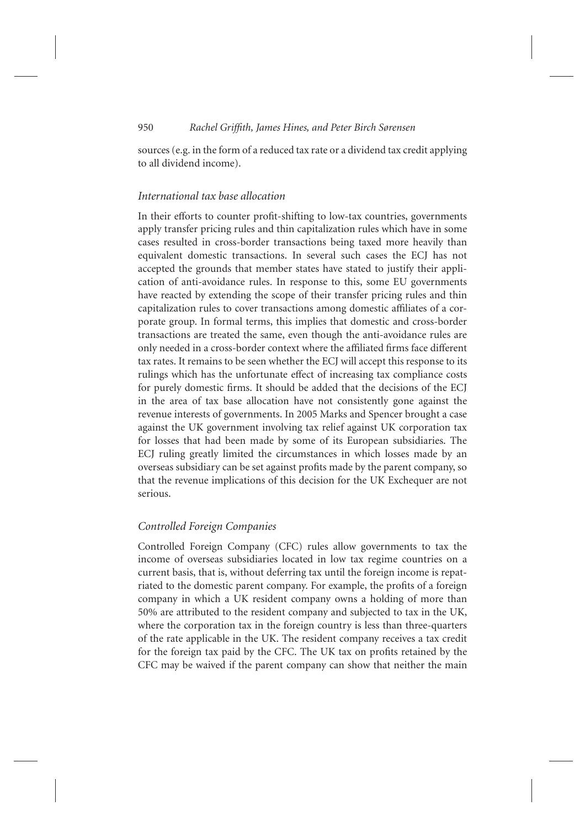sources (e.g. in the form of a reduced tax rate or a dividend tax credit applying to all dividend income).

#### *International tax base allocation*

In their efforts to counter profit-shifting to low-tax countries, governments apply transfer pricing rules and thin capitalization rules which have in some cases resulted in cross-border transactions being taxed more heavily than equivalent domestic transactions. In several such cases the ECJ has not accepted the grounds that member states have stated to justify their application of anti-avoidance rules. In response to this, some EU governments have reacted by extending the scope of their transfer pricing rules and thin capitalization rules to cover transactions among domestic affiliates of a corporate group. In formal terms, this implies that domestic and cross-border transactions are treated the same, even though the anti-avoidance rules are only needed in a cross-border context where the affiliated firms face different tax rates. It remains to be seen whether the ECJ will accept this response to its rulings which has the unfortunate effect of increasing tax compliance costs for purely domestic firms. It should be added that the decisions of the ECJ in the area of tax base allocation have not consistently gone against the revenue interests of governments. In 2005 Marks and Spencer brought a case against the UK government involving tax relief against UK corporation tax for losses that had been made by some of its European subsidiaries. The ECJ ruling greatly limited the circumstances in which losses made by an overseas subsidiary can be set against profits made by the parent company, so that the revenue implications of this decision for the UK Exchequer are not serious.

#### *Controlled Foreign Companies*

Controlled Foreign Company (CFC) rules allow governments to tax the income of overseas subsidiaries located in low tax regime countries on a current basis, that is, without deferring tax until the foreign income is repatriated to the domestic parent company. For example, the profits of a foreign company in which a UK resident company owns a holding of more than 50% are attributed to the resident company and subjected to tax in the UK, where the corporation tax in the foreign country is less than three-quarters of the rate applicable in the UK. The resident company receives a tax credit for the foreign tax paid by the CFC. The UK tax on profits retained by the CFC may be waived if the parent company can show that neither the main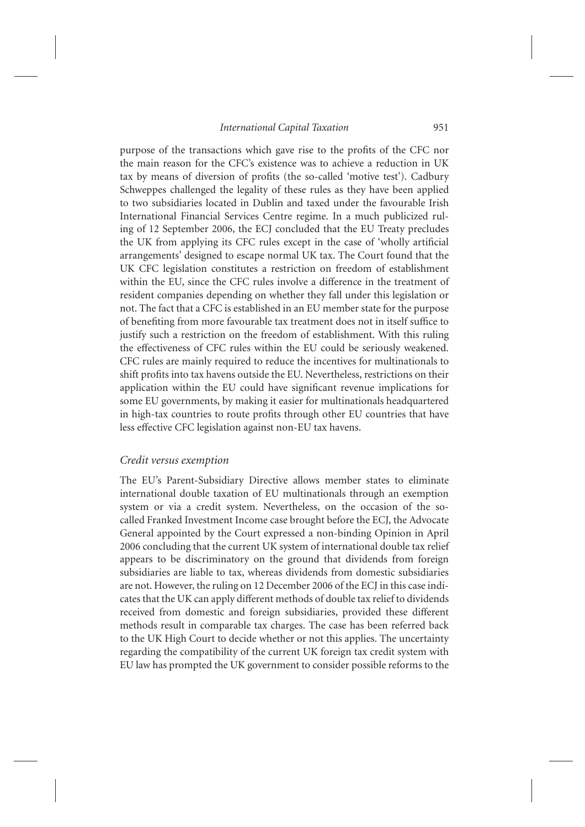purpose of the transactions which gave rise to the profits of the CFC nor the main reason for the CFC's existence was to achieve a reduction in UK tax by means of diversion of profits (the so-called 'motive test'). Cadbury Schweppes challenged the legality of these rules as they have been applied to two subsidiaries located in Dublin and taxed under the favourable Irish International Financial Services Centre regime. In a much publicized ruling of 12 September 2006, the ECJ concluded that the EU Treaty precludes the UK from applying its CFC rules except in the case of 'wholly artificial arrangements' designed to escape normal UK tax. The Court found that the UK CFC legislation constitutes a restriction on freedom of establishment within the EU, since the CFC rules involve a difference in the treatment of resident companies depending on whether they fall under this legislation or not. The fact that a CFC is established in an EU member state for the purpose of benefiting from more favourable tax treatment does not in itself suffice to justify such a restriction on the freedom of establishment. With this ruling the effectiveness of CFC rules within the EU could be seriously weakened. CFC rules are mainly required to reduce the incentives for multinationals to shift profits into tax havens outside the EU. Nevertheless, restrictions on their application within the EU could have significant revenue implications for some EU governments, by making it easier for multinationals headquartered in high-tax countries to route profits through other EU countries that have less effective CFC legislation against non-EU tax havens.

#### *Credit versus exemption*

The EU's Parent-Subsidiary Directive allows member states to eliminate international double taxation of EU multinationals through an exemption system or via a credit system. Nevertheless, on the occasion of the socalled Franked Investment Income case brought before the ECJ, the Advocate General appointed by the Court expressed a non-binding Opinion in April 2006 concluding that the current UK system of international double tax relief appears to be discriminatory on the ground that dividends from foreign subsidiaries are liable to tax, whereas dividends from domestic subsidiaries are not. However, the ruling on 12 December 2006 of the ECJ in this case indicates that the UK can apply different methods of double tax relief to dividends received from domestic and foreign subsidiaries, provided these different methods result in comparable tax charges. The case has been referred back to the UK High Court to decide whether or not this applies. The uncertainty regarding the compatibility of the current UK foreign tax credit system with EU law has prompted the UK government to consider possible reforms to the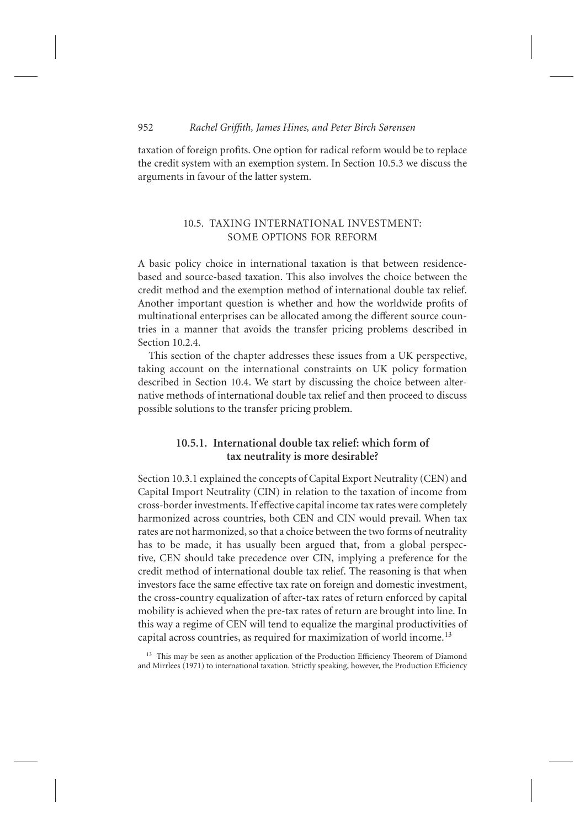taxation of foreign profits. One option for radical reform would be to replace the credit system with an exemption system. In Section 10.5.3 we discuss the arguments in favour of the latter system.

# 10.5. TAXING INTERNATIONAL INVESTMENT: SOME OPTIONS FOR REFORM

A basic policy choice in international taxation is that between residencebased and source-based taxation. This also involves the choice between the credit method and the exemption method of international double tax relief. Another important question is whether and how the worldwide profits of multinational enterprises can be allocated among the different source countries in a manner that avoids the transfer pricing problems described in Section 10.2.4.

This section of the chapter addresses these issues from a UK perspective, taking account on the international constraints on UK policy formation described in Section 10.4. We start by discussing the choice between alternative methods of international double tax relief and then proceed to discuss possible solutions to the transfer pricing problem.

# **10.5.1. International double tax relief: which form of tax neutrality is more desirable?**

Section 10.3.1 explained the concepts of Capital Export Neutrality (CEN) and Capital Import Neutrality (CIN) in relation to the taxation of income from cross-border investments. If effective capital income tax rates were completely harmonized across countries, both CEN and CIN would prevail. When tax rates are not harmonized, so that a choice between the two forms of neutrality has to be made, it has usually been argued that, from a global perspective, CEN should take precedence over CIN, implying a preference for the credit method of international double tax relief. The reasoning is that when investors face the same effective tax rate on foreign and domestic investment, the cross-country equalization of after-tax rates of return enforced by capital mobility is achieved when the pre-tax rates of return are brought into line. In this way a regime of CEN will tend to equalize the marginal productivities of capital across countries, as required for maximization of world income.<sup>13</sup>

<sup>13</sup> This may be seen as another application of the Production Efficiency Theorem of Diamond and Mirrlees (1971) to international taxation. Strictly speaking, however, the Production Efficiency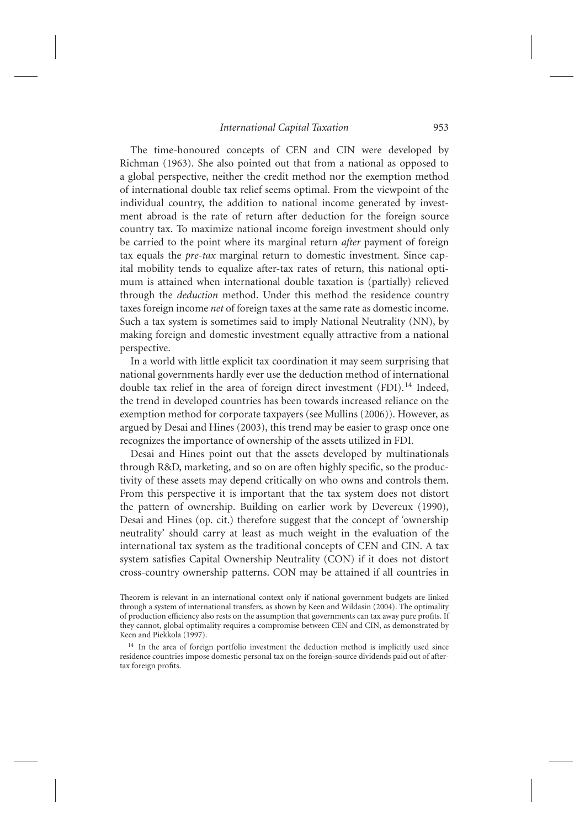The time-honoured concepts of CEN and CIN were developed by Richman (1963). She also pointed out that from a national as opposed to a global perspective, neither the credit method nor the exemption method of international double tax relief seems optimal. From the viewpoint of the individual country, the addition to national income generated by investment abroad is the rate of return after deduction for the foreign source country tax. To maximize national income foreign investment should only be carried to the point where its marginal return *after* payment of foreign tax equals the *pre-tax* marginal return to domestic investment. Since capital mobility tends to equalize after-tax rates of return, this national optimum is attained when international double taxation is (partially) relieved through the *deduction* method. Under this method the residence country taxes foreign income *net* of foreign taxes at the same rate as domestic income. Such a tax system is sometimes said to imply National Neutrality (NN), by making foreign and domestic investment equally attractive from a national perspective.

In a world with little explicit tax coordination it may seem surprising that national governments hardly ever use the deduction method of international double tax relief in the area of foreign direct investment  $(FDI)$ .<sup>14</sup> Indeed, the trend in developed countries has been towards increased reliance on the exemption method for corporate taxpayers (see Mullins (2006)). However, as argued by Desai and Hines (2003), this trend may be easier to grasp once one recognizes the importance of ownership of the assets utilized in FDI.

Desai and Hines point out that the assets developed by multinationals through R&D, marketing, and so on are often highly specific, so the productivity of these assets may depend critically on who owns and controls them. From this perspective it is important that the tax system does not distort the pattern of ownership. Building on earlier work by Devereux (1990), Desai and Hines (op. cit.) therefore suggest that the concept of 'ownership neutrality' should carry at least as much weight in the evaluation of the international tax system as the traditional concepts of CEN and CIN. A tax system satisfies Capital Ownership Neutrality (CON) if it does not distort cross-country ownership patterns. CON may be attained if all countries in

Theorem is relevant in an international context only if national government budgets are linked through a system of international transfers, as shown by Keen and Wildasin (2004). The optimality of production efficiency also rests on the assumption that governments can tax away pure profits. If they cannot, global optimality requires a compromise between CEN and CIN, as demonstrated by Keen and Piekkola (1997).

<sup>&</sup>lt;sup>14</sup> In the area of foreign portfolio investment the deduction method is implicitly used since residence countries impose domestic personal tax on the foreign-source dividends paid out of aftertax foreign profits.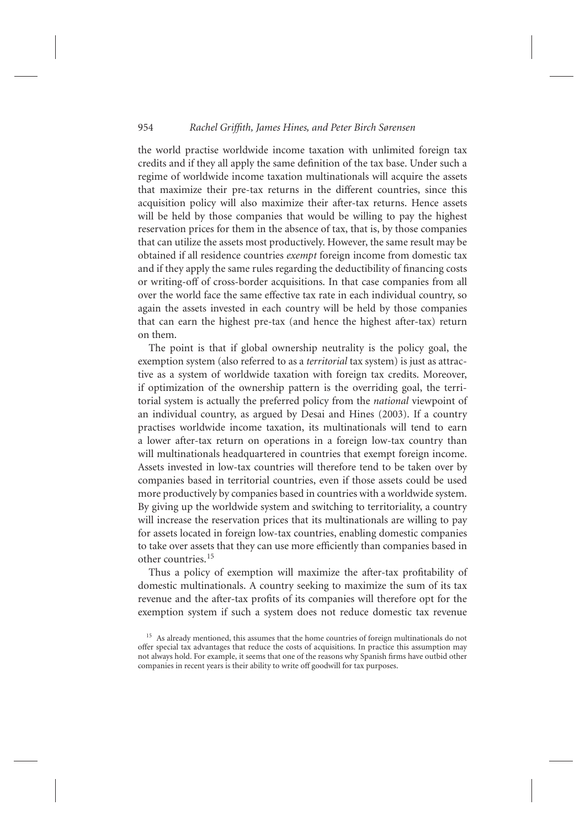the world practise worldwide income taxation with unlimited foreign tax credits and if they all apply the same definition of the tax base. Under such a regime of worldwide income taxation multinationals will acquire the assets that maximize their pre-tax returns in the different countries, since this acquisition policy will also maximize their after-tax returns. Hence assets will be held by those companies that would be willing to pay the highest reservation prices for them in the absence of tax, that is, by those companies that can utilize the assets most productively. However, the same result may be obtained if all residence countries *exempt* foreign income from domestic tax and if they apply the same rules regarding the deductibility of financing costs or writing-off of cross-border acquisitions. In that case companies from all over the world face the same effective tax rate in each individual country, so again the assets invested in each country will be held by those companies that can earn the highest pre-tax (and hence the highest after-tax) return on them.

The point is that if global ownership neutrality is the policy goal, the exemption system (also referred to as a *territorial* tax system) is just as attractive as a system of worldwide taxation with foreign tax credits. Moreover, if optimization of the ownership pattern is the overriding goal, the territorial system is actually the preferred policy from the *national* viewpoint of an individual country, as argued by Desai and Hines (2003). If a country practises worldwide income taxation, its multinationals will tend to earn a lower after-tax return on operations in a foreign low-tax country than will multinationals headquartered in countries that exempt foreign income. Assets invested in low-tax countries will therefore tend to be taken over by companies based in territorial countries, even if those assets could be used more productively by companies based in countries with a worldwide system. By giving up the worldwide system and switching to territoriality, a country will increase the reservation prices that its multinationals are willing to pay for assets located in foreign low-tax countries, enabling domestic companies to take over assets that they can use more efficiently than companies based in other countries.<sup>15</sup>

Thus a policy of exemption will maximize the after-tax profitability of domestic multinationals. A country seeking to maximize the sum of its tax revenue and the after-tax profits of its companies will therefore opt for the exemption system if such a system does not reduce domestic tax revenue

<sup>&</sup>lt;sup>15</sup> As already mentioned, this assumes that the home countries of foreign multinationals do not offer special tax advantages that reduce the costs of acquisitions. In practice this assumption may not always hold. For example, it seems that one of the reasons why Spanish firms have outbid other companies in recent years is their ability to write off goodwill for tax purposes.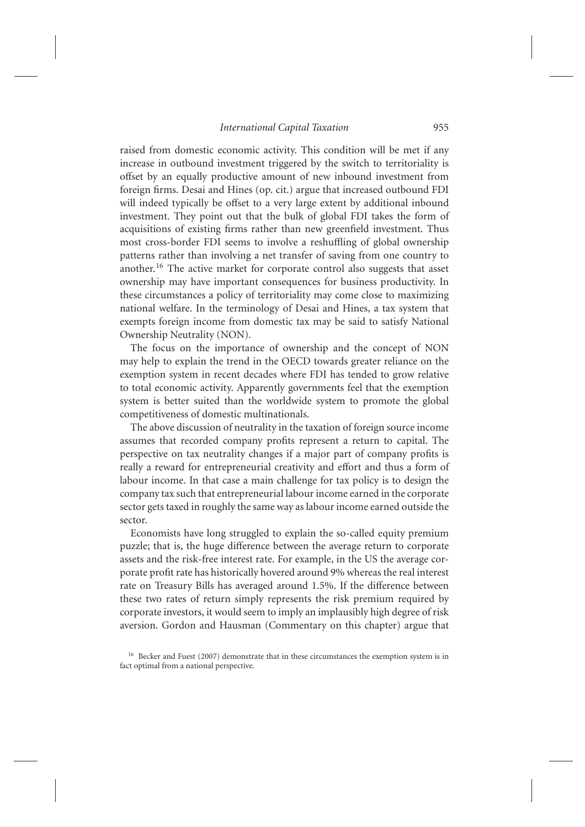raised from domestic economic activity. This condition will be met if any increase in outbound investment triggered by the switch to territoriality is offset by an equally productive amount of new inbound investment from foreign firms. Desai and Hines (op. cit.) argue that increased outbound FDI will indeed typically be offset to a very large extent by additional inbound investment. They point out that the bulk of global FDI takes the form of acquisitions of existing firms rather than new greenfield investment. Thus most cross-border FDI seems to involve a reshuffling of global ownership patterns rather than involving a net transfer of saving from one country to another.<sup>16</sup> The active market for corporate control also suggests that asset ownership may have important consequences for business productivity. In these circumstances a policy of territoriality may come close to maximizing national welfare. In the terminology of Desai and Hines, a tax system that exempts foreign income from domestic tax may be said to satisfy National Ownership Neutrality (NON).

The focus on the importance of ownership and the concept of NON may help to explain the trend in the OECD towards greater reliance on the exemption system in recent decades where FDI has tended to grow relative to total economic activity. Apparently governments feel that the exemption system is better suited than the worldwide system to promote the global competitiveness of domestic multinationals.

The above discussion of neutrality in the taxation of foreign source income assumes that recorded company profits represent a return to capital. The perspective on tax neutrality changes if a major part of company profits is really a reward for entrepreneurial creativity and effort and thus a form of labour income. In that case a main challenge for tax policy is to design the company tax such that entrepreneurial labour income earned in the corporate sector gets taxed in roughly the same way as labour income earned outside the sector.

Economists have long struggled to explain the so-called equity premium puzzle; that is, the huge difference between the average return to corporate assets and the risk-free interest rate. For example, in the US the average corporate profit rate has historically hovered around 9% whereas the real interest rate on Treasury Bills has averaged around 1.5%. If the difference between these two rates of return simply represents the risk premium required by corporate investors, it would seem to imply an implausibly high degree of risk aversion. Gordon and Hausman (Commentary on this chapter) argue that

<sup>&</sup>lt;sup>16</sup> Becker and Fuest (2007) demonstrate that in these circumstances the exemption system is in fact optimal from a national perspective.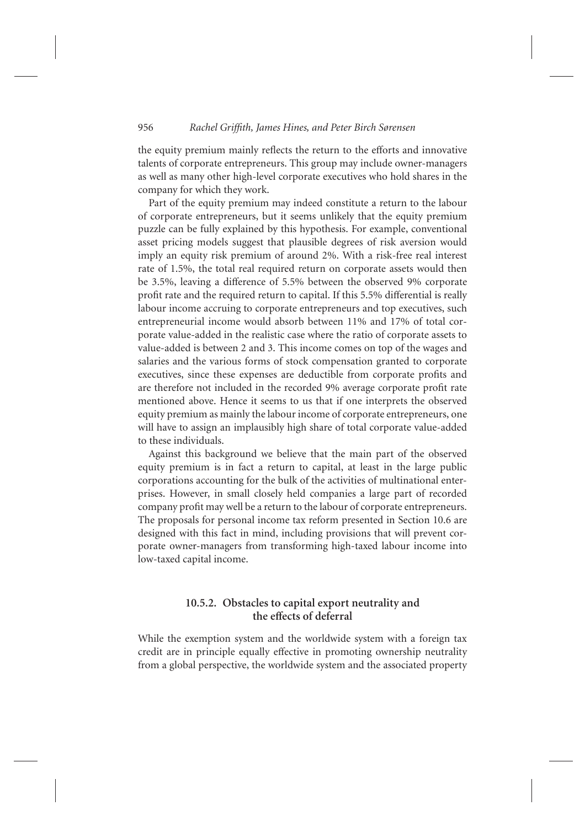the equity premium mainly reflects the return to the efforts and innovative talents of corporate entrepreneurs. This group may include owner-managers as well as many other high-level corporate executives who hold shares in the company for which they work.

Part of the equity premium may indeed constitute a return to the labour of corporate entrepreneurs, but it seems unlikely that the equity premium puzzle can be fully explained by this hypothesis. For example, conventional asset pricing models suggest that plausible degrees of risk aversion would imply an equity risk premium of around 2%. With a risk-free real interest rate of 1.5%, the total real required return on corporate assets would then be 3.5%, leaving a difference of 5.5% between the observed 9% corporate profit rate and the required return to capital. If this 5.5% differential is really labour income accruing to corporate entrepreneurs and top executives, such entrepreneurial income would absorb between 11% and 17% of total corporate value-added in the realistic case where the ratio of corporate assets to value-added is between 2 and 3. This income comes on top of the wages and salaries and the various forms of stock compensation granted to corporate executives, since these expenses are deductible from corporate profits and are therefore not included in the recorded 9% average corporate profit rate mentioned above. Hence it seems to us that if one interprets the observed equity premium as mainly the labour income of corporate entrepreneurs, one will have to assign an implausibly high share of total corporate value-added to these individuals.

Against this background we believe that the main part of the observed equity premium is in fact a return to capital, at least in the large public corporations accounting for the bulk of the activities of multinational enterprises. However, in small closely held companies a large part of recorded company profit may well be a return to the labour of corporate entrepreneurs. The proposals for personal income tax reform presented in Section 10.6 are designed with this fact in mind, including provisions that will prevent corporate owner-managers from transforming high-taxed labour income into low-taxed capital income.

# **10.5.2. Obstacles to capital export neutrality and the effects of deferral**

While the exemption system and the worldwide system with a foreign tax credit are in principle equally effective in promoting ownership neutrality from a global perspective, the worldwide system and the associated property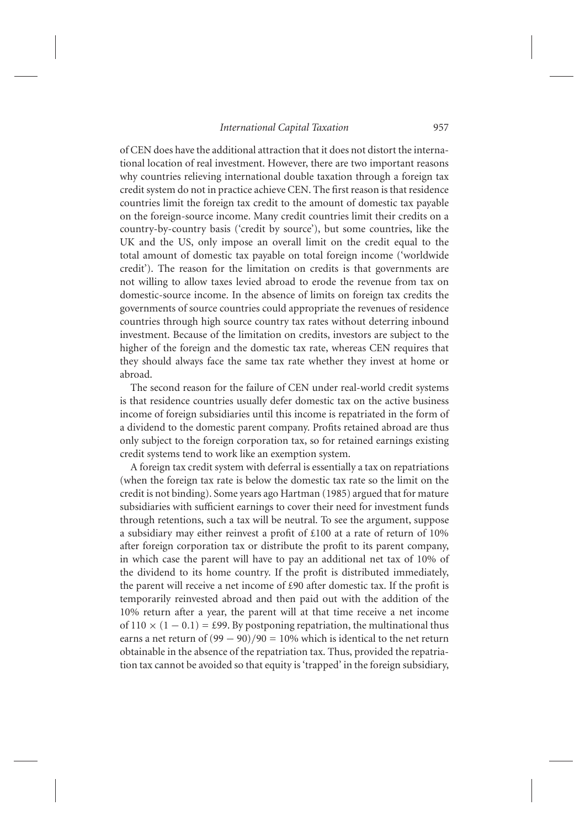of CEN does have the additional attraction that it does not distort the international location of real investment. However, there are two important reasons why countries relieving international double taxation through a foreign tax credit system do not in practice achieve CEN. The first reason is that residence countries limit the foreign tax credit to the amount of domestic tax payable on the foreign-source income. Many credit countries limit their credits on a country-by-country basis ('credit by source'), but some countries, like the UK and the US, only impose an overall limit on the credit equal to the total amount of domestic tax payable on total foreign income ('worldwide credit'). The reason for the limitation on credits is that governments are not willing to allow taxes levied abroad to erode the revenue from tax on domestic-source income. In the absence of limits on foreign tax credits the governments of source countries could appropriate the revenues of residence countries through high source country tax rates without deterring inbound investment. Because of the limitation on credits, investors are subject to the higher of the foreign and the domestic tax rate, whereas CEN requires that they should always face the same tax rate whether they invest at home or abroad.

The second reason for the failure of CEN under real-world credit systems is that residence countries usually defer domestic tax on the active business income of foreign subsidiaries until this income is repatriated in the form of a dividend to the domestic parent company. Profits retained abroad are thus only subject to the foreign corporation tax, so for retained earnings existing credit systems tend to work like an exemption system.

A foreign tax credit system with deferral is essentially a tax on repatriations (when the foreign tax rate is below the domestic tax rate so the limit on the credit is not binding). Some years ago Hartman (1985) argued that for mature subsidiaries with sufficient earnings to cover their need for investment funds through retentions, such a tax will be neutral. To see the argument, suppose a subsidiary may either reinvest a profit of £100 at a rate of return of 10% after foreign corporation tax or distribute the profit to its parent company, in which case the parent will have to pay an additional net tax of 10% of the dividend to its home country. If the profit is distributed immediately, the parent will receive a net income of £90 after domestic tax. If the profit is temporarily reinvested abroad and then paid out with the addition of the 10% return after a year, the parent will at that time receive a net income of  $110 \times (1 - 0.1) = £99$ . By postponing repatriation, the multinational thus earns a net return of  $(99 - 90)/90 = 10%$  which is identical to the net return obtainable in the absence of the repatriation tax. Thus, provided the repatriation tax cannot be avoided so that equity is 'trapped' in the foreign subsidiary,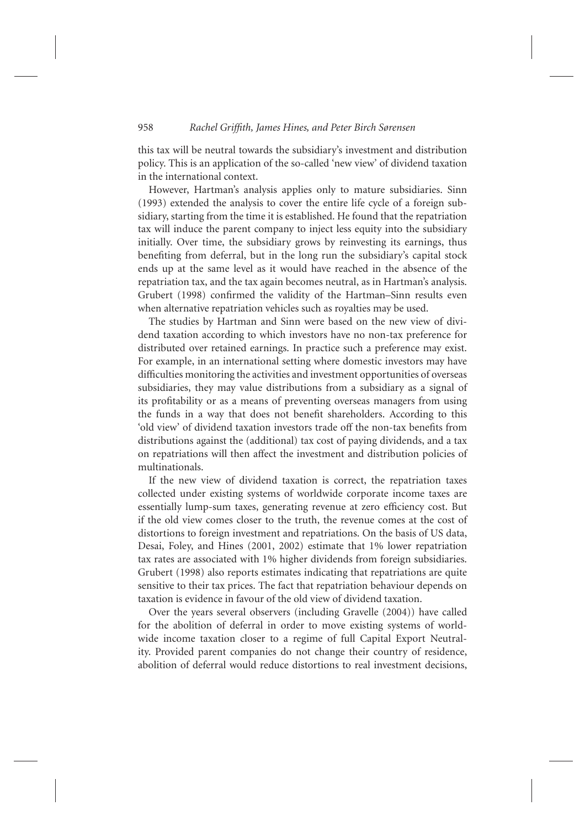this tax will be neutral towards the subsidiary's investment and distribution policy. This is an application of the so-called 'new view' of dividend taxation in the international context.

However, Hartman's analysis applies only to mature subsidiaries. Sinn (1993) extended the analysis to cover the entire life cycle of a foreign subsidiary, starting from the time it is established. He found that the repatriation tax will induce the parent company to inject less equity into the subsidiary initially. Over time, the subsidiary grows by reinvesting its earnings, thus benefiting from deferral, but in the long run the subsidiary's capital stock ends up at the same level as it would have reached in the absence of the repatriation tax, and the tax again becomes neutral, as in Hartman's analysis. Grubert (1998) confirmed the validity of the Hartman–Sinn results even when alternative repatriation vehicles such as royalties may be used.

The studies by Hartman and Sinn were based on the new view of dividend taxation according to which investors have no non-tax preference for distributed over retained earnings. In practice such a preference may exist. For example, in an international setting where domestic investors may have difficulties monitoring the activities and investment opportunities of overseas subsidiaries, they may value distributions from a subsidiary as a signal of its profitability or as a means of preventing overseas managers from using the funds in a way that does not benefit shareholders. According to this 'old view' of dividend taxation investors trade off the non-tax benefits from distributions against the (additional) tax cost of paying dividends, and a tax on repatriations will then affect the investment and distribution policies of multinationals.

If the new view of dividend taxation is correct, the repatriation taxes collected under existing systems of worldwide corporate income taxes are essentially lump-sum taxes, generating revenue at zero efficiency cost. But if the old view comes closer to the truth, the revenue comes at the cost of distortions to foreign investment and repatriations. On the basis of US data, Desai, Foley, and Hines (2001, 2002) estimate that 1% lower repatriation tax rates are associated with 1% higher dividends from foreign subsidiaries. Grubert (1998) also reports estimates indicating that repatriations are quite sensitive to their tax prices. The fact that repatriation behaviour depends on taxation is evidence in favour of the old view of dividend taxation.

Over the years several observers (including Gravelle (2004)) have called for the abolition of deferral in order to move existing systems of worldwide income taxation closer to a regime of full Capital Export Neutrality. Provided parent companies do not change their country of residence, abolition of deferral would reduce distortions to real investment decisions,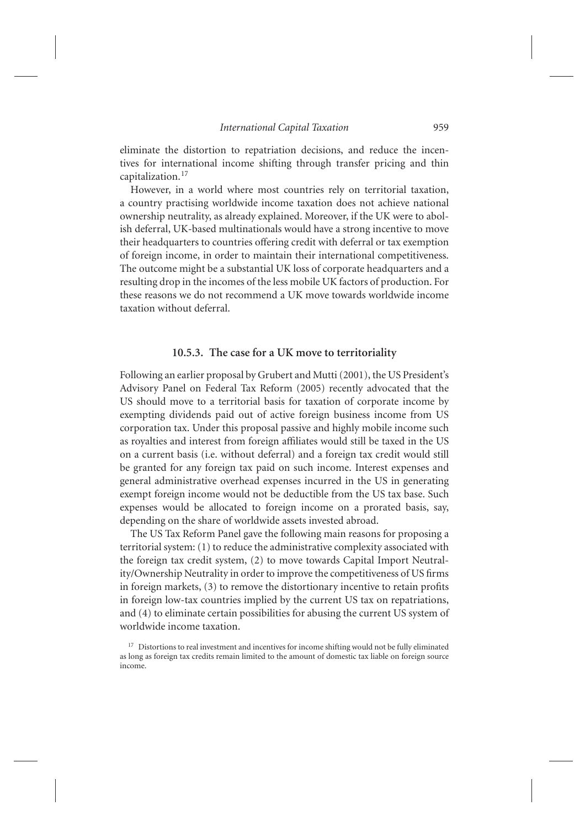eliminate the distortion to repatriation decisions, and reduce the incentives for international income shifting through transfer pricing and thin capitalization.<sup>17</sup>

However, in a world where most countries rely on territorial taxation, a country practising worldwide income taxation does not achieve national ownership neutrality, as already explained. Moreover, if the UK were to abolish deferral, UK-based multinationals would have a strong incentive to move their headquarters to countries offering credit with deferral or tax exemption of foreign income, in order to maintain their international competitiveness. The outcome might be a substantial UK loss of corporate headquarters and a resulting drop in the incomes of the less mobile UK factors of production. For these reasons we do not recommend a UK move towards worldwide income taxation without deferral.

#### **10.5.3. The case for a UK move to territoriality**

Following an earlier proposal by Grubert and Mutti (2001), the US President's Advisory Panel on Federal Tax Reform (2005) recently advocated that the US should move to a territorial basis for taxation of corporate income by exempting dividends paid out of active foreign business income from US corporation tax. Under this proposal passive and highly mobile income such as royalties and interest from foreign affiliates would still be taxed in the US on a current basis (i.e. without deferral) and a foreign tax credit would still be granted for any foreign tax paid on such income. Interest expenses and general administrative overhead expenses incurred in the US in generating exempt foreign income would not be deductible from the US tax base. Such expenses would be allocated to foreign income on a prorated basis, say, depending on the share of worldwide assets invested abroad.

The US Tax Reform Panel gave the following main reasons for proposing a territorial system: (1) to reduce the administrative complexity associated with the foreign tax credit system, (2) to move towards Capital Import Neutrality/Ownership Neutrality in order to improve the competitiveness of US firms in foreign markets, (3) to remove the distortionary incentive to retain profits in foreign low-tax countries implied by the current US tax on repatriations, and (4) to eliminate certain possibilities for abusing the current US system of worldwide income taxation.

<sup>17</sup> Distortions to real investment and incentives for income shifting would not be fully eliminated as long as foreign tax credits remain limited to the amount of domestic tax liable on foreign source income.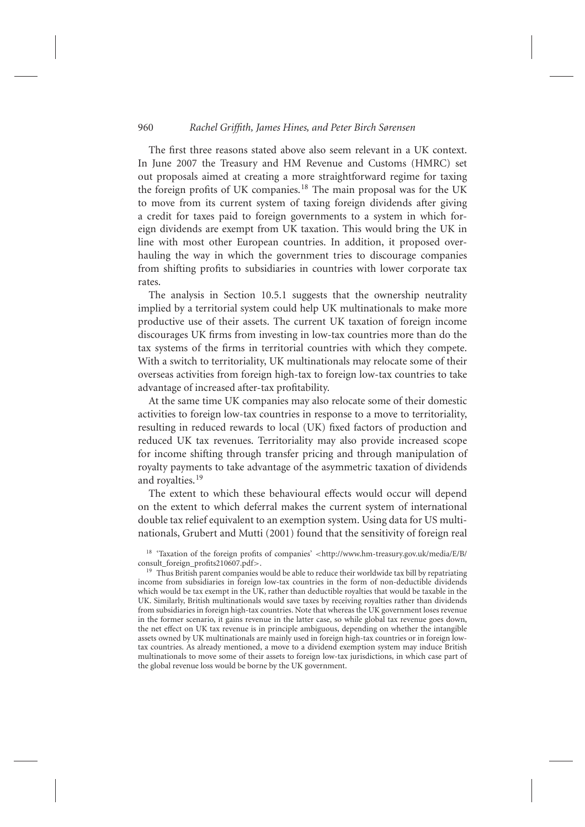The first three reasons stated above also seem relevant in a UK context. In June 2007 the Treasury and HM Revenue and Customs (HMRC) set out proposals aimed at creating a more straightforward regime for taxing the foreign profits of UK companies.<sup>18</sup> The main proposal was for the UK to move from its current system of taxing foreign dividends after giving a credit for taxes paid to foreign governments to a system in which foreign dividends are exempt from UK taxation. This would bring the UK in line with most other European countries. In addition, it proposed overhauling the way in which the government tries to discourage companies from shifting profits to subsidiaries in countries with lower corporate tax rates.

The analysis in Section 10.5.1 suggests that the ownership neutrality implied by a territorial system could help UK multinationals to make more productive use of their assets. The current UK taxation of foreign income discourages UK firms from investing in low-tax countries more than do the tax systems of the firms in territorial countries with which they compete. With a switch to territoriality, UK multinationals may relocate some of their overseas activities from foreign high-tax to foreign low-tax countries to take advantage of increased after-tax profitability.

At the same time UK companies may also relocate some of their domestic activities to foreign low-tax countries in response to a move to territoriality, resulting in reduced rewards to local (UK) fixed factors of production and reduced UK tax revenues. Territoriality may also provide increased scope for income shifting through transfer pricing and through manipulation of royalty payments to take advantage of the asymmetric taxation of dividends and royalties.<sup>19</sup>

The extent to which these behavioural effects would occur will depend on the extent to which deferral makes the current system of international double tax relief equivalent to an exemption system. Using data for US multinationals, Grubert and Mutti (2001) found that the sensitivity of foreign real

<sup>&</sup>lt;sup>18</sup> 'Taxation of the foreign profits of companies' <http://www.hm-treasury.gov.uk/media/E/B/ consult\_foreign\_profits210607.pdf>.

<sup>&</sup>lt;sup>19</sup> Thus British parent companies would be able to reduce their worldwide tax bill by repatriating income from subsidiaries in foreign low-tax countries in the form of non-deductible dividends which would be tax exempt in the UK, rather than deductible royalties that would be taxable in the UK. Similarly, British multinationals would save taxes by receiving royalties rather than dividends from subsidiaries in foreign high-tax countries. Note that whereas the UK government loses revenue in the former scenario, it gains revenue in the latter case, so while global tax revenue goes down, the net effect on UK tax revenue is in principle ambiguous, depending on whether the intangible assets owned by UK multinationals are mainly used in foreign high-tax countries or in foreign lowtax countries. As already mentioned, a move to a dividend exemption system may induce British multinationals to move some of their assets to foreign low-tax jurisdictions, in which case part of the global revenue loss would be borne by the UK government.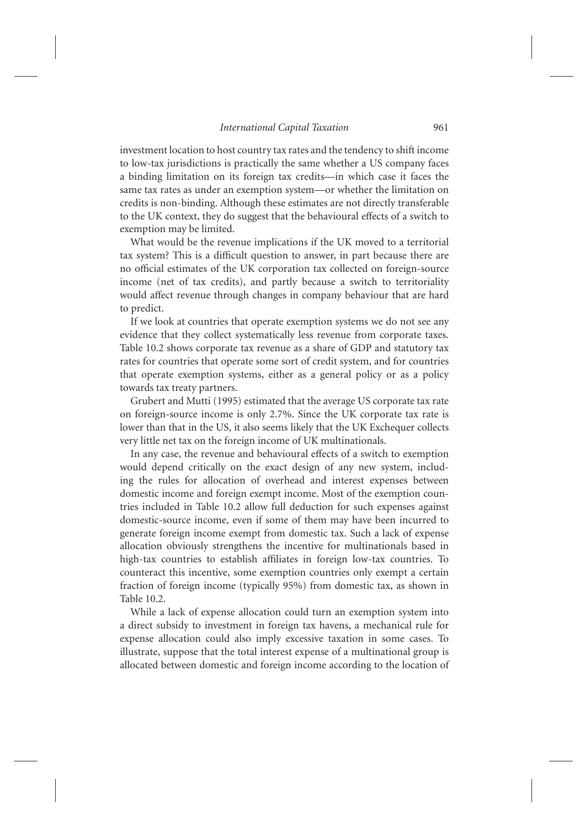investment location to host country tax rates and the tendency to shift income to low-tax jurisdictions is practically the same whether a US company faces a binding limitation on its foreign tax credits—in which case it faces the same tax rates as under an exemption system—or whether the limitation on credits is non-binding. Although these estimates are not directly transferable to the UK context, they do suggest that the behavioural effects of a switch to exemption may be limited.

What would be the revenue implications if the UK moved to a territorial tax system? This is a difficult question to answer, in part because there are no official estimates of the UK corporation tax collected on foreign-source income (net of tax credits), and partly because a switch to territoriality would affect revenue through changes in company behaviour that are hard to predict.

If we look at countries that operate exemption systems we do not see any evidence that they collect systematically less revenue from corporate taxes. Table 10.2 shows corporate tax revenue as a share of GDP and statutory tax rates for countries that operate some sort of credit system, and for countries that operate exemption systems, either as a general policy or as a policy towards tax treaty partners.

Grubert and Mutti (1995) estimated that the average US corporate tax rate on foreign-source income is only 2.7%. Since the UK corporate tax rate is lower than that in the US, it also seems likely that the UK Exchequer collects very little net tax on the foreign income of UK multinationals.

In any case, the revenue and behavioural effects of a switch to exemption would depend critically on the exact design of any new system, including the rules for allocation of overhead and interest expenses between domestic income and foreign exempt income. Most of the exemption countries included in Table 10.2 allow full deduction for such expenses against domestic-source income, even if some of them may have been incurred to generate foreign income exempt from domestic tax. Such a lack of expense allocation obviously strengthens the incentive for multinationals based in high-tax countries to establish affiliates in foreign low-tax countries. To counteract this incentive, some exemption countries only exempt a certain fraction of foreign income (typically 95%) from domestic tax, as shown in Table 10.2.

While a lack of expense allocation could turn an exemption system into a direct subsidy to investment in foreign tax havens, a mechanical rule for expense allocation could also imply excessive taxation in some cases. To illustrate, suppose that the total interest expense of a multinational group is allocated between domestic and foreign income according to the location of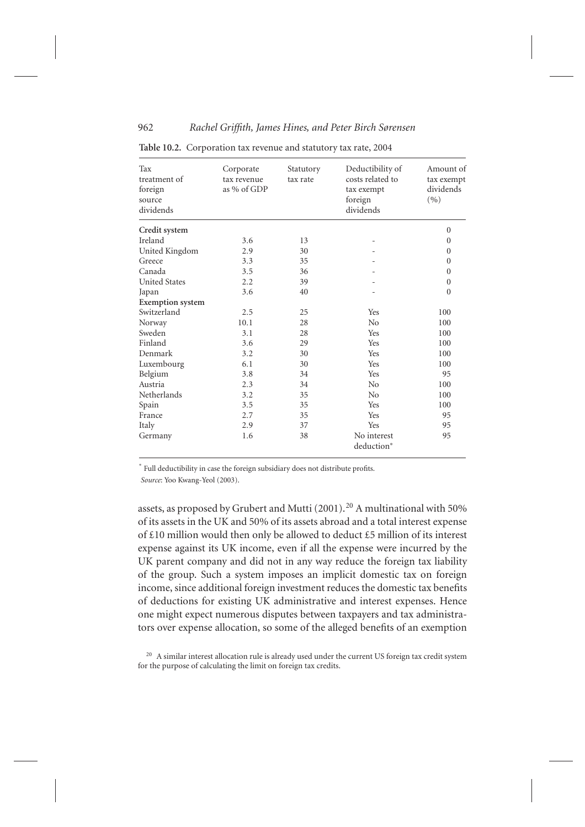| Tax<br>treatment of<br>foreign<br>source<br>dividends | Corporate<br>tax revenue<br>as % of GDP | Statutory<br>tax rate | Deductibility of<br>costs related to<br>tax exempt<br>foreign<br>dividends | Amount of<br>tax exempt<br>dividends<br>(%) |
|-------------------------------------------------------|-----------------------------------------|-----------------------|----------------------------------------------------------------------------|---------------------------------------------|
| Credit system                                         |                                         |                       |                                                                            | $\mathbf{0}$                                |
| Ireland                                               | 3.6                                     | 13                    |                                                                            | $\mathbf{0}$                                |
| United Kingdom                                        | 2.9                                     | 30                    |                                                                            | $\mathbf{0}$                                |
| Greece                                                | 3.3                                     | 35                    |                                                                            | $\mathbf{0}$                                |
| Canada                                                | 3.5                                     | 36                    |                                                                            | $\mathbf{0}$                                |
| <b>United States</b>                                  | 2.2                                     | 39                    |                                                                            | $\mathbf{0}$                                |
| Japan                                                 | 3.6                                     | 40                    |                                                                            | $\mathbf{0}$                                |
| Exemption system                                      |                                         |                       |                                                                            |                                             |
| Switzerland                                           | 2.5                                     | 25                    | <b>Yes</b>                                                                 | 100                                         |
| Norway                                                | 10.1                                    | 28                    | No                                                                         | 100                                         |
| Sweden                                                | 3.1                                     | 28                    | Yes                                                                        | 100                                         |
| Finland                                               | 3.6                                     | 29                    | Yes                                                                        | 100                                         |
| Denmark                                               | 3.2                                     | 30                    | Yes                                                                        | 100                                         |
| Luxembourg                                            | 6.1                                     | 30                    | <b>Yes</b>                                                                 | 100                                         |
| Belgium                                               | 3.8                                     | 34                    | Yes                                                                        | 95                                          |
| Austria                                               | 2.3                                     | 34                    | No                                                                         | 100                                         |
| Netherlands                                           | 3.2                                     | 35                    | No                                                                         | 100                                         |
| Spain                                                 | 3.5                                     | 35                    | Yes                                                                        | 100                                         |
| France                                                | 2.7                                     | 35                    | Yes                                                                        | 95                                          |
| Italy                                                 | 2.9                                     | 37                    | Yes                                                                        | 95                                          |
| Germany                                               | 1.6                                     | 38                    | No interest<br>95<br>deduction*                                            |                                             |

**Table 10.2.** Corporation tax revenue and statutory tax rate, 2004

∗ Full deductibility in case the foreign subsidiary does not distribute profits.

*Source*: Yoo Kwang-Yeol (2003).

assets, as proposed by Grubert and Mutti (2001).<sup>20</sup> A multinational with 50% of its assets in the UK and 50% of its assets abroad and a total interest expense of £10 million would then only be allowed to deduct £5 million of its interest expense against its UK income, even if all the expense were incurred by the UK parent company and did not in any way reduce the foreign tax liability of the group. Such a system imposes an implicit domestic tax on foreign income, since additional foreign investment reduces the domestic tax benefits of deductions for existing UK administrative and interest expenses. Hence one might expect numerous disputes between taxpayers and tax administrators over expense allocation, so some of the alleged benefits of an exemption

<sup>20</sup> A similar interest allocation rule is already used under the current US foreign tax credit system for the purpose of calculating the limit on foreign tax credits.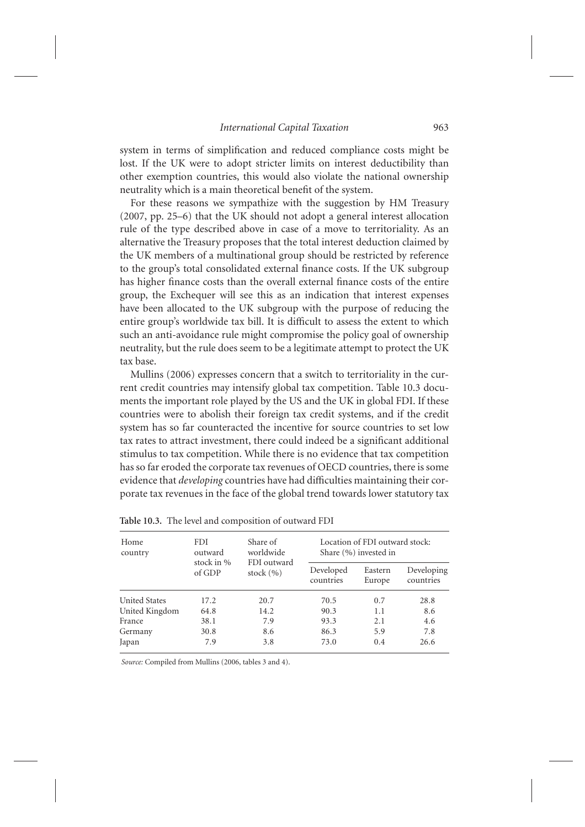system in terms of simplification and reduced compliance costs might be lost. If the UK were to adopt stricter limits on interest deductibility than other exemption countries, this would also violate the national ownership neutrality which is a main theoretical benefit of the system.

For these reasons we sympathize with the suggestion by HM Treasury (2007, pp. 25–6) that the UK should not adopt a general interest allocation rule of the type described above in case of a move to territoriality. As an alternative the Treasury proposes that the total interest deduction claimed by the UK members of a multinational group should be restricted by reference to the group's total consolidated external finance costs. If the UK subgroup has higher finance costs than the overall external finance costs of the entire group, the Exchequer will see this as an indication that interest expenses have been allocated to the UK subgroup with the purpose of reducing the entire group's worldwide tax bill. It is difficult to assess the extent to which such an anti-avoidance rule might compromise the policy goal of ownership neutrality, but the rule does seem to be a legitimate attempt to protect the UK tax base.

Mullins (2006) expresses concern that a switch to territoriality in the current credit countries may intensify global tax competition. Table 10.3 documents the important role played by the US and the UK in global FDI. If these countries were to abolish their foreign tax credit systems, and if the credit system has so far counteracted the incentive for source countries to set low tax rates to attract investment, there could indeed be a significant additional stimulus to tax competition. While there is no evidence that tax competition has so far eroded the corporate tax revenues of OECD countries, there is some evidence that *developing* countries have had difficulties maintaining their corporate tax revenues in the face of the global trend towards lower statutory tax

| Home<br>country      | <b>FDI</b><br>outward<br>stock in %<br>of GDP | Share of<br>worldwide<br>FDI outward<br>stock $(\% )$ | Location of FDI outward stock:<br>Share (%) invested in |                   |                         |
|----------------------|-----------------------------------------------|-------------------------------------------------------|---------------------------------------------------------|-------------------|-------------------------|
|                      |                                               |                                                       | Developed<br>countries                                  | Eastern<br>Europe | Developing<br>countries |
| <b>United States</b> | 17.2                                          | 20.7                                                  | 70.5                                                    | 0.7               | 28.8                    |
| United Kingdom       | 64.8                                          | 14.2                                                  | 90.3                                                    | 1.1               | 8.6                     |
| France               | 38.1                                          | 7.9                                                   | 93.3                                                    | 2.1               | 4.6                     |
| Germany              | 30.8                                          | 8.6                                                   | 86.3                                                    | 5.9               | 7.8                     |
| Japan                | 7.9                                           | 3.8                                                   | 73.0                                                    | 0.4               | 26.6                    |

**Table 10.3.** The level and composition of outward FDI

*Source:* Compiled from Mullins (2006, tables 3 and 4).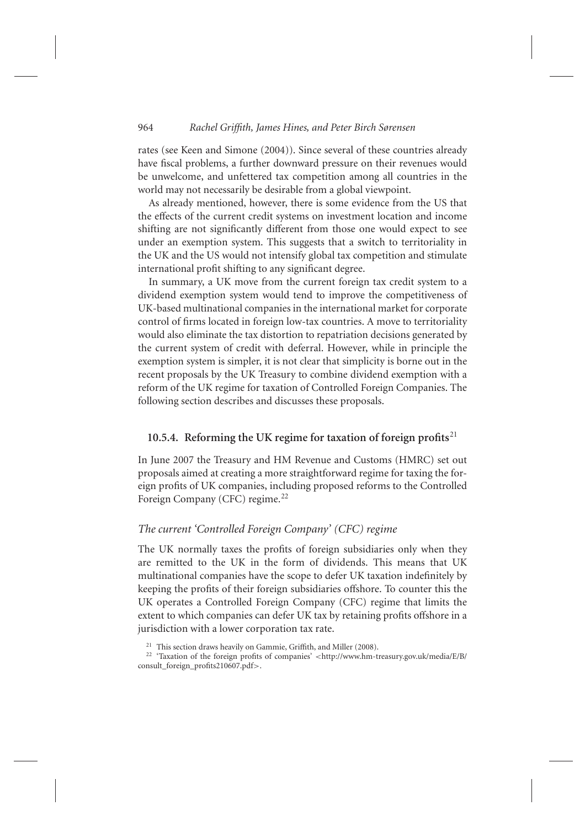rates (see Keen and Simone (2004)). Since several of these countries already have fiscal problems, a further downward pressure on their revenues would be unwelcome, and unfettered tax competition among all countries in the world may not necessarily be desirable from a global viewpoint.

As already mentioned, however, there is some evidence from the US that the effects of the current credit systems on investment location and income shifting are not significantly different from those one would expect to see under an exemption system. This suggests that a switch to territoriality in the UK and the US would not intensify global tax competition and stimulate international profit shifting to any significant degree.

In summary, a UK move from the current foreign tax credit system to a dividend exemption system would tend to improve the competitiveness of UK-based multinational companies in the international market for corporate control of firms located in foreign low-tax countries. A move to territoriality would also eliminate the tax distortion to repatriation decisions generated by the current system of credit with deferral. However, while in principle the exemption system is simpler, it is not clear that simplicity is borne out in the recent proposals by the UK Treasury to combine dividend exemption with a reform of the UK regime for taxation of Controlled Foreign Companies. The following section describes and discusses these proposals.

## **10.5.4. Reforming the UK regime for taxation of foreign profits**<sup>21</sup>

In June 2007 the Treasury and HM Revenue and Customs (HMRC) set out proposals aimed at creating a more straightforward regime for taxing the foreign profits of UK companies, including proposed reforms to the Controlled Foreign Company (CFC) regime.<sup>22</sup>

#### *The current 'Controlled Foreign Company' (CFC) regime*

The UK normally taxes the profits of foreign subsidiaries only when they are remitted to the UK in the form of dividends. This means that UK multinational companies have the scope to defer UK taxation indefinitely by keeping the profits of their foreign subsidiaries offshore. To counter this the UK operates a Controlled Foreign Company (CFC) regime that limits the extent to which companies can defer UK tax by retaining profits offshore in a jurisdiction with a lower corporation tax rate.

 $21$  This section draws heavily on Gammie, Griffith, and Miller (2008).

<sup>22</sup> 'Taxation of the foreign profits of companies' <http://www.hm-treasury.gov.uk/media/E/B/ consult\_foreign\_profits210607.pdf>.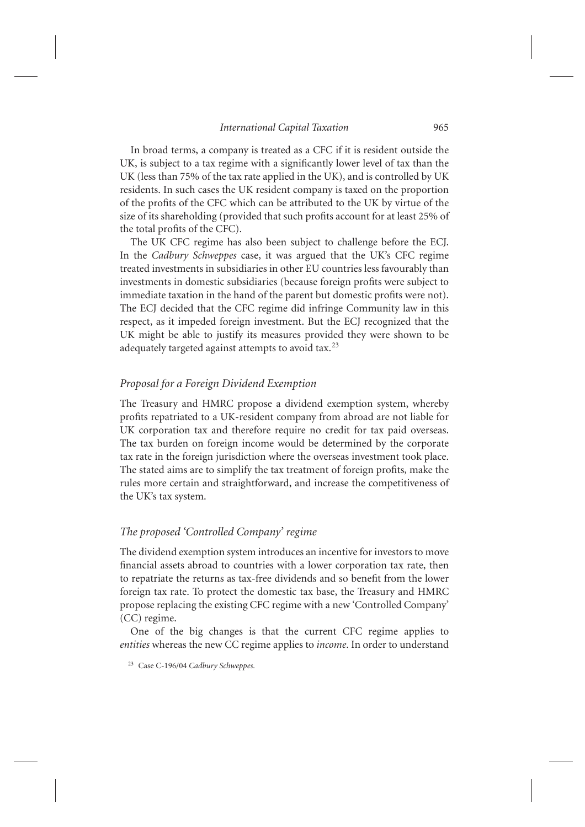In broad terms, a company is treated as a CFC if it is resident outside the UK, is subject to a tax regime with a significantly lower level of tax than the UK (less than 75% of the tax rate applied in the UK), and is controlled by UK residents. In such cases the UK resident company is taxed on the proportion of the profits of the CFC which can be attributed to the UK by virtue of the size of its shareholding (provided that such profits account for at least 25% of the total profits of the CFC).

The UK CFC regime has also been subject to challenge before the ECJ. In the *Cadbury Schweppes* case, it was argued that the UK's CFC regime treated investments in subsidiaries in other EU countries less favourably than investments in domestic subsidiaries (because foreign profits were subject to immediate taxation in the hand of the parent but domestic profits were not). The ECJ decided that the CFC regime did infringe Community law in this respect, as it impeded foreign investment. But the ECJ recognized that the UK might be able to justify its measures provided they were shown to be adequately targeted against attempts to avoid tax.<sup>23</sup>

# *Proposal for a Foreign Dividend Exemption*

The Treasury and HMRC propose a dividend exemption system, whereby profits repatriated to a UK-resident company from abroad are not liable for UK corporation tax and therefore require no credit for tax paid overseas. The tax burden on foreign income would be determined by the corporate tax rate in the foreign jurisdiction where the overseas investment took place. The stated aims are to simplify the tax treatment of foreign profits, make the rules more certain and straightforward, and increase the competitiveness of the UK's tax system.

#### *The proposed 'Controlled Company' regime*

The dividend exemption system introduces an incentive for investors to move financial assets abroad to countries with a lower corporation tax rate, then to repatriate the returns as tax-free dividends and so benefit from the lower foreign tax rate. To protect the domestic tax base, the Treasury and HMRC propose replacing the existing CFC regime with a new 'Controlled Company' (CC) regime.

One of the big changes is that the current CFC regime applies to *entities* whereas the new CC regime applies to *income*. In order to understand

<sup>23</sup> Case C-196/04 *Cadbury Schweppes*.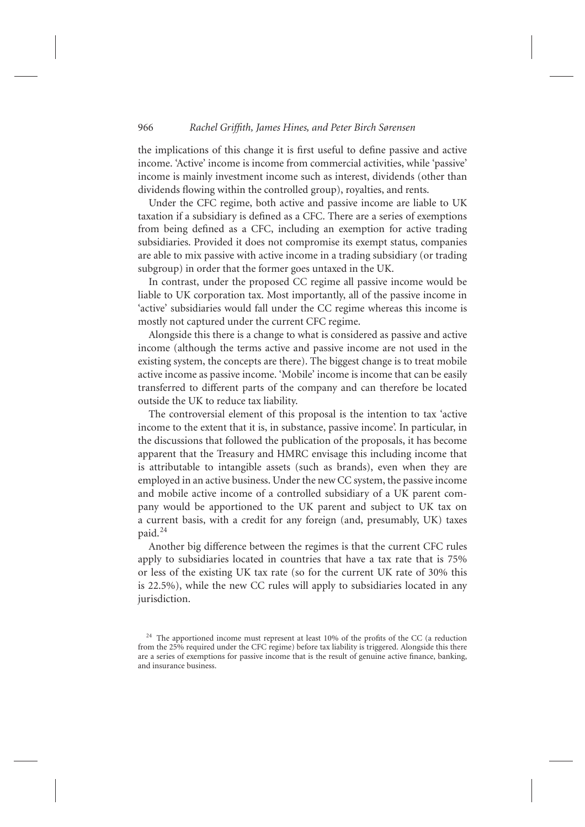the implications of this change it is first useful to define passive and active income. 'Active' income is income from commercial activities, while 'passive' income is mainly investment income such as interest, dividends (other than dividends flowing within the controlled group), royalties, and rents.

Under the CFC regime, both active and passive income are liable to UK taxation if a subsidiary is defined as a CFC. There are a series of exemptions from being defined as a CFC, including an exemption for active trading subsidiaries. Provided it does not compromise its exempt status, companies are able to mix passive with active income in a trading subsidiary (or trading subgroup) in order that the former goes untaxed in the UK.

In contrast, under the proposed CC regime all passive income would be liable to UK corporation tax. Most importantly, all of the passive income in 'active' subsidiaries would fall under the CC regime whereas this income is mostly not captured under the current CFC regime.

Alongside this there is a change to what is considered as passive and active income (although the terms active and passive income are not used in the existing system, the concepts are there). The biggest change is to treat mobile active income as passive income. 'Mobile' income is income that can be easily transferred to different parts of the company and can therefore be located outside the UK to reduce tax liability.

The controversial element of this proposal is the intention to tax 'active income to the extent that it is, in substance, passive income'. In particular, in the discussions that followed the publication of the proposals, it has become apparent that the Treasury and HMRC envisage this including income that is attributable to intangible assets (such as brands), even when they are employed in an active business. Under the new CC system, the passive income and mobile active income of a controlled subsidiary of a UK parent company would be apportioned to the UK parent and subject to UK tax on a current basis, with a credit for any foreign (and, presumably, UK) taxes paid.<sup>24</sup>

Another big difference between the regimes is that the current CFC rules apply to subsidiaries located in countries that have a tax rate that is 75% or less of the existing UK tax rate (so for the current UK rate of 30% this is 22.5%), while the new CC rules will apply to subsidiaries located in any jurisdiction.

<sup>&</sup>lt;sup>24</sup> The apportioned income must represent at least 10% of the profits of the CC (a reduction from the 25% required under the CFC regime) before tax liability is triggered. Alongside this there are a series of exemptions for passive income that is the result of genuine active finance, banking, and insurance business.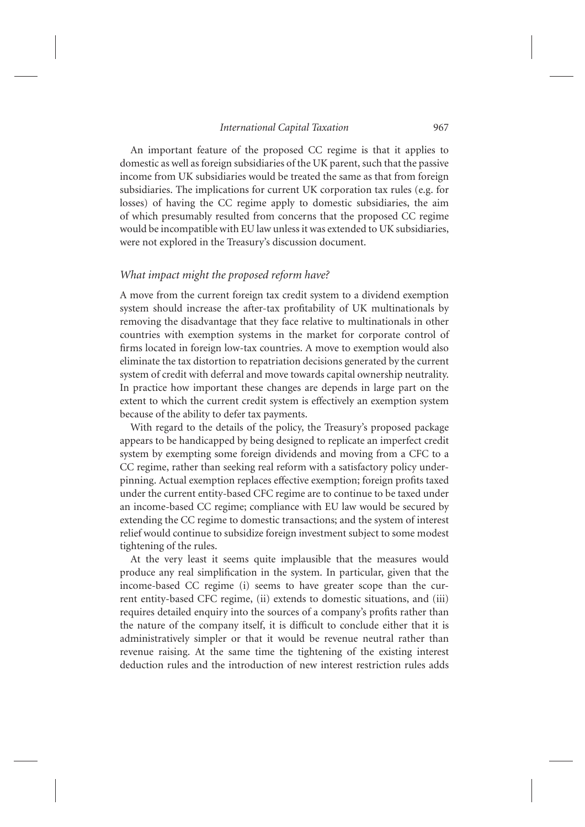An important feature of the proposed CC regime is that it applies to domestic as well as foreign subsidiaries of the UK parent, such that the passive income from UK subsidiaries would be treated the same as that from foreign subsidiaries. The implications for current UK corporation tax rules (e.g. for losses) of having the CC regime apply to domestic subsidiaries, the aim of which presumably resulted from concerns that the proposed CC regime would be incompatible with EU law unless it was extended to UK subsidiaries, were not explored in the Treasury's discussion document.

#### *What impact might the proposed reform have?*

A move from the current foreign tax credit system to a dividend exemption system should increase the after-tax profitability of UK multinationals by removing the disadvantage that they face relative to multinationals in other countries with exemption systems in the market for corporate control of firms located in foreign low-tax countries. A move to exemption would also eliminate the tax distortion to repatriation decisions generated by the current system of credit with deferral and move towards capital ownership neutrality. In practice how important these changes are depends in large part on the extent to which the current credit system is effectively an exemption system because of the ability to defer tax payments.

With regard to the details of the policy, the Treasury's proposed package appears to be handicapped by being designed to replicate an imperfect credit system by exempting some foreign dividends and moving from a CFC to a CC regime, rather than seeking real reform with a satisfactory policy underpinning. Actual exemption replaces effective exemption; foreign profits taxed under the current entity-based CFC regime are to continue to be taxed under an income-based CC regime; compliance with EU law would be secured by extending the CC regime to domestic transactions; and the system of interest relief would continue to subsidize foreign investment subject to some modest tightening of the rules.

At the very least it seems quite implausible that the measures would produce any real simplification in the system. In particular, given that the income-based CC regime (i) seems to have greater scope than the current entity-based CFC regime, (ii) extends to domestic situations, and (iii) requires detailed enquiry into the sources of a company's profits rather than the nature of the company itself, it is difficult to conclude either that it is administratively simpler or that it would be revenue neutral rather than revenue raising. At the same time the tightening of the existing interest deduction rules and the introduction of new interest restriction rules adds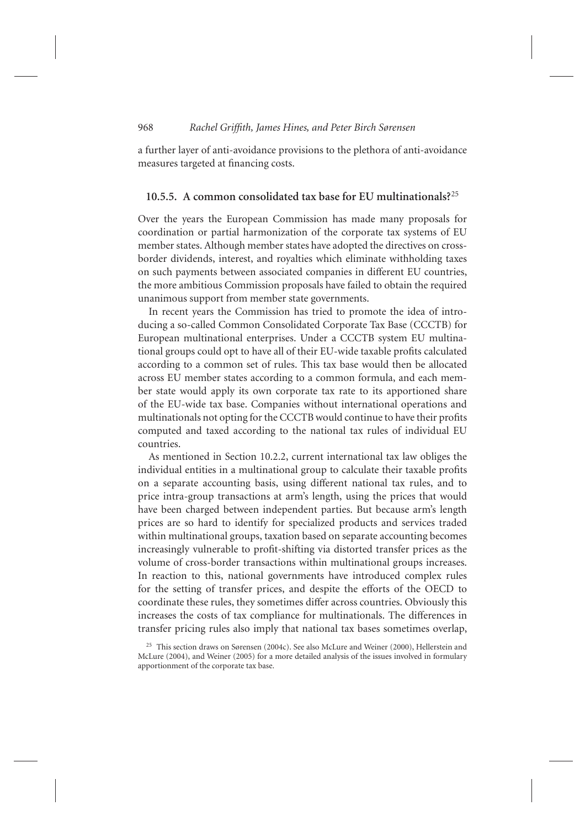a further layer of anti-avoidance provisions to the plethora of anti-avoidance measures targeted at financing costs.

#### **10.5.5. A common consolidated tax base for EU multinationals?**<sup>25</sup>

Over the years the European Commission has made many proposals for coordination or partial harmonization of the corporate tax systems of EU member states. Although member states have adopted the directives on crossborder dividends, interest, and royalties which eliminate withholding taxes on such payments between associated companies in different EU countries, the more ambitious Commission proposals have failed to obtain the required unanimous support from member state governments.

In recent years the Commission has tried to promote the idea of introducing a so-called Common Consolidated Corporate Tax Base (CCCTB) for European multinational enterprises. Under a CCCTB system EU multinational groups could opt to have all of their EU-wide taxable profits calculated according to a common set of rules. This tax base would then be allocated across EU member states according to a common formula, and each member state would apply its own corporate tax rate to its apportioned share of the EU-wide tax base. Companies without international operations and multinationals not opting for the CCCTB would continue to have their profits computed and taxed according to the national tax rules of individual EU countries.

As mentioned in Section 10.2.2, current international tax law obliges the individual entities in a multinational group to calculate their taxable profits on a separate accounting basis, using different national tax rules, and to price intra-group transactions at arm's length, using the prices that would have been charged between independent parties. But because arm's length prices are so hard to identify for specialized products and services traded within multinational groups, taxation based on separate accounting becomes increasingly vulnerable to profit-shifting via distorted transfer prices as the volume of cross-border transactions within multinational groups increases. In reaction to this, national governments have introduced complex rules for the setting of transfer prices, and despite the efforts of the OECD to coordinate these rules, they sometimes differ across countries. Obviously this increases the costs of tax compliance for multinationals. The differences in transfer pricing rules also imply that national tax bases sometimes overlap,

<sup>25</sup> This section draws on Sørensen (2004c). See also McLure and Weiner (2000), Hellerstein and McLure (2004), and Weiner (2005) for a more detailed analysis of the issues involved in formulary apportionment of the corporate tax base.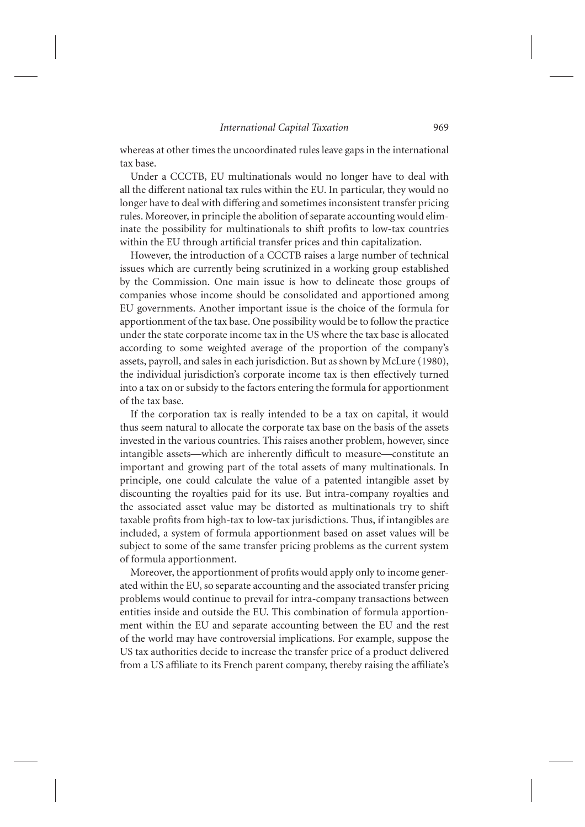whereas at other times the uncoordinated rules leave gaps in the international tax base.

Under a CCCTB, EU multinationals would no longer have to deal with all the different national tax rules within the EU. In particular, they would no longer have to deal with differing and sometimes inconsistent transfer pricing rules. Moreover, in principle the abolition of separate accounting would eliminate the possibility for multinationals to shift profits to low-tax countries within the EU through artificial transfer prices and thin capitalization.

However, the introduction of a CCCTB raises a large number of technical issues which are currently being scrutinized in a working group established by the Commission. One main issue is how to delineate those groups of companies whose income should be consolidated and apportioned among EU governments. Another important issue is the choice of the formula for apportionment of the tax base. One possibility would be to follow the practice under the state corporate income tax in the US where the tax base is allocated according to some weighted average of the proportion of the company's assets, payroll, and sales in each jurisdiction. But as shown by McLure (1980), the individual jurisdiction's corporate income tax is then effectively turned into a tax on or subsidy to the factors entering the formula for apportionment of the tax base.

If the corporation tax is really intended to be a tax on capital, it would thus seem natural to allocate the corporate tax base on the basis of the assets invested in the various countries. This raises another problem, however, since intangible assets—which are inherently difficult to measure—constitute an important and growing part of the total assets of many multinationals. In principle, one could calculate the value of a patented intangible asset by discounting the royalties paid for its use. But intra-company royalties and the associated asset value may be distorted as multinationals try to shift taxable profits from high-tax to low-tax jurisdictions. Thus, if intangibles are included, a system of formula apportionment based on asset values will be subject to some of the same transfer pricing problems as the current system of formula apportionment.

Moreover, the apportionment of profits would apply only to income generated within the EU, so separate accounting and the associated transfer pricing problems would continue to prevail for intra-company transactions between entities inside and outside the EU. This combination of formula apportionment within the EU and separate accounting between the EU and the rest of the world may have controversial implications. For example, suppose the US tax authorities decide to increase the transfer price of a product delivered from a US affiliate to its French parent company, thereby raising the affiliate's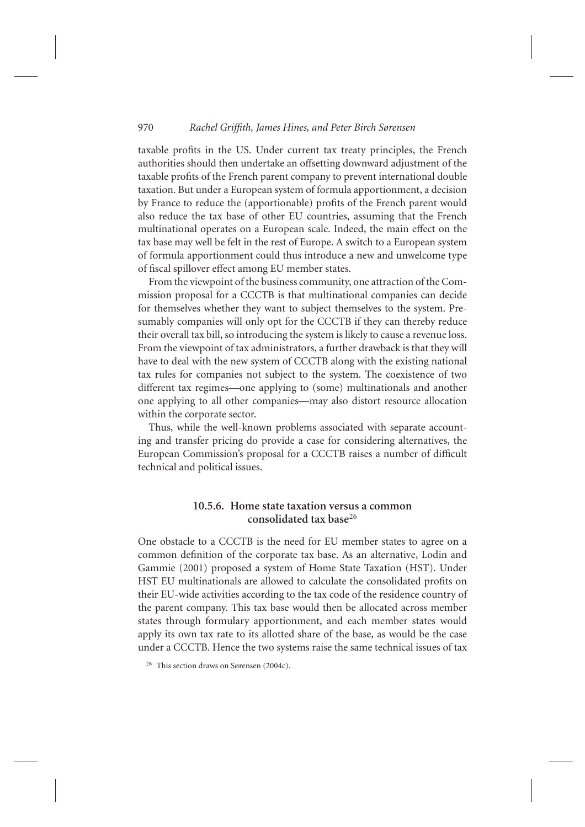taxable profits in the US. Under current tax treaty principles, the French authorities should then undertake an offsetting downward adjustment of the taxable profits of the French parent company to prevent international double taxation. But under a European system of formula apportionment, a decision by France to reduce the (apportionable) profits of the French parent would also reduce the tax base of other EU countries, assuming that the French multinational operates on a European scale. Indeed, the main effect on the tax base may well be felt in the rest of Europe. A switch to a European system of formula apportionment could thus introduce a new and unwelcome type of fiscal spillover effect among EU member states.

From the viewpoint of the business community, one attraction of the Commission proposal for a CCCTB is that multinational companies can decide for themselves whether they want to subject themselves to the system. Presumably companies will only opt for the CCCTB if they can thereby reduce their overall tax bill, so introducing the system is likely to cause a revenue loss. From the viewpoint of tax administrators, a further drawback is that they will have to deal with the new system of CCCTB along with the existing national tax rules for companies not subject to the system. The coexistence of two different tax regimes—one applying to (some) multinationals and another one applying to all other companies—may also distort resource allocation within the corporate sector.

Thus, while the well-known problems associated with separate accounting and transfer pricing do provide a case for considering alternatives, the European Commission's proposal for a CCCTB raises a number of difficult technical and political issues.

# **10.5.6. Home state taxation versus a common consolidated tax base**<sup>26</sup>

One obstacle to a CCCTB is the need for EU member states to agree on a common definition of the corporate tax base. As an alternative, Lodin and Gammie (2001) proposed a system of Home State Taxation (HST). Under HST EU multinationals are allowed to calculate the consolidated profits on their EU-wide activities according to the tax code of the residence country of the parent company. This tax base would then be allocated across member states through formulary apportionment, and each member states would apply its own tax rate to its allotted share of the base, as would be the case under a CCCTB. Hence the two systems raise the same technical issues of tax

 $26$  This section draws on Sørensen (2004c).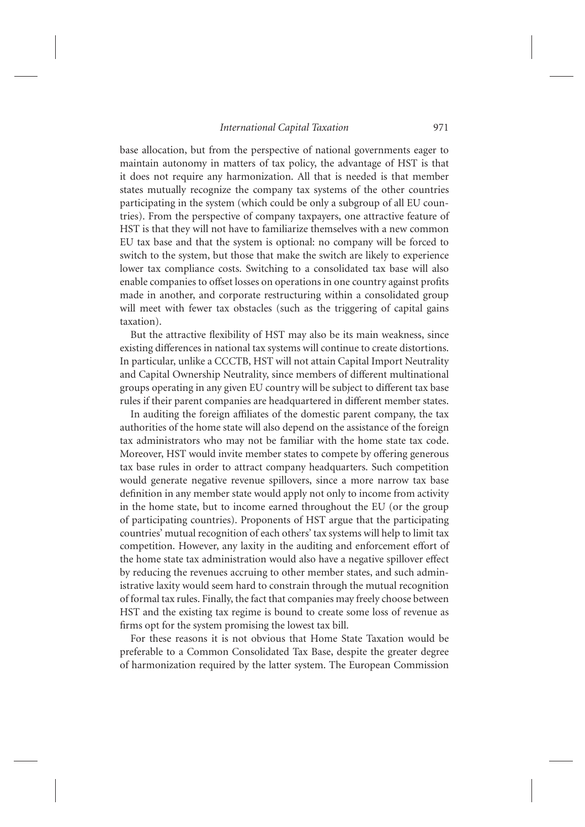base allocation, but from the perspective of national governments eager to maintain autonomy in matters of tax policy, the advantage of HST is that it does not require any harmonization. All that is needed is that member states mutually recognize the company tax systems of the other countries participating in the system (which could be only a subgroup of all EU countries). From the perspective of company taxpayers, one attractive feature of HST is that they will not have to familiarize themselves with a new common EU tax base and that the system is optional: no company will be forced to switch to the system, but those that make the switch are likely to experience lower tax compliance costs. Switching to a consolidated tax base will also enable companies to offset losses on operations in one country against profits made in another, and corporate restructuring within a consolidated group will meet with fewer tax obstacles (such as the triggering of capital gains taxation).

But the attractive flexibility of HST may also be its main weakness, since existing differences in national tax systems will continue to create distortions. In particular, unlike a CCCTB, HST will not attain Capital Import Neutrality and Capital Ownership Neutrality, since members of different multinational groups operating in any given EU country will be subject to different tax base rules if their parent companies are headquartered in different member states.

In auditing the foreign affiliates of the domestic parent company, the tax authorities of the home state will also depend on the assistance of the foreign tax administrators who may not be familiar with the home state tax code. Moreover, HST would invite member states to compete by offering generous tax base rules in order to attract company headquarters. Such competition would generate negative revenue spillovers, since a more narrow tax base definition in any member state would apply not only to income from activity in the home state, but to income earned throughout the EU (or the group of participating countries). Proponents of HST argue that the participating countries' mutual recognition of each others' tax systems will help to limit tax competition. However, any laxity in the auditing and enforcement effort of the home state tax administration would also have a negative spillover effect by reducing the revenues accruing to other member states, and such administrative laxity would seem hard to constrain through the mutual recognition of formal tax rules. Finally, the fact that companies may freely choose between HST and the existing tax regime is bound to create some loss of revenue as firms opt for the system promising the lowest tax bill.

For these reasons it is not obvious that Home State Taxation would be preferable to a Common Consolidated Tax Base, despite the greater degree of harmonization required by the latter system. The European Commission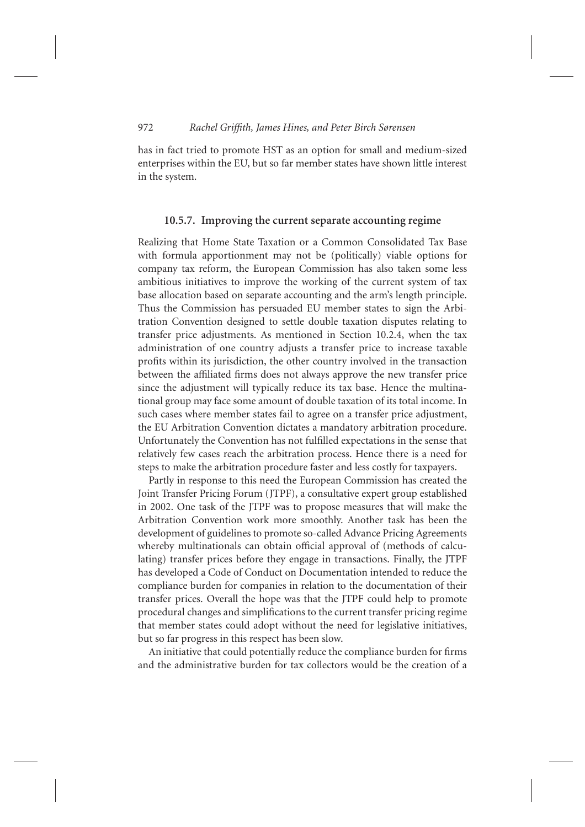has in fact tried to promote HST as an option for small and medium-sized enterprises within the EU, but so far member states have shown little interest in the system.

#### **10.5.7. Improving the current separate accounting regime**

Realizing that Home State Taxation or a Common Consolidated Tax Base with formula apportionment may not be (politically) viable options for company tax reform, the European Commission has also taken some less ambitious initiatives to improve the working of the current system of tax base allocation based on separate accounting and the arm's length principle. Thus the Commission has persuaded EU member states to sign the Arbitration Convention designed to settle double taxation disputes relating to transfer price adjustments. As mentioned in Section 10.2.4, when the tax administration of one country adjusts a transfer price to increase taxable profits within its jurisdiction, the other country involved in the transaction between the affiliated firms does not always approve the new transfer price since the adjustment will typically reduce its tax base. Hence the multinational group may face some amount of double taxation of its total income. In such cases where member states fail to agree on a transfer price adjustment, the EU Arbitration Convention dictates a mandatory arbitration procedure. Unfortunately the Convention has not fulfilled expectations in the sense that relatively few cases reach the arbitration process. Hence there is a need for steps to make the arbitration procedure faster and less costly for taxpayers.

Partly in response to this need the European Commission has created the Joint Transfer Pricing Forum (JTPF), a consultative expert group established in 2002. One task of the JTPF was to propose measures that will make the Arbitration Convention work more smoothly. Another task has been the development of guidelines to promote so-called Advance Pricing Agreements whereby multinationals can obtain official approval of (methods of calculating) transfer prices before they engage in transactions. Finally, the JTPF has developed a Code of Conduct on Documentation intended to reduce the compliance burden for companies in relation to the documentation of their transfer prices. Overall the hope was that the JTPF could help to promote procedural changes and simplifications to the current transfer pricing regime that member states could adopt without the need for legislative initiatives, but so far progress in this respect has been slow.

An initiative that could potentially reduce the compliance burden for firms and the administrative burden for tax collectors would be the creation of a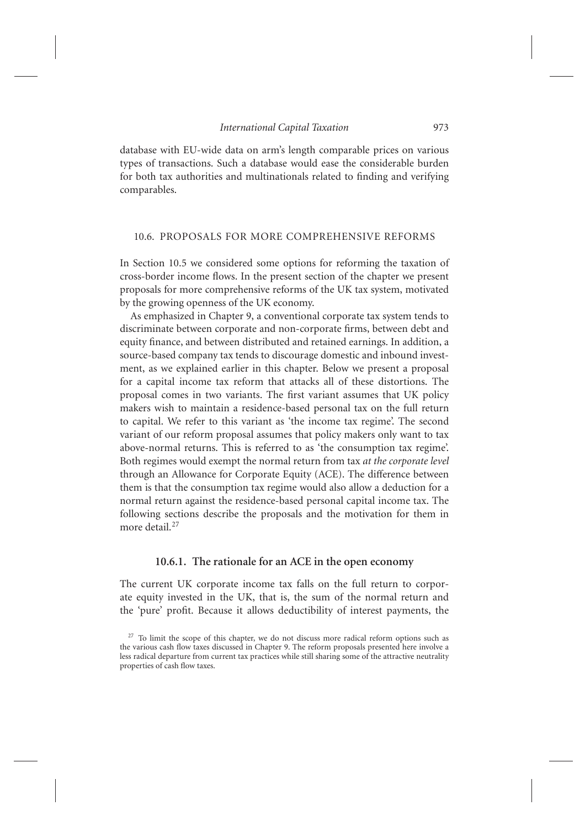database with EU-wide data on arm's length comparable prices on various types of transactions. Such a database would ease the considerable burden for both tax authorities and multinationals related to finding and verifying comparables.

#### 10.6. PROPOSALS FOR MORE COMPREHENSIVE REFORMS

In Section 10.5 we considered some options for reforming the taxation of cross-border income flows. In the present section of the chapter we present proposals for more comprehensive reforms of the UK tax system, motivated by the growing openness of the UK economy.

As emphasized in Chapter 9, a conventional corporate tax system tends to discriminate between corporate and non-corporate firms, between debt and equity finance, and between distributed and retained earnings. In addition, a source-based company tax tends to discourage domestic and inbound investment, as we explained earlier in this chapter. Below we present a proposal for a capital income tax reform that attacks all of these distortions. The proposal comes in two variants. The first variant assumes that UK policy makers wish to maintain a residence-based personal tax on the full return to capital. We refer to this variant as 'the income tax regime'. The second variant of our reform proposal assumes that policy makers only want to tax above-normal returns. This is referred to as 'the consumption tax regime'. Both regimes would exempt the normal return from tax *at the corporate level* through an Allowance for Corporate Equity (ACE). The difference between them is that the consumption tax regime would also allow a deduction for a normal return against the residence-based personal capital income tax. The following sections describe the proposals and the motivation for them in more detail.<sup>27</sup>

#### **10.6.1. The rationale for an ACE in the open economy**

The current UK corporate income tax falls on the full return to corporate equity invested in the UK, that is, the sum of the normal return and the 'pure' profit. Because it allows deductibility of interest payments, the

<sup>&</sup>lt;sup>27</sup> To limit the scope of this chapter, we do not discuss more radical reform options such as the various cash flow taxes discussed in Chapter 9. The reform proposals presented here involve a less radical departure from current tax practices while still sharing some of the attractive neutrality properties of cash flow taxes.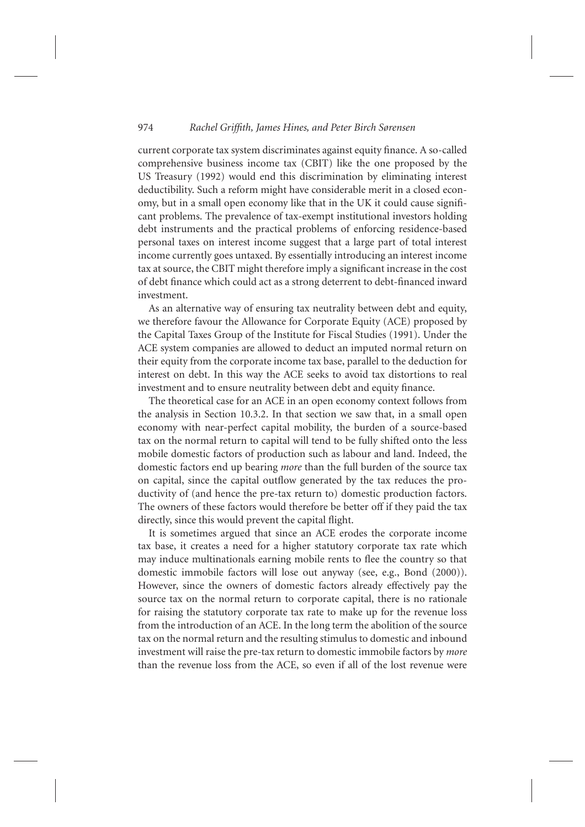current corporate tax system discriminates against equity finance. A so-called comprehensive business income tax (CBIT) like the one proposed by the US Treasury (1992) would end this discrimination by eliminating interest deductibility. Such a reform might have considerable merit in a closed economy, but in a small open economy like that in the UK it could cause significant problems. The prevalence of tax-exempt institutional investors holding debt instruments and the practical problems of enforcing residence-based personal taxes on interest income suggest that a large part of total interest income currently goes untaxed. By essentially introducing an interest income tax at source, the CBIT might therefore imply a significant increase in the cost of debt finance which could act as a strong deterrent to debt-financed inward investment.

As an alternative way of ensuring tax neutrality between debt and equity, we therefore favour the Allowance for Corporate Equity (ACE) proposed by the Capital Taxes Group of the Institute for Fiscal Studies (1991). Under the ACE system companies are allowed to deduct an imputed normal return on their equity from the corporate income tax base, parallel to the deduction for interest on debt. In this way the ACE seeks to avoid tax distortions to real investment and to ensure neutrality between debt and equity finance.

The theoretical case for an ACE in an open economy context follows from the analysis in Section 10.3.2. In that section we saw that, in a small open economy with near-perfect capital mobility, the burden of a source-based tax on the normal return to capital will tend to be fully shifted onto the less mobile domestic factors of production such as labour and land. Indeed, the domestic factors end up bearing *more* than the full burden of the source tax on capital, since the capital outflow generated by the tax reduces the productivity of (and hence the pre-tax return to) domestic production factors. The owners of these factors would therefore be better off if they paid the tax directly, since this would prevent the capital flight.

It is sometimes argued that since an ACE erodes the corporate income tax base, it creates a need for a higher statutory corporate tax rate which may induce multinationals earning mobile rents to flee the country so that domestic immobile factors will lose out anyway (see, e.g., Bond (2000)). However, since the owners of domestic factors already effectively pay the source tax on the normal return to corporate capital, there is no rationale for raising the statutory corporate tax rate to make up for the revenue loss from the introduction of an ACE. In the long term the abolition of the source tax on the normal return and the resulting stimulus to domestic and inbound investment will raise the pre-tax return to domestic immobile factors by *more* than the revenue loss from the ACE, so even if all of the lost revenue were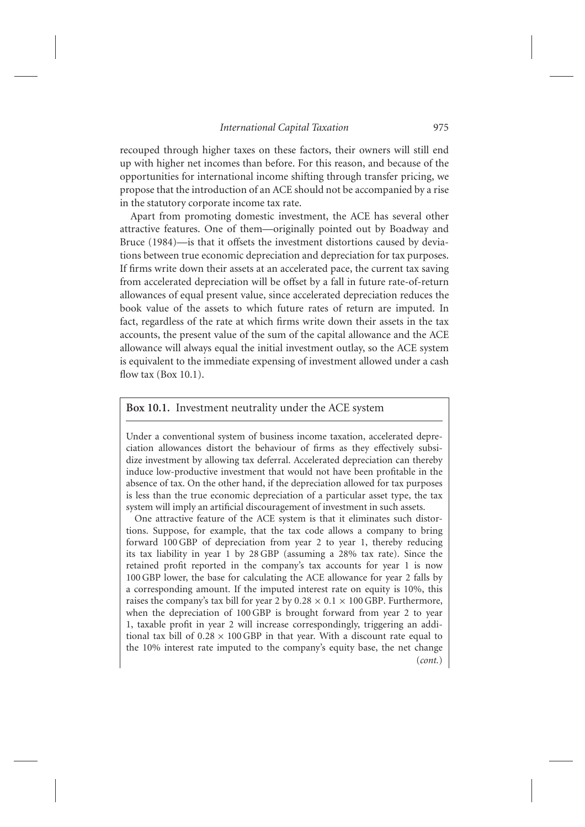recouped through higher taxes on these factors, their owners will still end up with higher net incomes than before. For this reason, and because of the opportunities for international income shifting through transfer pricing, we propose that the introduction of an ACE should not be accompanied by a rise in the statutory corporate income tax rate.

Apart from promoting domestic investment, the ACE has several other attractive features. One of them—originally pointed out by Boadway and Bruce (1984)—is that it offsets the investment distortions caused by deviations between true economic depreciation and depreciation for tax purposes. If firms write down their assets at an accelerated pace, the current tax saving from accelerated depreciation will be offset by a fall in future rate-of-return allowances of equal present value, since accelerated depreciation reduces the book value of the assets to which future rates of return are imputed. In fact, regardless of the rate at which firms write down their assets in the tax accounts, the present value of the sum of the capital allowance and the ACE allowance will always equal the initial investment outlay, so the ACE system is equivalent to the immediate expensing of investment allowed under a cash flow tax  $(Box 10.1)$ .

#### **Box 10.1.** Investment neutrality under the ACE system

Under a conventional system of business income taxation, accelerated depreciation allowances distort the behaviour of firms as they effectively subsidize investment by allowing tax deferral. Accelerated depreciation can thereby induce low-productive investment that would not have been profitable in the absence of tax. On the other hand, if the depreciation allowed for tax purposes is less than the true economic depreciation of a particular asset type, the tax system will imply an artificial discouragement of investment in such assets.

One attractive feature of the ACE system is that it eliminates such distortions. Suppose, for example, that the tax code allows a company to bring forward 100 GBP of depreciation from year 2 to year 1, thereby reducing its tax liability in year 1 by 28 GBP (assuming a 28% tax rate). Since the retained profit reported in the company's tax accounts for year 1 is now 100 GBP lower, the base for calculating the ACE allowance for year 2 falls by a corresponding amount. If the imputed interest rate on equity is 10%, this raises the company's tax bill for year 2 by  $0.28 \times 0.1 \times 100$  GBP. Furthermore, when the depreciation of 100 GBP is brought forward from year 2 to year 1, taxable profit in year 2 will increase correspondingly, triggering an additional tax bill of  $0.28 \times 100$  GBP in that year. With a discount rate equal to the 10% interest rate imputed to the company's equity base, the net change (*cont.*)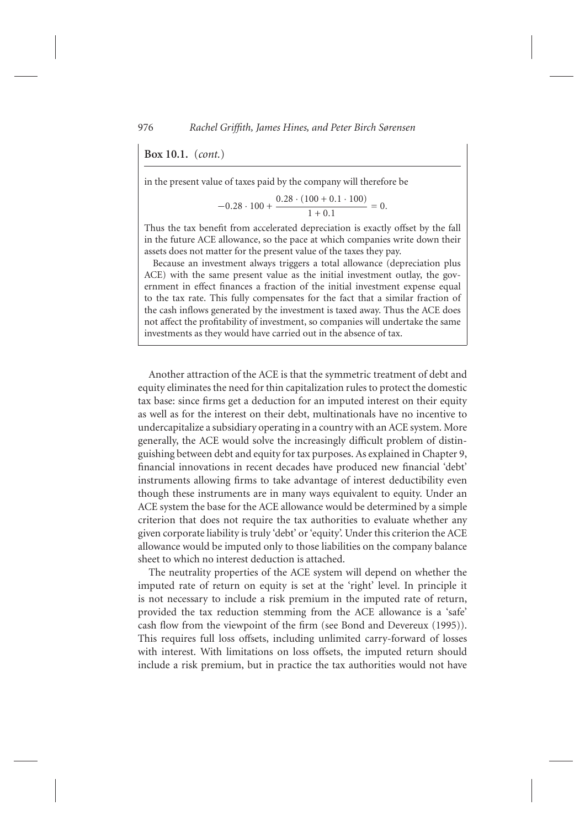**Box 10.1.** (*cont.*)

in the present value of taxes paid by the company will therefore be

$$
-0.28 \cdot 100 + \frac{0.28 \cdot (100 + 0.1 \cdot 100)}{1 + 0.1} = 0.
$$

Thus the tax benefit from accelerated depreciation is exactly offset by the fall in the future ACE allowance, so the pace at which companies write down their assets does not matter for the present value of the taxes they pay.

Because an investment always triggers a total allowance (depreciation plus ACE) with the same present value as the initial investment outlay, the government in effect finances a fraction of the initial investment expense equal to the tax rate. This fully compensates for the fact that a similar fraction of the cash inflows generated by the investment is taxed away. Thus the ACE does not affect the profitability of investment, so companies will undertake the same investments as they would have carried out in the absence of tax.

Another attraction of the ACE is that the symmetric treatment of debt and equity eliminates the need for thin capitalization rules to protect the domestic tax base: since firms get a deduction for an imputed interest on their equity as well as for the interest on their debt, multinationals have no incentive to undercapitalize a subsidiary operating in a country with an ACE system. More generally, the ACE would solve the increasingly difficult problem of distinguishing between debt and equity for tax purposes. As explained in Chapter 9, financial innovations in recent decades have produced new financial 'debt' instruments allowing firms to take advantage of interest deductibility even though these instruments are in many ways equivalent to equity. Under an ACE system the base for the ACE allowance would be determined by a simple criterion that does not require the tax authorities to evaluate whether any given corporate liability is truly 'debt' or 'equity'. Under this criterion the ACE allowance would be imputed only to those liabilities on the company balance sheet to which no interest deduction is attached.

The neutrality properties of the ACE system will depend on whether the imputed rate of return on equity is set at the 'right' level. In principle it is not necessary to include a risk premium in the imputed rate of return, provided the tax reduction stemming from the ACE allowance is a 'safe' cash flow from the viewpoint of the firm (see Bond and Devereux (1995)). This requires full loss offsets, including unlimited carry-forward of losses with interest. With limitations on loss offsets, the imputed return should include a risk premium, but in practice the tax authorities would not have